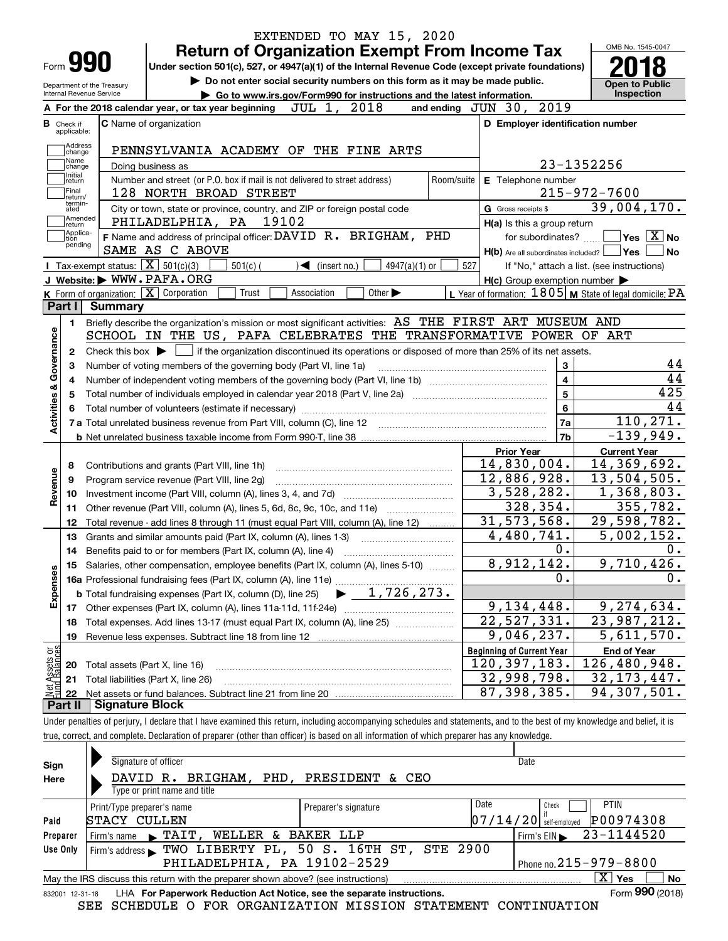|                                  |                                     | EXTENDED TO MAY 15, 2020<br><b>Return of Organization Exempt From Income Tax</b>                                                            |                                                           | OMB No. 1545-0047                                         |
|----------------------------------|-------------------------------------|---------------------------------------------------------------------------------------------------------------------------------------------|-----------------------------------------------------------|-----------------------------------------------------------|
| Form <b>990</b>                  |                                     | Under section 501(c), 527, or 4947(a)(1) of the Internal Revenue Code (except private foundations)                                          |                                                           |                                                           |
| Department of the Treasury       |                                     | Do not enter social security numbers on this form as it may be made public.                                                                 |                                                           | <b>Open to Public</b>                                     |
| Internal Revenue Service         |                                     | Go to www.irs.gov/Form990 for instructions and the latest information.                                                                      |                                                           | <b>Inspection</b>                                         |
|                                  |                                     | 2018<br>JUL 1,<br>A For the 2018 calendar year, or tax year beginning                                                                       | and ending JUN 30, 2019                                   |                                                           |
| <b>B</b> Check if<br>applicable: |                                     | <b>C</b> Name of organization                                                                                                               | D Employer identification number                          |                                                           |
| Address                          |                                     |                                                                                                                                             |                                                           |                                                           |
| change<br>Name                   |                                     | PENNSYLVANIA ACADEMY OF THE FINE ARTS                                                                                                       |                                                           | 23-1352256                                                |
| change<br>Initial                |                                     | Doing business as<br>Room/suite                                                                                                             |                                                           |                                                           |
| return<br>Final                  |                                     | Number and street (or P.O. box if mail is not delivered to street address)<br>128 NORTH BROAD STREET                                        | E Telephone number                                        | $215 - 972 - 7600$                                        |
| return/<br>termin-<br>ated       |                                     | City or town, state or province, country, and ZIP or foreign postal code                                                                    | G Gross receipts \$                                       | 39,004,170.                                               |
| Amended<br>∣return               |                                     | PHILADELPHIA, PA 19102                                                                                                                      | $H(a)$ is this a group return                             |                                                           |
| Applica-<br>tion                 |                                     | F Name and address of principal officer: DAVID R. BRIGHAM,<br>PHD                                                                           | for subordinates?                                         | $\sqrt{}$ Yes $\left\lfloor \frac{X}{X} \right\rfloor$ No |
| pending                          |                                     | SAME AS C ABOVE                                                                                                                             | $H(b)$ Are all subordinates included? $\Box$ Yes $\Box$   | No                                                        |
|                                  |                                     | Tax-exempt status: $\boxed{\mathbf{X}}$ 501(c)(3)<br>$501(c)$ (<br>$\triangleleft$ (insert no.)<br>$4947(a)(1)$ or                          | 527                                                       | If "No," attach a list. (see instructions)                |
|                                  |                                     | J Website: WWW.PAFA.ORG                                                                                                                     | $H(c)$ Group exemption number $\blacktriangleright$       |                                                           |
|                                  |                                     | <b>K</b> Form of organization: $\boxed{\mathbf{X}}$ Corporation<br>Other $\blacktriangleright$<br>Association<br>Trust                      | L Year of formation: $1805$ M State of legal domicile: PA |                                                           |
| Part I                           | Summary                             |                                                                                                                                             |                                                           |                                                           |
| 1.                               |                                     | Briefly describe the organization's mission or most significant activities: AS THE FIRST ART MUSEUM AND                                     |                                                           |                                                           |
|                                  |                                     | SCHOOL IN THE US, PAFA CELEBRATES THE TRANSFORMATIVE POWER OF ART                                                                           |                                                           |                                                           |
| 2                                |                                     | Check this box $\blacktriangleright$ $\Box$ if the organization discontinued its operations or disposed of more than 25% of its net assets. |                                                           |                                                           |
| З                                |                                     | Number of voting members of the governing body (Part VI, line 1a)                                                                           | 3                                                         | 44                                                        |
| 4                                |                                     |                                                                                                                                             | $\overline{\mathbf{4}}$                                   | 44                                                        |
| 5                                |                                     |                                                                                                                                             | 5                                                         | 425                                                       |
|                                  |                                     |                                                                                                                                             | 6                                                         | 44                                                        |
| Activities & Governance          |                                     |                                                                                                                                             | 7a                                                        | 110, 271.                                                 |
|                                  |                                     |                                                                                                                                             | 7 <sub>b</sub>                                            | $-139,949.$                                               |
|                                  |                                     |                                                                                                                                             | <b>Prior Year</b>                                         | <b>Current Year</b>                                       |
| 8                                |                                     | Contributions and grants (Part VIII, line 1h)                                                                                               | 14,830,004.                                               | 14,369,692.                                               |
| Revenue<br>9                     |                                     | Program service revenue (Part VIII, line 2g)                                                                                                | 12,886,928.                                               | 13,504,505.                                               |
| 10                               |                                     |                                                                                                                                             | 3,528,282.<br>328, 354.                                   | 1,368,803.<br>355,782.                                    |
| 11                               |                                     | Other revenue (Part VIII, column (A), lines 5, 6d, 8c, 9c, 10c, and 11e)                                                                    | 31, 573, 568.                                             | 29,598,782.                                               |
| 12                               |                                     | Total revenue - add lines 8 through 11 (must equal Part VIII, column (A), line 12)                                                          | 4,480,741.                                                | 5,002,152.                                                |
| 13                               |                                     | Grants and similar amounts paid (Part IX, column (A), lines 1-3)                                                                            | 0.                                                        | 0.                                                        |
| 14                               |                                     | 15 Salaries, other compensation, employee benefits (Part IX, column (A), lines 5-10)                                                        | 8,912,142.                                                | 9,710,426.                                                |
|                                  |                                     |                                                                                                                                             | 0.                                                        | 0.                                                        |
| Expenses                         |                                     | $\blacktriangleright$ 1,726,273.<br><b>b</b> Total fundraising expenses (Part IX, column (D), line 25)                                      |                                                           |                                                           |
| 17                               |                                     |                                                                                                                                             | 9,134,448.                                                | 9,274,634.                                                |
| 18                               |                                     | Total expenses. Add lines 13-17 (must equal Part IX, column (A), line 25)                                                                   | $\overline{22,527,331}$ .                                 | 23,987,212.                                               |
| 19                               |                                     |                                                                                                                                             | 9,046,237.                                                | 5,611,570.                                                |
|                                  |                                     |                                                                                                                                             | <b>Beginning of Current Year</b>                          | <b>End of Year</b>                                        |
| Assets or<br>dBalances<br>20     |                                     | Total assets (Part X, line 16)                                                                                                              | 120, 397, 183.                                            | 126,480,948.                                              |
| 21                               | Total liabilities (Part X, line 26) |                                                                                                                                             | 32,998,798.                                               |                                                           |
|                                  |                                     |                                                                                                                                             |                                                           |                                                           |
| <b>Jer</b><br>22                 |                                     |                                                                                                                                             | 87,398,385.                                               | 32, 173, 447.<br>94,307,501.                              |

true, correct, and complete. Declaration of preparer (other than officer) is based on all information of which preparer has any knowledge.

| Sign            | Signature of officer                                                              |                      | Date                                     |
|-----------------|-----------------------------------------------------------------------------------|----------------------|------------------------------------------|
| Here            | BRIGHAM,<br>DAVID R.<br>Type or print name and title                              | PHD, PRESIDENT & CEO |                                          |
|                 | Print/Type preparer's name                                                        | Preparer's signature | Date<br><b>PTIN</b><br>Check             |
| Paid            | STACY CULLEN                                                                      |                      | P00974308<br> 07/14/20 <br>self-emploved |
| Preparer        | WELLER &<br>TAIT,<br>Firm's name                                                  | BAKER LLP            | 23-1144520<br>Firm's $EIN$               |
| Use Only        | TWO LIBERTY PL, 50 S. 16TH ST,<br>Firm's address                                  |                      | <b>STE 2900</b>                          |
|                 | PHILADELPHIA, PA 19102-2529                                                       |                      | Phone no. $215 - 979 - 8800$             |
|                 | May the IRS discuss this return with the preparer shown above? (see instructions) |                      | $\overline{X}$ Yes<br>No                 |
| 832001 12-31-18 | LHA For Paperwork Reduction Act Notice, see the separate instructions.            |                      | Form 990 (2018)                          |

SEE SCHEDULE O FOR ORGANIZATION MISSION STATEMENT CONTINUATION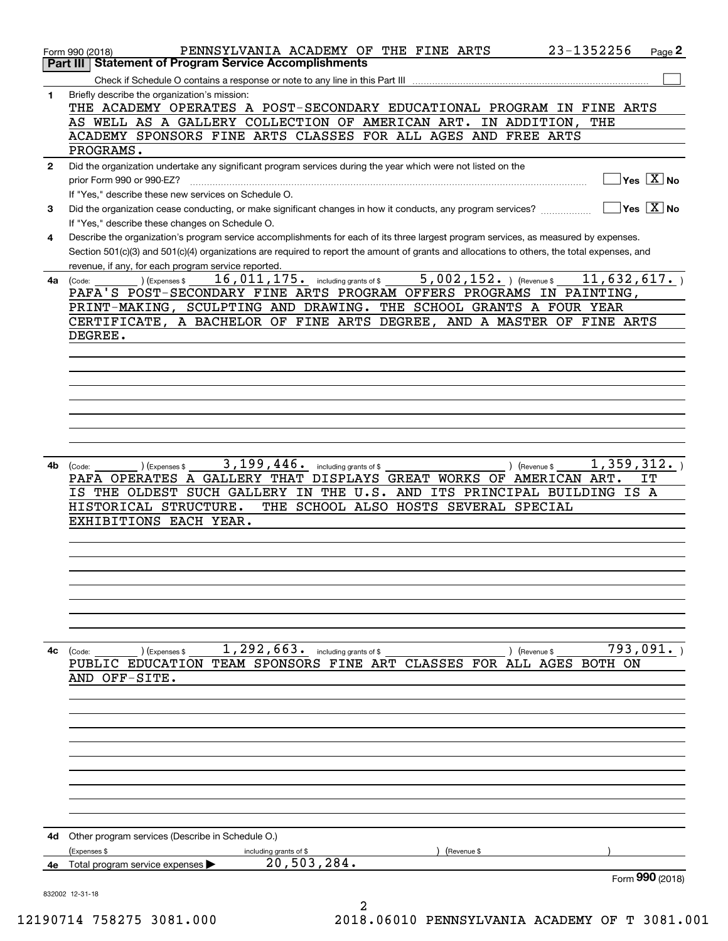| Part III     | 23-1352256<br>PENNSYLVANIA ACADEMY OF THE FINE ARTS<br>Page 2<br>Form 990 (2018)<br><b>Statement of Program Service Accomplishments</b>                                                                |
|--------------|--------------------------------------------------------------------------------------------------------------------------------------------------------------------------------------------------------|
|              |                                                                                                                                                                                                        |
| 1            | Briefly describe the organization's mission:                                                                                                                                                           |
|              | THE ACADEMY OPERATES A POST-SECONDARY EDUCATIONAL PROGRAM IN FINE ARTS                                                                                                                                 |
|              | AS WELL AS A GALLERY COLLECTION OF AMERICAN ART.<br>IN ADDITION,<br>THE<br>ACADEMY SPONSORS FINE ARTS CLASSES FOR ALL AGES AND FREE ARTS                                                               |
|              | PROGRAMS.                                                                                                                                                                                              |
| $\mathbf{2}$ | Did the organization undertake any significant program services during the year which were not listed on the                                                                                           |
|              | $\overline{\ }$ Yes $\overline{\phantom{X}}$ No<br>prior Form 990 or 990-EZ?                                                                                                                           |
|              | If "Yes," describe these new services on Schedule O.                                                                                                                                                   |
| 3            | $\overline{Y}$ es $\overline{X}$ No<br>Did the organization cease conducting, or make significant changes in how it conducts, any program services?<br>If "Yes," describe these changes on Schedule O. |
| 4            | Describe the organization's program service accomplishments for each of its three largest program services, as measured by expenses.                                                                   |
|              | Section 501(c)(3) and 501(c)(4) organizations are required to report the amount of grants and allocations to others, the total expenses, and                                                           |
|              | revenue, if any, for each program service reported.                                                                                                                                                    |
|              | $\overline{5,002,152.}$ ) (Revenue \$<br>$16$ , $011$ , $175$ . including grants of \$<br>11,632,617.<br>(Expenses \$<br>4a (Code:                                                                     |
|              | PAFA'S POST-SECONDARY FINE ARTS PROGRAM OFFERS PROGRAMS IN PAINTING,<br>PRINT-MAKING, SCULPTING AND DRAWING. THE SCHOOL GRANTS A FOUR YEAR                                                             |
|              | CERTIFICATE, A BACHELOR OF FINE ARTS DEGREE, AND A MASTER OF FINE ARTS                                                                                                                                 |
|              | DEGREE.                                                                                                                                                                                                |
|              |                                                                                                                                                                                                        |
|              |                                                                                                                                                                                                        |
|              |                                                                                                                                                                                                        |
|              |                                                                                                                                                                                                        |
|              |                                                                                                                                                                                                        |
|              |                                                                                                                                                                                                        |
|              |                                                                                                                                                                                                        |
| 4b.          | 1,359,312.<br>3,199,446.<br>) (Expenses \$<br>including grants of \$<br>) (Revenue \$<br>(Code:<br>PAFA OPERATES A GALLERY THAT DISPLAYS GREAT WORKS OF AMERICAN ART.<br>IT                            |
|              | IS THE OLDEST SUCH GALLERY IN THE U.S. AND ITS PRINCIPAL BUILDING IS A                                                                                                                                 |
|              | HISTORICAL STRUCTURE.<br>THE SCHOOL ALSO HOSTS SEVERAL SPECIAL                                                                                                                                         |
|              | EXHIBITIONS EACH YEAR.                                                                                                                                                                                 |
|              |                                                                                                                                                                                                        |
|              |                                                                                                                                                                                                        |
|              |                                                                                                                                                                                                        |
|              |                                                                                                                                                                                                        |
|              |                                                                                                                                                                                                        |
|              |                                                                                                                                                                                                        |
|              | 1, 292, 663. including grants of \$<br>793,091.                                                                                                                                                        |
| 4с           | (Code:<br>(Expenses \$<br>) (Revenue \$<br>PUBLIC EDUCATION TEAM SPONSORS FINE ART CLASSES FOR ALL AGES BOTH ON                                                                                        |
|              | AND OFF-SITE.                                                                                                                                                                                          |
|              |                                                                                                                                                                                                        |
|              |                                                                                                                                                                                                        |
|              |                                                                                                                                                                                                        |
|              |                                                                                                                                                                                                        |
|              |                                                                                                                                                                                                        |
|              |                                                                                                                                                                                                        |
|              |                                                                                                                                                                                                        |
|              |                                                                                                                                                                                                        |
| 4d           | Other program services (Describe in Schedule O.)                                                                                                                                                       |
|              | (Expenses \$<br>(Revenue \$<br>including grants of \$                                                                                                                                                  |
| 4е           | 20, 503, 284.<br>Total program service expenses                                                                                                                                                        |
|              | Form 990 (2018)                                                                                                                                                                                        |
|              | 832002 12-31-18                                                                                                                                                                                        |

2 12190714 758275 3081.000 2018.06010 PENNSYLVANIA ACADEMY OF T 3081.001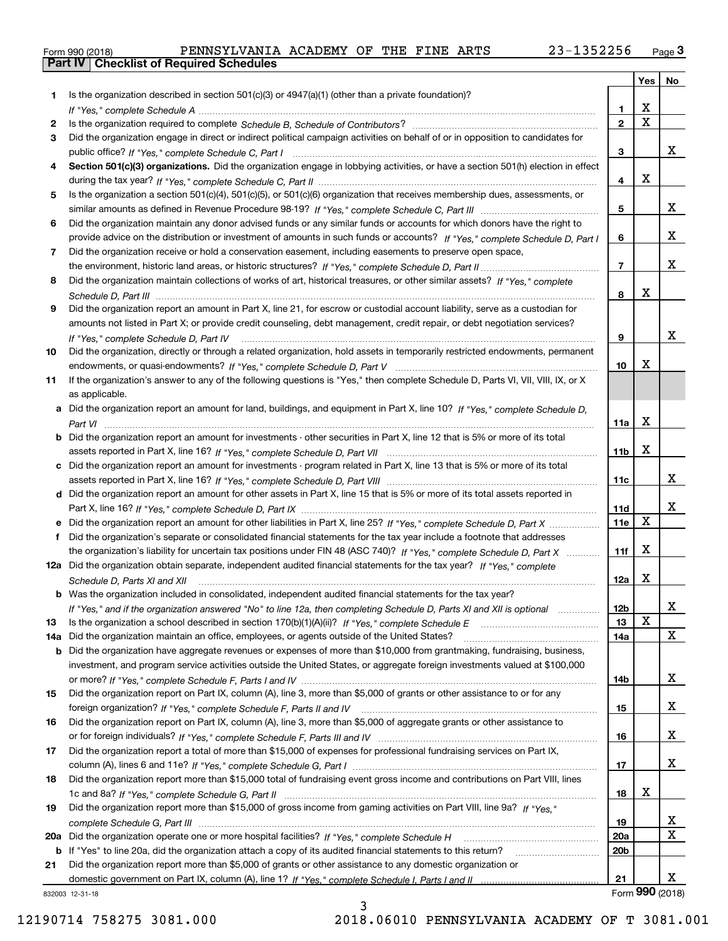|  | Form 990 (2018) |
|--|-----------------|
|  |                 |

|     |                                                                                                                                                                                                                                |                 | Yes <sub>1</sub> | No                    |
|-----|--------------------------------------------------------------------------------------------------------------------------------------------------------------------------------------------------------------------------------|-----------------|------------------|-----------------------|
| 1.  | Is the organization described in section $501(c)(3)$ or $4947(a)(1)$ (other than a private foundation)?                                                                                                                        |                 |                  |                       |
|     |                                                                                                                                                                                                                                | 1               | х                |                       |
| 2   | Is the organization required to complete Schedule B, Schedule of Contributors? [11] Content of Content of Content of Contributors? [11] All of Contributors and Content of Content of the Organization required to complete th | $\overline{2}$  | $\mathbf X$      |                       |
| 3   | Did the organization engage in direct or indirect political campaign activities on behalf of or in opposition to candidates for                                                                                                |                 |                  |                       |
|     |                                                                                                                                                                                                                                | 3               |                  | X.                    |
| 4   | Section 501(c)(3) organizations. Did the organization engage in lobbying activities, or have a section 501(h) election in effect                                                                                               |                 |                  |                       |
|     |                                                                                                                                                                                                                                | 4               | X                |                       |
| 5   | Is the organization a section 501(c)(4), 501(c)(5), or 501(c)(6) organization that receives membership dues, assessments, or                                                                                                   |                 |                  |                       |
|     |                                                                                                                                                                                                                                | 5               |                  | X.                    |
| 6   | Did the organization maintain any donor advised funds or any similar funds or accounts for which donors have the right to                                                                                                      |                 |                  | X.                    |
|     | provide advice on the distribution or investment of amounts in such funds or accounts? If "Yes," complete Schedule D, Part I                                                                                                   | 6               |                  |                       |
| 7   | Did the organization receive or hold a conservation easement, including easements to preserve open space,                                                                                                                      | $\overline{7}$  |                  | x                     |
|     | Did the organization maintain collections of works of art, historical treasures, or other similar assets? If "Yes," complete                                                                                                   |                 |                  |                       |
| 8   |                                                                                                                                                                                                                                | 8               | х                |                       |
| 9   | Did the organization report an amount in Part X, line 21, for escrow or custodial account liability, serve as a custodian for                                                                                                  |                 |                  |                       |
|     | amounts not listed in Part X; or provide credit counseling, debt management, credit repair, or debt negotiation services?                                                                                                      |                 |                  |                       |
|     |                                                                                                                                                                                                                                | 9               |                  | x                     |
| 10  | If "Yes," complete Schedule D, Part IV<br>Did the organization, directly or through a related organization, hold assets in temporarily restricted endowments, permanent                                                        |                 |                  |                       |
|     |                                                                                                                                                                                                                                | 10              | х                |                       |
| 11  | If the organization's answer to any of the following questions is "Yes," then complete Schedule D, Parts VI, VII, VIII, IX, or X                                                                                               |                 |                  |                       |
|     | as applicable.                                                                                                                                                                                                                 |                 |                  |                       |
| а   | Did the organization report an amount for land, buildings, and equipment in Part X, line 10? If "Yes," complete Schedule D,                                                                                                    |                 |                  |                       |
|     |                                                                                                                                                                                                                                | 11a             | х                |                       |
| b   | Did the organization report an amount for investments - other securities in Part X, line 12 that is 5% or more of its total                                                                                                    |                 |                  |                       |
|     |                                                                                                                                                                                                                                | 11b             | X                |                       |
| с   | Did the organization report an amount for investments - program related in Part X, line 13 that is 5% or more of its total                                                                                                     |                 |                  |                       |
|     |                                                                                                                                                                                                                                | 11c             |                  | X.                    |
| d   | Did the organization report an amount for other assets in Part X, line 15 that is 5% or more of its total assets reported in                                                                                                   |                 |                  |                       |
|     |                                                                                                                                                                                                                                | 11d             |                  | x                     |
| е   | Did the organization report an amount for other liabilities in Part X, line 25? If "Yes," complete Schedule D, Part X                                                                                                          | 11e             | X                |                       |
| f   | Did the organization's separate or consolidated financial statements for the tax year include a footnote that addresses                                                                                                        |                 |                  |                       |
|     | the organization's liability for uncertain tax positions under FIN 48 (ASC 740)? If "Yes," complete Schedule D, Part X                                                                                                         | 11f             | X                |                       |
|     | 12a Did the organization obtain separate, independent audited financial statements for the tax year? If "Yes," complete                                                                                                        |                 |                  |                       |
|     | Schedule D, Parts XI and XII                                                                                                                                                                                                   | 12a             | X                |                       |
| b   | Was the organization included in consolidated, independent audited financial statements for the tax year?                                                                                                                      |                 |                  |                       |
|     | If "Yes," and if the organization answered "No" to line 12a, then completing Schedule D, Parts XI and XII is optional                                                                                                          | 12 <sub>b</sub> |                  | X                     |
| 13  | Is the organization a school described in section 170(b)(1)(A)(ii)? If "Yes," complete Schedule E                                                                                                                              | 13              | X                |                       |
| 14a | Did the organization maintain an office, employees, or agents outside of the United States?                                                                                                                                    | 14a             |                  | x                     |
| b   | Did the organization have aggregate revenues or expenses of more than \$10,000 from grantmaking, fundraising, business,                                                                                                        |                 |                  |                       |
|     | investment, and program service activities outside the United States, or aggregate foreign investments valued at \$100,000                                                                                                     |                 |                  |                       |
|     |                                                                                                                                                                                                                                | 14b             |                  | X.                    |
| 15  | Did the organization report on Part IX, column (A), line 3, more than \$5,000 of grants or other assistance to or for any                                                                                                      |                 |                  |                       |
|     |                                                                                                                                                                                                                                | 15              |                  | X.                    |
| 16  | Did the organization report on Part IX, column (A), line 3, more than \$5,000 of aggregate grants or other assistance to                                                                                                       |                 |                  |                       |
|     |                                                                                                                                                                                                                                | 16              |                  | X.                    |
| 17  | Did the organization report a total of more than \$15,000 of expenses for professional fundraising services on Part IX,                                                                                                        |                 |                  |                       |
|     |                                                                                                                                                                                                                                | 17              |                  | X.                    |
| 18  | Did the organization report more than \$15,000 total of fundraising event gross income and contributions on Part VIII, lines                                                                                                   |                 |                  |                       |
|     |                                                                                                                                                                                                                                | 18              | X                |                       |
| 19  | Did the organization report more than \$15,000 of gross income from gaming activities on Part VIII, line 9a? If "Yes."                                                                                                         |                 |                  |                       |
|     |                                                                                                                                                                                                                                | 19              |                  | X                     |
| 20a | Did the organization operate one or more hospital facilities? If "Yes," complete Schedule H                                                                                                                                    | <b>20a</b>      |                  | X                     |
| b   | If "Yes" to line 20a, did the organization attach a copy of its audited financial statements to this return?                                                                                                                   | 20 <sub>b</sub> |                  |                       |
| 21  | Did the organization report more than \$5,000 of grants or other assistance to any domestic organization or                                                                                                                    |                 |                  |                       |
|     |                                                                                                                                                                                                                                | 21              |                  | X.<br>Form 990 (2018) |
|     | 832003 12-31-18                                                                                                                                                                                                                |                 |                  |                       |

3

832003 12-31-18

12190714 758275 3081.000 2018.06010 PENNSYLVANIA ACADEMY OF T 3081.001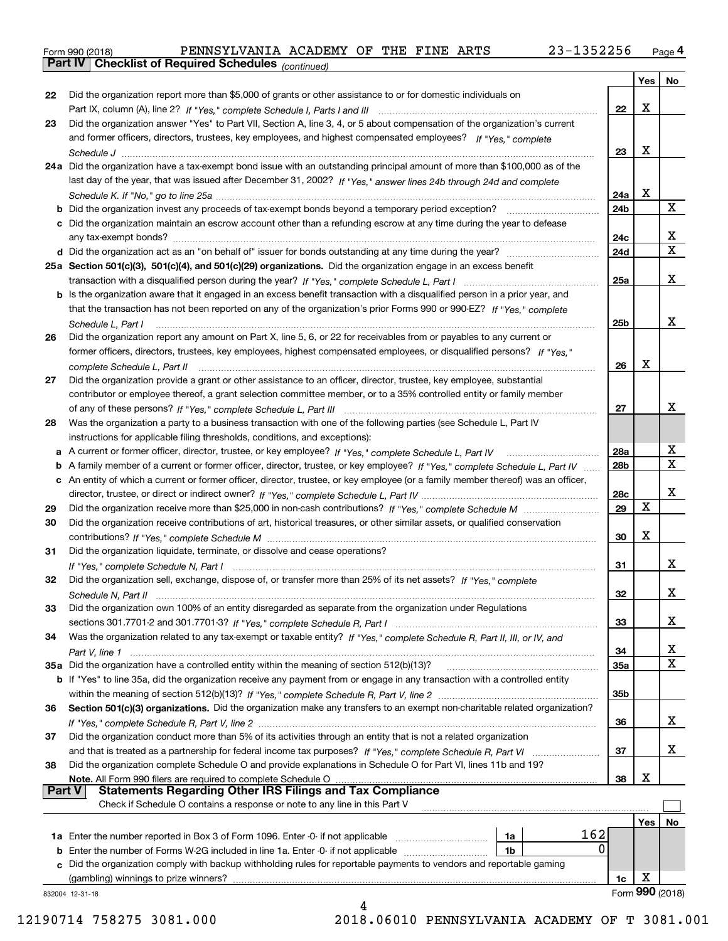|  | Form 990 (2018) |  |
|--|-----------------|--|
|  |                 |  |

*(continued)*

|               |                                                                                                                                    |           | Yes | No                      |
|---------------|------------------------------------------------------------------------------------------------------------------------------------|-----------|-----|-------------------------|
| 22            | Did the organization report more than \$5,000 of grants or other assistance to or for domestic individuals on                      |           |     |                         |
|               |                                                                                                                                    | 22        | X   |                         |
| 23            | Did the organization answer "Yes" to Part VII, Section A, line 3, 4, or 5 about compensation of the organization's current         |           |     |                         |
|               | and former officers, directors, trustees, key employees, and highest compensated employees? If "Yes," complete                     |           |     |                         |
|               |                                                                                                                                    | 23        | х   |                         |
|               | 24a Did the organization have a tax-exempt bond issue with an outstanding principal amount of more than \$100,000 as of the        |           |     |                         |
|               | last day of the year, that was issued after December 31, 2002? If "Yes," answer lines 24b through 24d and complete                 |           |     |                         |
|               |                                                                                                                                    | 24a       | X   |                         |
|               |                                                                                                                                    | 24b       |     | X                       |
|               | c Did the organization maintain an escrow account other than a refunding escrow at any time during the year to defease             |           |     |                         |
|               |                                                                                                                                    | 24c       |     | х                       |
|               |                                                                                                                                    | 24d       |     | $\mathbf X$             |
|               | 25a Section 501(c)(3), 501(c)(4), and 501(c)(29) organizations. Did the organization engage in an excess benefit                   |           |     |                         |
|               |                                                                                                                                    | 25a       |     | х                       |
|               | b Is the organization aware that it engaged in an excess benefit transaction with a disqualified person in a prior year, and       |           |     |                         |
|               | that the transaction has not been reported on any of the organization's prior Forms 990 or 990-EZ? If "Yes," complete              |           |     |                         |
|               | Schedule L. Part I                                                                                                                 | 25b       |     | х                       |
| 26            | Did the organization report any amount on Part X, line 5, 6, or 22 for receivables from or payables to any current or              |           |     |                         |
|               | former officers, directors, trustees, key employees, highest compensated employees, or disqualified persons? If "Yes."             |           |     |                         |
|               |                                                                                                                                    | 26        | X   |                         |
| 27            | Did the organization provide a grant or other assistance to an officer, director, trustee, key employee, substantial               |           |     |                         |
|               | contributor or employee thereof, a grant selection committee member, or to a 35% controlled entity or family member                |           |     |                         |
|               |                                                                                                                                    | 27        |     | x                       |
| 28            | Was the organization a party to a business transaction with one of the following parties (see Schedule L, Part IV                  |           |     |                         |
|               | instructions for applicable filing thresholds, conditions, and exceptions):                                                        |           |     |                         |
|               | a A current or former officer, director, trustee, or key employee? If "Yes," complete Schedule L, Part IV                          | 28a       |     | х                       |
|               | b A family member of a current or former officer, director, trustee, or key employee? If "Yes," complete Schedule L, Part IV       | 28b       |     | $\overline{\mathbf{x}}$ |
|               |                                                                                                                                    |           |     |                         |
|               | c An entity of which a current or former officer, director, trustee, or key employee (or a family member thereof) was an officer,  |           |     | х                       |
|               |                                                                                                                                    | 28c<br>29 | X   |                         |
| 29            |                                                                                                                                    |           |     |                         |
| 30            | Did the organization receive contributions of art, historical treasures, or other similar assets, or qualified conservation        |           | X   |                         |
|               |                                                                                                                                    | 30        |     |                         |
| 31            | Did the organization liquidate, terminate, or dissolve and cease operations?                                                       |           |     | х                       |
|               |                                                                                                                                    | 31        |     |                         |
| 32            | Did the organization sell, exchange, dispose of, or transfer more than 25% of its net assets? If "Yes," complete                   |           |     |                         |
|               |                                                                                                                                    | 32        |     | х                       |
| 33            | Did the organization own 100% of an entity disregarded as separate from the organization under Regulations                         |           |     |                         |
|               |                                                                                                                                    | 33        |     | х                       |
| 34            | Was the organization related to any tax-exempt or taxable entity? If "Yes," complete Schedule R, Part II, III, or IV, and          |           |     |                         |
|               |                                                                                                                                    | 34        |     | х<br>$\mathbf X$        |
|               | 35a Did the organization have a controlled entity within the meaning of section 512(b)(13)?                                        | 35a       |     |                         |
|               | <b>b</b> If "Yes" to line 35a, did the organization receive any payment from or engage in any transaction with a controlled entity |           |     |                         |
|               |                                                                                                                                    | 35b       |     |                         |
| 36            | Section 501(c)(3) organizations. Did the organization make any transfers to an exempt non-charitable related organization?         |           |     |                         |
|               |                                                                                                                                    | 36        |     | x                       |
| 37            | Did the organization conduct more than 5% of its activities through an entity that is not a related organization                   |           |     |                         |
|               | and that is treated as a partnership for federal income tax purposes? If "Yes," complete Schedule R, Part VI                       | 37        |     | x                       |
| 38            | Did the organization complete Schedule O and provide explanations in Schedule O for Part VI, lines 11b and 19?                     |           | х   |                         |
| <b>Part V</b> | Note. All Form 990 filers are required to complete Schedule O<br><b>Statements Regarding Other IRS Filings and Tax Compliance</b>  | 38        |     |                         |
|               | Check if Schedule O contains a response or note to any line in this Part V                                                         |           |     |                         |
|               |                                                                                                                                    |           |     |                         |
|               | 162                                                                                                                                |           | Yes | No                      |
|               | 1a<br>0                                                                                                                            |           |     |                         |
|               | <b>b</b> Enter the number of Forms W-2G included in line 1a. Enter -0- if not applicable <i>manumumumum</i><br>1b                  |           |     |                         |
|               | c Did the organization comply with backup withholding rules for reportable payments to vendors and reportable gaming               |           | X   |                         |
|               | (gambling) winnings to prize winners?                                                                                              | 1c        |     | Form 990 (2018)         |
|               | 832004 12-31-18                                                                                                                    |           |     |                         |
|               | 4                                                                                                                                  |           |     |                         |

12190714 758275 3081.000 2018.06010 PENNSYLVANIA ACADEMY OF T 3081.001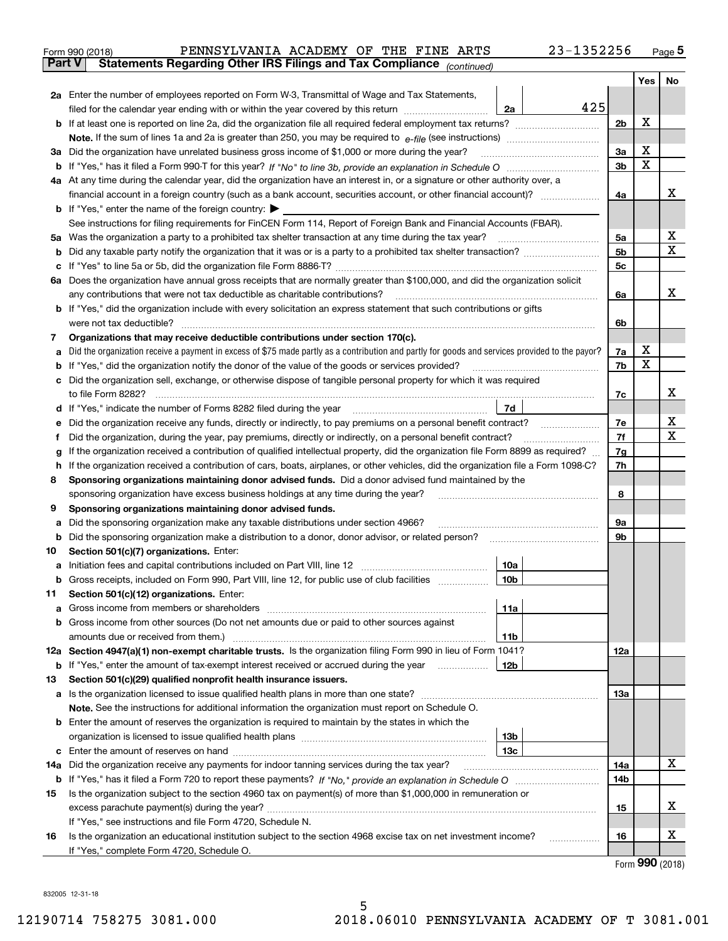| Form 990 (2018) | PENNSYLVANIA ACADEMY OF THE FINE ARTS                                                          |  |  | $23 - 1352256$ | Page 5 |
|-----------------|------------------------------------------------------------------------------------------------|--|--|----------------|--------|
|                 | <b>Part V</b> Statements Regarding Other IRS Filings and Tax Compliance <sub>(continued)</sub> |  |  |                |        |

|        |                                                                                                                                                                                         |                 |     |                      | Yes         | No |
|--------|-----------------------------------------------------------------------------------------------------------------------------------------------------------------------------------------|-----------------|-----|----------------------|-------------|----|
|        | 2a Enter the number of employees reported on Form W-3, Transmittal of Wage and Tax Statements,                                                                                          |                 |     |                      |             |    |
|        | filed for the calendar year ending with or within the year covered by this return                                                                                                       | 2a              | 425 |                      |             |    |
|        |                                                                                                                                                                                         |                 |     | 2 <sub>b</sub>       | X           |    |
|        | <b>Note.</b> If the sum of lines 1a and 2a is greater than 250, you may be required to $e$ -file (see instructions)                                                                     |                 |     |                      |             |    |
|        | 3a Did the organization have unrelated business gross income of \$1,000 or more during the year?                                                                                        |                 |     | 3a                   | X           |    |
|        |                                                                                                                                                                                         |                 |     | 3 <sub>b</sub>       | $\mathbf X$ |    |
|        | 4a At any time during the calendar year, did the organization have an interest in, or a signature or other authority over, a                                                            |                 |     |                      |             |    |
|        | financial account in a foreign country (such as a bank account, securities account, or other financial account)?                                                                        |                 |     | 4a                   |             | x  |
|        | <b>b</b> If "Yes," enter the name of the foreign country:                                                                                                                               |                 |     |                      |             |    |
|        | See instructions for filing requirements for FinCEN Form 114, Report of Foreign Bank and Financial Accounts (FBAR).                                                                     |                 |     |                      |             | х  |
| 5а     | Was the organization a party to a prohibited tax shelter transaction at any time during the tax year?                                                                                   |                 |     | 5a<br>5 <sub>b</sub> |             | X  |
| b<br>с |                                                                                                                                                                                         |                 |     | 5c                   |             |    |
|        | 6a Does the organization have annual gross receipts that are normally greater than \$100,000, and did the organization solicit                                                          |                 |     |                      |             |    |
|        | any contributions that were not tax deductible as charitable contributions?                                                                                                             |                 |     | 6a                   |             | x  |
|        | b If "Yes," did the organization include with every solicitation an express statement that such contributions or gifts                                                                  |                 |     |                      |             |    |
|        | were not tax deductible?                                                                                                                                                                |                 |     | 6b                   |             |    |
| 7      | Organizations that may receive deductible contributions under section 170(c).                                                                                                           |                 |     |                      |             |    |
| а      | Did the organization receive a payment in excess of \$75 made partly as a contribution and partly for goods and services provided to the payor?                                         |                 |     | 7a                   | х           |    |
|        | If "Yes," did the organization notify the donor of the value of the goods or services provided?                                                                                         |                 |     | 7b                   | Χ           |    |
| с      | Did the organization sell, exchange, or otherwise dispose of tangible personal property for which it was required                                                                       |                 |     |                      |             |    |
|        | to file Form 8282?                                                                                                                                                                      |                 |     | 7с                   |             | x  |
| d      | If "Yes," indicate the number of Forms 8282 filed during the year                                                                                                                       | 7d              |     |                      |             |    |
|        | Did the organization receive any funds, directly or indirectly, to pay premiums on a personal benefit contract?                                                                         |                 |     | 7e                   |             | х  |
| Ť      | Did the organization, during the year, pay premiums, directly or indirectly, on a personal benefit contract?                                                                            |                 |     | 7f                   |             | X  |
| g      | If the organization received a contribution of qualified intellectual property, did the organization file Form 8899 as required?                                                        |                 |     | 7g                   |             |    |
| h      | If the organization received a contribution of cars, boats, airplanes, or other vehicles, did the organization file a Form 1098-C?                                                      |                 |     | 7h                   |             |    |
| 8      | Sponsoring organizations maintaining donor advised funds. Did a donor advised fund maintained by the                                                                                    |                 |     |                      |             |    |
|        | sponsoring organization have excess business holdings at any time during the year?                                                                                                      |                 |     | 8                    |             |    |
| 9      | Sponsoring organizations maintaining donor advised funds.                                                                                                                               |                 |     | 9a                   |             |    |
| а<br>b | Did the sponsoring organization make any taxable distributions under section 4966?<br>Did the sponsoring organization make a distribution to a donor, donor advisor, or related person? |                 |     | 9b                   |             |    |
| 10     | Section 501(c)(7) organizations. Enter:                                                                                                                                                 |                 |     |                      |             |    |
| а      |                                                                                                                                                                                         | 10a             |     |                      |             |    |
| b      | Gross receipts, included on Form 990, Part VIII, line 12, for public use of club facilities                                                                                             | 10 <sub>b</sub> |     |                      |             |    |
| 11     | Section 501(c)(12) organizations. Enter:                                                                                                                                                |                 |     |                      |             |    |
|        |                                                                                                                                                                                         | 11a             |     |                      |             |    |
|        | <b>b</b> Gross income from other sources (Do not net amounts due or paid to other sources against                                                                                       |                 |     |                      |             |    |
|        | amounts due or received from them.)                                                                                                                                                     | 11b             |     |                      |             |    |
|        | 12a Section 4947(a)(1) non-exempt charitable trusts. Is the organization filing Form 990 in lieu of Form 1041?                                                                          |                 |     | <b>12a</b>           |             |    |
|        | <b>b</b> If "Yes," enter the amount of tax-exempt interest received or accrued during the year <i>manument</i>                                                                          | 12b             |     |                      |             |    |
| 13     | Section 501(c)(29) qualified nonprofit health insurance issuers.                                                                                                                        |                 |     |                      |             |    |
|        | a Is the organization licensed to issue qualified health plans in more than one state?                                                                                                  |                 |     | 13a                  |             |    |
|        | Note. See the instructions for additional information the organization must report on Schedule O.                                                                                       |                 |     |                      |             |    |
|        | <b>b</b> Enter the amount of reserves the organization is required to maintain by the states in which the                                                                               |                 |     |                      |             |    |
|        |                                                                                                                                                                                         | 13 <sub>b</sub> |     |                      |             |    |
|        | 14a Did the organization receive any payments for indoor tanning services during the tax year?                                                                                          | 13с             |     | 14a                  |             | x  |
|        |                                                                                                                                                                                         |                 |     | 14b                  |             |    |
| 15     | Is the organization subject to the section 4960 tax on payment(s) of more than \$1,000,000 in remuneration or                                                                           |                 |     |                      |             |    |
|        |                                                                                                                                                                                         |                 |     | 15                   |             | x  |
|        | If "Yes," see instructions and file Form 4720, Schedule N.                                                                                                                              |                 |     |                      |             |    |
| 16     | Is the organization an educational institution subject to the section 4968 excise tax on net investment income?                                                                         |                 |     | 16                   |             | х  |
|        | If "Yes," complete Form 4720, Schedule O.                                                                                                                                               |                 |     |                      |             |    |

Form (2018) **990**

832005 12-31-18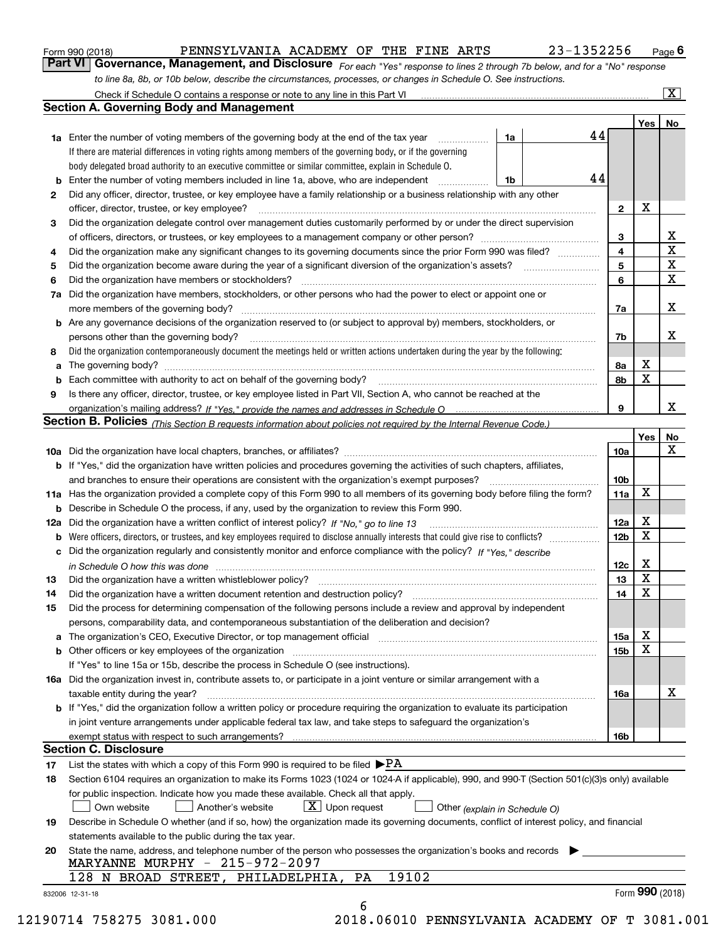| Form 990 (2018) |
|-----------------|
|-----------------|

| Form 990 (2018) | PENNSYLVANIA ACADEMY OF THE FINE ARTS                                                                            |  |  | 23-1352256                                                                                                                    | $P_{\text{aqe}}$ 6 |
|-----------------|------------------------------------------------------------------------------------------------------------------|--|--|-------------------------------------------------------------------------------------------------------------------------------|--------------------|
|                 |                                                                                                                  |  |  | Part VI   Governance, Management, and Disclosure For each "Yes" response to lines 2 through 7b below, and for a "No" response |                    |
|                 | to line 8a, 8b, or 10b below, describe the circumstances, processes, or changes in Schedule O. See instructions. |  |  |                                                                                                                               |                    |

|    |                                                                                                                                                                                                                                |    |  |    |                 | Yes   No    |                         |  |
|----|--------------------------------------------------------------------------------------------------------------------------------------------------------------------------------------------------------------------------------|----|--|----|-----------------|-------------|-------------------------|--|
|    | <b>1a</b> Enter the number of voting members of the governing body at the end of the tax year <i>manumum</i>                                                                                                                   | 1a |  | 44 |                 |             |                         |  |
|    | If there are material differences in voting rights among members of the governing body, or if the governing                                                                                                                    |    |  |    |                 |             |                         |  |
|    | body delegated broad authority to an executive committee or similar committee, explain in Schedule O.                                                                                                                          |    |  |    |                 |             |                         |  |
| b  | Enter the number of voting members included in line 1a, above, who are independent <i>manumum</i>                                                                                                                              | 1b |  | 44 |                 |             |                         |  |
| 2  | Did any officer, director, trustee, or key employee have a family relationship or a business relationship with any other                                                                                                       |    |  |    |                 |             |                         |  |
|    | officer, director, trustee, or key employee?                                                                                                                                                                                   |    |  |    | $\mathbf{2}$    | X           |                         |  |
| 3  | Did the organization delegate control over management duties customarily performed by or under the direct supervision                                                                                                          |    |  |    |                 |             | X                       |  |
|    |                                                                                                                                                                                                                                |    |  |    |                 |             |                         |  |
| 4  | Did the organization make any significant changes to its governing documents since the prior Form 990 was filed?                                                                                                               |    |  |    | 4               |             | $\overline{\mathbf{x}}$ |  |
| 5  |                                                                                                                                                                                                                                |    |  |    | 5               |             | $\mathbf X$             |  |
| 6  | Did the organization have members or stockholders?                                                                                                                                                                             |    |  |    | 6               |             | X                       |  |
| 7а | Did the organization have members, stockholders, or other persons who had the power to elect or appoint one or                                                                                                                 |    |  |    |                 |             |                         |  |
|    |                                                                                                                                                                                                                                |    |  |    | 7a              |             | X                       |  |
|    | <b>b</b> Are any governance decisions of the organization reserved to (or subject to approval by) members, stockholders, or                                                                                                    |    |  |    |                 |             |                         |  |
|    | persons other than the governing body?                                                                                                                                                                                         |    |  |    | 7b              |             | X                       |  |
| 8  | Did the organization contemporaneously document the meetings held or written actions undertaken during the year by the following:                                                                                              |    |  |    |                 |             |                         |  |
| a  |                                                                                                                                                                                                                                |    |  |    | 8а              | X           |                         |  |
| b  | Each committee with authority to act on behalf of the governing body? [10] manufacture manufacture with authority to act on behalf of the governing body? [10] manufacture with authority of the state with an interval and th |    |  |    | 8b              | X           |                         |  |
| 9  | Is there any officer, director, trustee, or key employee listed in Part VII, Section A, who cannot be reached at the                                                                                                           |    |  |    |                 |             |                         |  |
|    |                                                                                                                                                                                                                                |    |  |    | 9               |             | x                       |  |
|    | <b>Section B. Policies</b> (This Section B requests information about policies not required by the Internal Revenue Code.)                                                                                                     |    |  |    |                 |             |                         |  |
|    |                                                                                                                                                                                                                                |    |  |    |                 | Yes         | <b>No</b>               |  |
|    |                                                                                                                                                                                                                                |    |  |    | 10a             |             | X                       |  |
|    | <b>b</b> If "Yes," did the organization have written policies and procedures governing the activities of such chapters, affiliates,                                                                                            |    |  |    |                 |             |                         |  |
|    |                                                                                                                                                                                                                                |    |  |    | 10 <sub>b</sub> |             |                         |  |
|    | 11a Has the organization provided a complete copy of this Form 990 to all members of its governing body before filing the form?                                                                                                |    |  |    | 11a             | $\mathbf X$ |                         |  |
|    | <b>b</b> Describe in Schedule O the process, if any, used by the organization to review this Form 990.                                                                                                                         |    |  |    |                 |             |                         |  |
|    |                                                                                                                                                                                                                                |    |  |    | 12a             | X           |                         |  |
| b  |                                                                                                                                                                                                                                |    |  |    | 12 <sub>b</sub> | X           |                         |  |
| c  | Did the organization regularly and consistently monitor and enforce compliance with the policy? If "Yes," describe                                                                                                             |    |  |    |                 |             |                         |  |
|    | in Schedule O how this was done measured and contain an account of the state of the state of the state of the                                                                                                                  |    |  |    | 12c             | X           |                         |  |
| 13 |                                                                                                                                                                                                                                |    |  |    | 13              | X           |                         |  |
| 14 |                                                                                                                                                                                                                                |    |  |    | 14              | $\mathbf X$ |                         |  |
| 15 | Did the process for determining compensation of the following persons include a review and approval by independent                                                                                                             |    |  |    |                 |             |                         |  |
|    | persons, comparability data, and contemporaneous substantiation of the deliberation and decision?                                                                                                                              |    |  |    |                 |             |                         |  |
|    | The organization's CEO, Executive Director, or top management official manufactured content content of the organization's CEO, Executive Director, or top management official                                                  |    |  |    | 15a             | X           |                         |  |
| а  |                                                                                                                                                                                                                                |    |  |    | 15 <sub>b</sub> | X           |                         |  |
|    | If "Yes" to line 15a or 15b, describe the process in Schedule O (see instructions).                                                                                                                                            |    |  |    |                 |             |                         |  |
|    |                                                                                                                                                                                                                                |    |  |    |                 |             |                         |  |
|    | 16a Did the organization invest in, contribute assets to, or participate in a joint venture or similar arrangement with a                                                                                                      |    |  |    |                 |             | х                       |  |
|    | taxable entity during the year?<br>b If "Yes," did the organization follow a written policy or procedure requiring the organization to evaluate its participation                                                              |    |  |    | 16a             |             |                         |  |
|    |                                                                                                                                                                                                                                |    |  |    |                 |             |                         |  |
|    | in joint venture arrangements under applicable federal tax law, and take steps to safeguard the organization's                                                                                                                 |    |  |    |                 |             |                         |  |
|    | exempt status with respect to such arrangements?<br><b>Section C. Disclosure</b>                                                                                                                                               |    |  |    | <b>16b</b>      |             |                         |  |
|    |                                                                                                                                                                                                                                |    |  |    |                 |             |                         |  |
| 17 | List the states with which a copy of this Form 990 is required to be filed $\blacktriangleright$ PA                                                                                                                            |    |  |    |                 |             |                         |  |
| 18 | Section 6104 requires an organization to make its Forms 1023 (1024 or 1024-A if applicable), 990, and 990-T (Section 501(c)(3)s only) available                                                                                |    |  |    |                 |             |                         |  |
|    | for public inspection. Indicate how you made these available. Check all that apply.                                                                                                                                            |    |  |    |                 |             |                         |  |
|    | $X$ Upon request<br>Another's website<br>Own website<br>Other (explain in Schedule O)                                                                                                                                          |    |  |    |                 |             |                         |  |
| 19 | Describe in Schedule O whether (and if so, how) the organization made its governing documents, conflict of interest policy, and financial                                                                                      |    |  |    |                 |             |                         |  |
|    | statements available to the public during the tax year.                                                                                                                                                                        |    |  |    |                 |             |                         |  |
| 20 | State the name, address, and telephone number of the person who possesses the organization's books and records<br>MARYANNE MURPHY - 215-972-2097                                                                               |    |  |    |                 |             |                         |  |
|    | 19102<br>128 N BROAD STREET, PHILADELPHIA,<br>PA                                                                                                                                                                               |    |  |    |                 |             |                         |  |
|    |                                                                                                                                                                                                                                |    |  |    |                 |             | Form 990 (2018)         |  |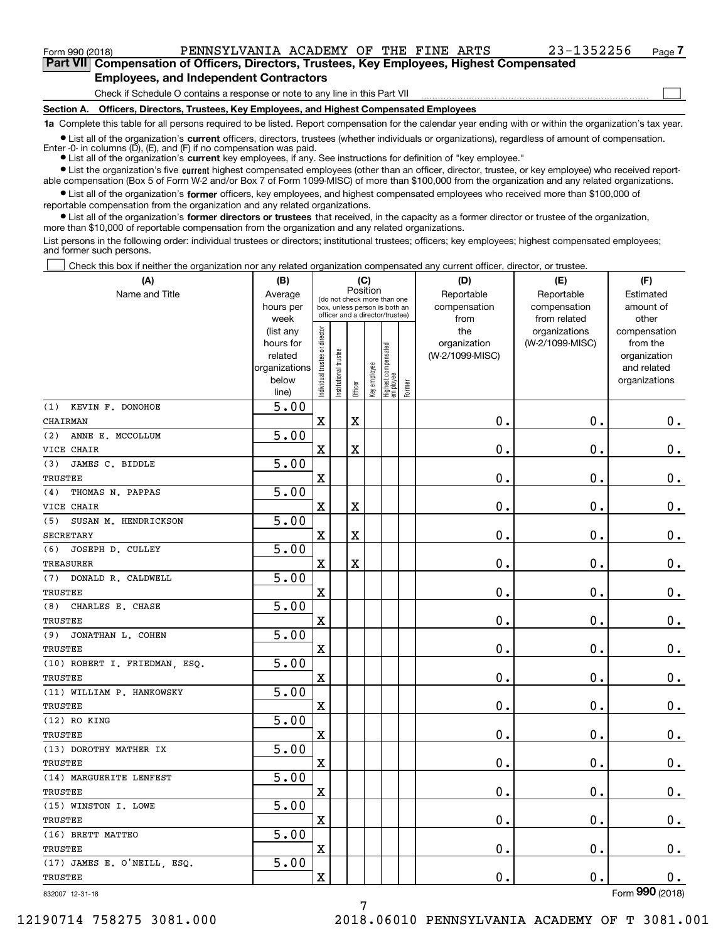$\mathcal{L}^{\text{max}}$ 

**7Part VII Compensation of Officers, Directors, Trustees, Key Employees, Highest Compensated**

### **Employees, and Independent Contractors**

Check if Schedule O contains a response or note to any line in this Part VII

**Section A. Officers, Directors, Trustees, Key Employees, and Highest Compensated Employees**

**1a**  Complete this table for all persons required to be listed. Report compensation for the calendar year ending with or within the organization's tax year.

**•** List all of the organization's current officers, directors, trustees (whether individuals or organizations), regardless of amount of compensation. Enter -0- in columns  $(D)$ ,  $(E)$ , and  $(F)$  if no compensation was paid.

● List all of the organization's **current** key employees, if any. See instructions for definition of "key employee."

**•** List the organization's five current highest compensated employees (other than an officer, director, trustee, or key employee) who received reportable compensation (Box 5 of Form W-2 and/or Box 7 of Form 1099-MISC) of more than \$100,000 from the organization and any related organizations.

 $\bullet$  List all of the organization's **former** officers, key employees, and highest compensated employees who received more than \$100,000 of reportable compensation from the organization and any related organizations.

**•** List all of the organization's former directors or trustees that received, in the capacity as a former director or trustee of the organization, more than \$10,000 of reportable compensation from the organization and any related organizations.

List persons in the following order: individual trustees or directors; institutional trustees; officers; key employees; highest compensated employees; and former such persons.

Check this box if neither the organization nor any related organization compensated any current officer, director, or trustee.  $\mathcal{L}^{\text{max}}$ 

| (A)                           | (B)               | (C)                            |                       |          |              |                                  |        | (D)             | (E)             | (F)             |  |  |
|-------------------------------|-------------------|--------------------------------|-----------------------|----------|--------------|----------------------------------|--------|-----------------|-----------------|-----------------|--|--|
| Name and Title                | Average           |                                |                       | Position |              | (do not check more than one      |        | Reportable      | Reportable      |                 |  |  |
|                               | hours per         |                                |                       |          |              | box, unless person is both an    |        | compensation    | amount of       |                 |  |  |
|                               | week              |                                |                       |          |              | officer and a director/trustee)  |        | from            | from related    | other           |  |  |
|                               | (list any         |                                |                       |          |              |                                  |        | the             | organizations   | compensation    |  |  |
|                               | hours for         |                                |                       |          |              |                                  |        | organization    | (W-2/1099-MISC) | from the        |  |  |
|                               | related           |                                |                       |          |              |                                  |        | (W-2/1099-MISC) |                 | organization    |  |  |
|                               | organizations     |                                |                       |          |              |                                  |        |                 |                 | and related     |  |  |
|                               | below<br>line)    | Individual trustee or director | Institutional trustee | Officer  | Key employee | Highest compensated<br> employee | Former |                 |                 | organizations   |  |  |
| (1) KEVIN F. DONOHOE          | 5.00              |                                |                       |          |              |                                  |        |                 |                 |                 |  |  |
| CHAIRMAN                      |                   | X                              |                       | X        |              |                                  |        | 0.              | $\mathbf 0$ .   | 0.              |  |  |
| ANNE E. MCCOLLUM<br>(2)       | $\overline{5.00}$ |                                |                       |          |              |                                  |        |                 |                 |                 |  |  |
| VICE CHAIR                    |                   | X                              |                       | X        |              |                                  |        | 0.              | $\mathbf 0$ .   | $0_{.}$         |  |  |
| JAMES C. BIDDLE<br>(3)        | 5.00              |                                |                       |          |              |                                  |        |                 |                 |                 |  |  |
| TRUSTEE                       |                   | X                              |                       |          |              |                                  |        | 0.              | $\mathbf 0$ .   | 0.              |  |  |
| THOMAS N. PAPPAS<br>(4)       | 5.00              |                                |                       |          |              |                                  |        |                 |                 |                 |  |  |
| VICE CHAIR                    |                   | X                              |                       | X        |              |                                  |        | 0.              | $\mathbf 0$ .   | $0_{.}$         |  |  |
| SUSAN M. HENDRICKSON<br>(5)   | 5.00              |                                |                       |          |              |                                  |        |                 |                 |                 |  |  |
| <b>SECRETARY</b>              |                   | X                              |                       | X        |              |                                  |        | 0.              | $\mathbf 0$ .   | $0_{.}$         |  |  |
| JOSEPH D. CULLEY<br>(6)       | 5.00              |                                |                       |          |              |                                  |        |                 |                 |                 |  |  |
| <b>TREASURER</b>              |                   | X                              |                       | X        |              |                                  |        | 0.              | $\mathbf 0$ .   | $\mathbf 0$ .   |  |  |
| (7) DONALD R. CALDWELL        | 5.00              |                                |                       |          |              |                                  |        |                 |                 |                 |  |  |
| TRUSTEE                       |                   | X                              |                       |          |              |                                  |        | 0.              | $\mathbf 0$ .   | $\mathbf 0$ .   |  |  |
| CHARLES E. CHASE<br>(8)       | $\overline{5.00}$ |                                |                       |          |              |                                  |        |                 |                 |                 |  |  |
| TRUSTEE                       |                   | X                              |                       |          |              |                                  |        | 0.              | $\mathbf 0$ .   | $\mathbf 0$ .   |  |  |
| JONATHAN L. COHEN<br>(9)      | $\overline{5.00}$ |                                |                       |          |              |                                  |        |                 |                 |                 |  |  |
| TRUSTEE                       |                   | X                              |                       |          |              |                                  |        | 0.              | $\mathbf 0$ .   | $\mathbf 0$ .   |  |  |
| (10) ROBERT I. FRIEDMAN, ESQ. | 5.00              |                                |                       |          |              |                                  |        |                 |                 |                 |  |  |
| TRUSTEE                       |                   | X                              |                       |          |              |                                  |        | 0.              | $\mathbf 0$ .   | $\mathbf 0$ .   |  |  |
| (11) WILLIAM P. HANKOWSKY     | 5.00              |                                |                       |          |              |                                  |        |                 |                 |                 |  |  |
| TRUSTEE<br>(12) RO KING       | 5.00              | X                              |                       |          |              |                                  |        | 0.              | $\mathbf 0$ .   | $\mathbf 0$ .   |  |  |
| TRUSTEE                       |                   | X                              |                       |          |              |                                  |        | 0.              | $\mathbf 0$ .   | 0.              |  |  |
| (13) DOROTHY MATHER IX        | 5.00              |                                |                       |          |              |                                  |        |                 |                 |                 |  |  |
| TRUSTEE                       |                   | X                              |                       |          |              |                                  |        | 0.              | 0.              | 0.              |  |  |
| (14) MARGUERITE LENFEST       | 5.00              |                                |                       |          |              |                                  |        |                 |                 |                 |  |  |
| TRUSTEE                       |                   | X                              |                       |          |              |                                  |        | 0.              | $\mathbf 0$ .   | 0.              |  |  |
| (15) WINSTON I. LOWE          | 5.00              |                                |                       |          |              |                                  |        |                 |                 |                 |  |  |
| TRUSTEE                       |                   | x                              |                       |          |              |                                  |        | $\mathbf 0$ .   | $\mathbf 0$ .   | 0.              |  |  |
| (16) BRETT MATTEO             | 5.00              |                                |                       |          |              |                                  |        |                 |                 |                 |  |  |
| <b>TRUSTEE</b>                |                   | X                              |                       |          |              |                                  |        | $\mathbf 0$ .   | $\mathbf 0$ .   | 0.              |  |  |
| (17) JAMES E. O'NEILL, ESQ.   | 5.00              |                                |                       |          |              |                                  |        |                 |                 |                 |  |  |
| TRUSTEE                       |                   | x                              |                       |          |              |                                  |        | $\mathbf 0$ .   | $\mathbf 0$ .   | 0.              |  |  |
| 832007 12-31-18               |                   |                                |                       |          |              |                                  |        |                 |                 | Form 990 (2018) |  |  |

832007 12-31-18

12190714 758275 3081.000 2018.06010 PENNSYLVANIA ACADEMY OF T 3081.001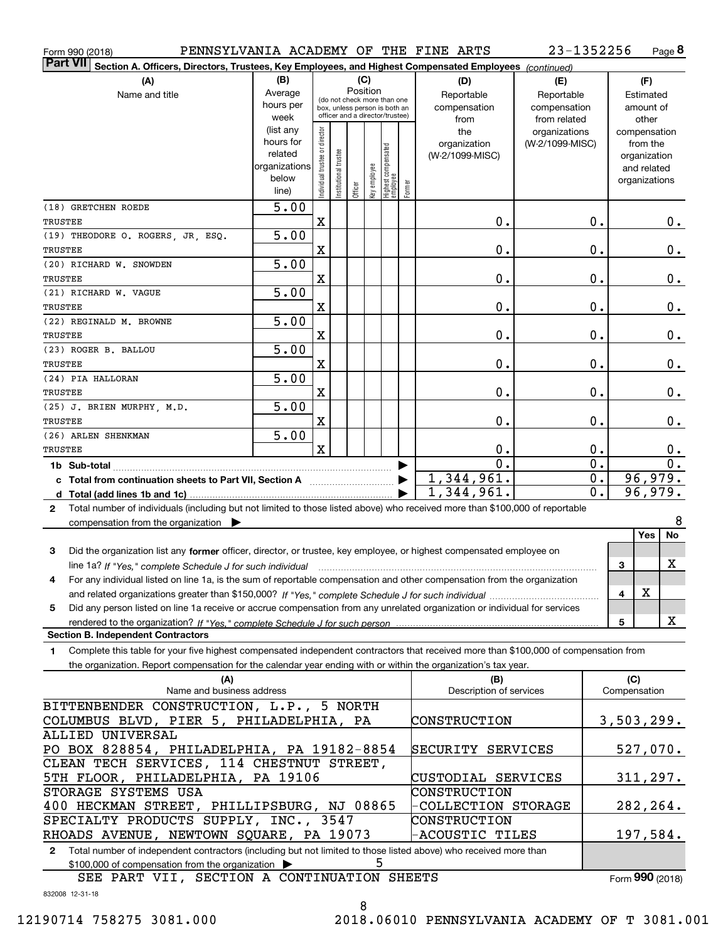| Form 990 (2018)                                                                                                                              |                        |                                |                       |                                                              |   |                                                 |        | PENNSYLVANIA ACADEMY OF THE FINE ARTS | 23-1352256      |                  |   |                               | Page 8    |
|----------------------------------------------------------------------------------------------------------------------------------------------|------------------------|--------------------------------|-----------------------|--------------------------------------------------------------|---|-------------------------------------------------|--------|---------------------------------------|-----------------|------------------|---|-------------------------------|-----------|
| <b>Part VII</b><br>Section A. Officers, Directors, Trustees, Key Employees, and Highest Compensated Employees (continued)                    |                        |                                |                       |                                                              |   |                                                 |        |                                       |                 |                  |   |                               |           |
| (A)                                                                                                                                          | (B)                    |                                |                       | (C)                                                          |   |                                                 |        | (D)                                   | (E)             |                  |   | (F)                           |           |
| Name and title                                                                                                                               | Average                |                                |                       | Position                                                     |   |                                                 |        | Reportable                            | Reportable      |                  |   | Estimated                     |           |
|                                                                                                                                              | hours per              |                                |                       | (do not check more than one<br>box, unless person is both an |   |                                                 |        | compensation                          | compensation    |                  |   | amount of                     |           |
|                                                                                                                                              | week                   |                                |                       | officer and a director/trustee)                              |   |                                                 |        | from                                  | from related    |                  |   | other                         |           |
|                                                                                                                                              | (list any              |                                |                       |                                                              |   |                                                 |        | the                                   | organizations   |                  |   | compensation                  |           |
|                                                                                                                                              | hours for              |                                |                       |                                                              |   |                                                 |        | organization                          | (W-2/1099-MISC) |                  |   | from the                      |           |
|                                                                                                                                              | related                |                                |                       |                                                              |   |                                                 |        | (W-2/1099-MISC)                       |                 |                  |   | organization                  |           |
|                                                                                                                                              | organizations<br>below |                                |                       |                                                              |   |                                                 |        |                                       |                 |                  |   | and related                   |           |
|                                                                                                                                              | line)                  | Individual trustee or director | Institutional trustee | Officer                                                      |   | Key employee<br>Highest compensated<br>employee | Former |                                       |                 |                  |   | organizations                 |           |
| (18) GRETCHEN ROEDE                                                                                                                          | $\overline{5.00}$      |                                |                       |                                                              |   |                                                 |        |                                       |                 |                  |   |                               |           |
| TRUSTEE                                                                                                                                      |                        | $\mathbf X$                    |                       |                                                              |   |                                                 |        | $\mathbf 0$ .                         |                 | 0.               |   |                               | 0.        |
| (19) THEODORE O. ROGERS, JR, ESQ.                                                                                                            | $\overline{5.00}$      |                                |                       |                                                              |   |                                                 |        |                                       |                 |                  |   |                               |           |
| TRUSTEE                                                                                                                                      |                        | X                              |                       |                                                              |   |                                                 |        | $\mathbf 0$ .                         |                 | 0.               |   |                               | 0.        |
| (20) RICHARD W. SNOWDEN                                                                                                                      | $\overline{5.00}$      |                                |                       |                                                              |   |                                                 |        |                                       |                 |                  |   |                               |           |
| <b>TRUSTEE</b>                                                                                                                               |                        | X                              |                       |                                                              |   |                                                 |        | $\mathbf 0$ .                         |                 | 0.               |   |                               | 0.        |
| (21) RICHARD W. VAGUE                                                                                                                        | $\overline{5.00}$      |                                |                       |                                                              |   |                                                 |        |                                       |                 |                  |   |                               |           |
| TRUSTEE                                                                                                                                      |                        | X                              |                       |                                                              |   |                                                 |        | $\mathbf 0$ .                         |                 | 0.               |   |                               | 0.        |
| (22) REGINALD M. BROWNE                                                                                                                      | $\overline{5.00}$      |                                |                       |                                                              |   |                                                 |        |                                       |                 |                  |   |                               |           |
| TRUSTEE                                                                                                                                      |                        | X                              |                       |                                                              |   |                                                 |        | $\mathbf 0$ .                         |                 | 0.               |   |                               | 0.        |
| (23) ROGER B. BALLOU                                                                                                                         | $\overline{5.00}$      |                                |                       |                                                              |   |                                                 |        |                                       |                 |                  |   |                               |           |
| <b>TRUSTEE</b>                                                                                                                               |                        | X                              |                       |                                                              |   |                                                 |        | $\mathbf 0$ .                         |                 | 0.               |   |                               | 0.        |
| (24) PIA HALLORAN                                                                                                                            | $\overline{5.00}$      |                                |                       |                                                              |   |                                                 |        |                                       |                 |                  |   |                               |           |
| TRUSTEE                                                                                                                                      |                        | X                              |                       |                                                              |   |                                                 |        | $\mathbf 0$ .                         |                 | 0.               |   |                               | 0.        |
| (25) J. BRIEN MURPHY, M.D.<br><b>TRUSTEE</b>                                                                                                 | $\overline{5.00}$      | X                              |                       |                                                              |   |                                                 |        | $\mathbf 0$ .                         |                 | 0.               |   |                               |           |
| (26) ARLEN SHENKMAN                                                                                                                          | 5.00                   |                                |                       |                                                              |   |                                                 |        |                                       |                 |                  |   |                               | 0.        |
| <b>TRUSTEE</b>                                                                                                                               |                        | $\mathbf x$                    |                       |                                                              |   |                                                 |        | $\mathbf 0$ .                         |                 | 0.               |   |                               | 0.        |
|                                                                                                                                              |                        |                                |                       |                                                              |   |                                                 |        | $\overline{0}$ .                      |                 | $\overline{0}$ . |   |                               | 0.        |
| c Total from continuation sheets to Part VII, Section A                                                                                      |                        |                                |                       |                                                              |   |                                                 |        | 1,344,961.                            |                 | $\overline{0}$ . |   | 96,979.                       |           |
|                                                                                                                                              |                        |                                |                       |                                                              |   |                                                 |        | 1,344,961.                            |                 | $\overline{0}$ . |   | 96,979.                       |           |
| Total number of individuals (including but not limited to those listed above) who received more than \$100,000 of reportable<br>$\mathbf{2}$ |                        |                                |                       |                                                              |   |                                                 |        |                                       |                 |                  |   |                               |           |
| compensation from the organization $\blacktriangleright$                                                                                     |                        |                                |                       |                                                              |   |                                                 |        |                                       |                 |                  |   |                               | 8         |
|                                                                                                                                              |                        |                                |                       |                                                              |   |                                                 |        |                                       |                 |                  |   | Yes                           | <b>No</b> |
| 3<br>Did the organization list any former officer, director, or trustee, key employee, or highest compensated employee on                    |                        |                                |                       |                                                              |   |                                                 |        |                                       |                 |                  |   |                               |           |
| line 1a? If "Yes," complete Schedule J for such individual manufactured contained and the Ves," complete Schedule J for such individual      |                        |                                |                       |                                                              |   |                                                 |        |                                       |                 |                  | З |                               | х         |
| For any individual listed on line 1a, is the sum of reportable compensation and other compensation from the organization                     |                        |                                |                       |                                                              |   |                                                 |        |                                       |                 |                  |   |                               |           |
|                                                                                                                                              |                        |                                |                       |                                                              |   |                                                 |        |                                       |                 |                  | 4 | X                             |           |
| Did any person listed on line 1a receive or accrue compensation from any unrelated organization or individual for services<br>5              |                        |                                |                       |                                                              |   |                                                 |        |                                       |                 |                  |   |                               |           |
|                                                                                                                                              |                        |                                |                       |                                                              |   |                                                 |        |                                       |                 |                  | 5 |                               | X         |
| <b>Section B. Independent Contractors</b>                                                                                                    |                        |                                |                       |                                                              |   |                                                 |        |                                       |                 |                  |   |                               |           |
| Complete this table for your five highest compensated independent contractors that received more than \$100,000 of compensation from<br>1    |                        |                                |                       |                                                              |   |                                                 |        |                                       |                 |                  |   |                               |           |
| the organization. Report compensation for the calendar year ending with or within the organization's tax year.                               |                        |                                |                       |                                                              |   |                                                 |        |                                       |                 |                  |   |                               |           |
| (A)                                                                                                                                          |                        |                                |                       |                                                              |   |                                                 |        | (B)                                   |                 |                  |   | (C)                           |           |
| Name and business address                                                                                                                    |                        |                                |                       |                                                              |   |                                                 |        | Description of services               |                 |                  |   | Compensation                  |           |
| BITTENBENDER CONSTRUCTION, L.P., 5 NORTH                                                                                                     |                        |                                |                       |                                                              |   |                                                 |        |                                       |                 |                  |   |                               |           |
| COLUMBUS BLVD, PIER 5, PHILADELPHIA, PA                                                                                                      |                        |                                |                       |                                                              |   |                                                 |        | CONSTRUCTION                          |                 |                  |   | 3,503,299.                    |           |
| ALLIED UNIVERSAL                                                                                                                             |                        |                                |                       |                                                              |   |                                                 |        |                                       |                 |                  |   |                               |           |
| PO BOX 828854, PHILADELPHIA, PA 19182-8854<br>CLEAN TECH SERVICES, 114 CHESTNUT STREET,                                                      |                        |                                |                       |                                                              |   |                                                 |        | SECURITY SERVICES                     |                 |                  |   | 527,070.                      |           |
| 5TH FLOOR, PHILADELPHIA, PA 19106                                                                                                            |                        |                                |                       |                                                              |   |                                                 |        | CUSTODIAL SERVICES                    |                 |                  |   | 311, 297.                     |           |
| STORAGE SYSTEMS USA<br>CONSTRUCTION                                                                                                          |                        |                                |                       |                                                              |   |                                                 |        |                                       |                 |                  |   |                               |           |
| 400 HECKMAN STREET, PHILLIPSBURG, NJ 08865                                                                                                   |                        |                                |                       |                                                              |   |                                                 |        | COLLECTION STORAGE                    |                 |                  |   | 282,264.                      |           |
| SPECIALTY PRODUCTS SUPPLY, INC., 3547                                                                                                        |                        |                                |                       |                                                              |   |                                                 |        | CONSTRUCTION                          |                 |                  |   |                               |           |
| RHOADS AVENUE, NEWTOWN SQUARE, PA 19073                                                                                                      |                        |                                |                       |                                                              |   |                                                 |        | ACOUSTIC TILES                        |                 |                  |   | 197,584.                      |           |
| Total number of independent contractors (including but not limited to those listed above) who received more than<br>2                        |                        |                                |                       |                                                              |   |                                                 |        |                                       |                 |                  |   |                               |           |
| \$100,000 of compensation from the organization                                                                                              |                        |                                |                       |                                                              | 5 |                                                 |        |                                       |                 |                  |   |                               |           |
| SEE PART VII SECTION A CONTINUATION SHEETS                                                                                                   |                        |                                |                       |                                                              |   |                                                 |        |                                       |                 |                  |   | $F_{\text{arm}}$ 990 $(2019)$ |           |

SEE PART VII, SECTION A CONTINUATION SHEETS

Form (2018) **990**

832008 12-31-18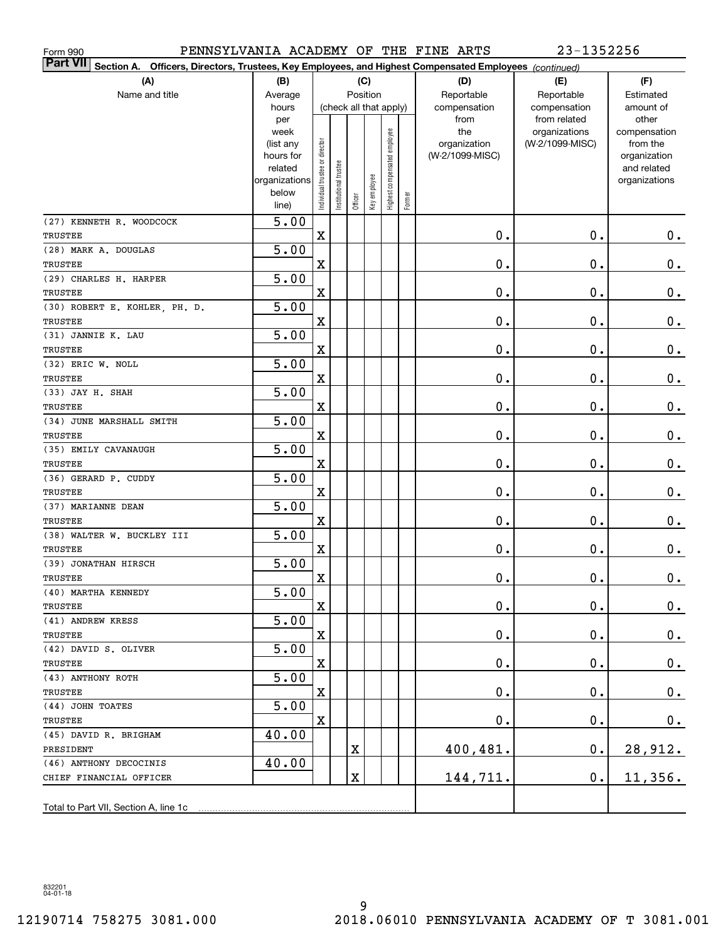| 23-1352256<br>PENNSYLVANIA ACADEMY OF THE FINE ARTS<br>Form 990                                                        |                   |                                |                       |                        |              |                              |        |                     |                                  |                          |  |  |
|------------------------------------------------------------------------------------------------------------------------|-------------------|--------------------------------|-----------------------|------------------------|--------------|------------------------------|--------|---------------------|----------------------------------|--------------------------|--|--|
| Part VII <br>Officers, Directors, Trustees, Key Employees, and Highest Compensated Employees (continued)<br>Section A. |                   |                                |                       |                        |              |                              |        |                     |                                  |                          |  |  |
| (A)                                                                                                                    | (B)               |                                | (D)                   | (E)                    | (F)          |                              |        |                     |                                  |                          |  |  |
| Name and title                                                                                                         | Average           |                                |                       | (C)<br>Position        |              |                              |        | Reportable          | Reportable                       | Estimated                |  |  |
|                                                                                                                        | hours             |                                |                       | (check all that apply) |              |                              |        | compensation        | compensation                     | amount of                |  |  |
|                                                                                                                        | per               |                                |                       |                        |              |                              |        | from                | from related                     | other                    |  |  |
|                                                                                                                        | week<br>(list any |                                |                       |                        |              | Highest compensated employee |        | the<br>organization | organizations<br>(W-2/1099-MISC) | compensation<br>from the |  |  |
|                                                                                                                        | hours for         |                                |                       |                        |              |                              |        | (W-2/1099-MISC)     |                                  | organization             |  |  |
|                                                                                                                        | related           |                                |                       |                        |              |                              |        |                     |                                  | and related              |  |  |
|                                                                                                                        | organizations     |                                |                       |                        |              |                              |        |                     |                                  | organizations            |  |  |
|                                                                                                                        | below             | Individual trustee or director | Institutional trustee |                        | Key employee |                              | Former |                     |                                  |                          |  |  |
|                                                                                                                        | line)             |                                |                       | Officer                |              |                              |        |                     |                                  |                          |  |  |
| (27) KENNETH R. WOODCOCK                                                                                               | 5.00              | $\overline{\textbf{X}}$        |                       |                        |              |                              |        | $\mathbf 0$ .       | 0.                               |                          |  |  |
| TRUSTEE<br>(28) MARK A. DOUGLAS                                                                                        | 5.00              |                                |                       |                        |              |                              |        |                     |                                  | $\mathbf 0$ .            |  |  |
| TRUSTEE                                                                                                                |                   | $\mathbf x$                    |                       |                        |              |                              |        | $\mathbf 0$ .       | 0.                               | $0_{.}$                  |  |  |
| (29) CHARLES H. HARPER                                                                                                 | 5.00              |                                |                       |                        |              |                              |        |                     |                                  |                          |  |  |
| TRUSTEE                                                                                                                |                   | $\mathbf X$                    |                       |                        |              |                              |        | $\mathbf 0$ .       | 0.                               | $\mathbf 0$ .            |  |  |
| (30) ROBERT E. KOHLER, PH. D.                                                                                          | 5.00              |                                |                       |                        |              |                              |        |                     |                                  |                          |  |  |
| TRUSTEE                                                                                                                |                   | $\mathbf X$                    |                       |                        |              |                              |        | $\mathbf 0$ .       | 0.                               | $\mathbf 0$ .            |  |  |
| (31) JANNIE K. LAU                                                                                                     | 5.00              |                                |                       |                        |              |                              |        |                     |                                  |                          |  |  |
| TRUSTEE                                                                                                                |                   | $\mathbf X$                    |                       |                        |              |                              |        | $\mathbf 0$ .       | 0.                               | $\mathbf 0$ .            |  |  |
| (32) ERIC W. NOLL                                                                                                      | 5.00              |                                |                       |                        |              |                              |        |                     |                                  |                          |  |  |
| TRUSTEE                                                                                                                |                   | $\mathbf X$                    |                       |                        |              |                              |        | $\mathbf 0$ .       | 0.                               | $0_{.}$                  |  |  |
| (33) JAY H. SHAH                                                                                                       | 5.00              |                                |                       |                        |              |                              |        |                     |                                  |                          |  |  |
| TRUSTEE                                                                                                                |                   | $\mathbf X$                    |                       |                        |              |                              |        | $\mathbf 0$ .       | 0.                               | $0_{.}$                  |  |  |
| (34) JUNE MARSHALL SMITH                                                                                               | 5.00              |                                |                       |                        |              |                              |        |                     |                                  |                          |  |  |
| TRUSTEE                                                                                                                |                   | $\mathbf X$                    |                       |                        |              |                              |        | $\mathbf 0$ .       | 0.                               | $0_{.}$                  |  |  |
| (35) EMILY CAVANAUGH                                                                                                   | 5.00              |                                |                       |                        |              |                              |        |                     |                                  |                          |  |  |
| TRUSTEE                                                                                                                |                   | $\mathbf X$                    |                       |                        |              |                              |        | $\mathbf 0$ .       | 0.                               | $0_{.}$                  |  |  |
| (36) GERARD P. CUDDY                                                                                                   | 5.00              |                                |                       |                        |              |                              |        |                     |                                  |                          |  |  |
| TRUSTEE                                                                                                                |                   | $\mathbf X$                    |                       |                        |              |                              |        | $\mathbf 0$ .       | 0.                               | 0.                       |  |  |
| (37) MARIANNE DEAN                                                                                                     | 5.00              |                                |                       |                        |              |                              |        |                     |                                  |                          |  |  |
| TRUSTEE                                                                                                                |                   | $\mathbf X$                    |                       |                        |              |                              |        | $\mathbf 0$ .       | 0.                               | 0.                       |  |  |
| (38) WALTER W. BUCKLEY III                                                                                             | 5.00              |                                |                       |                        |              |                              |        |                     |                                  |                          |  |  |
| TRUSTEE                                                                                                                |                   | $\mathbf X$                    |                       |                        |              |                              |        | Ο.                  | 0.                               | 0.                       |  |  |
| (39) JONATHAN HIRSCH                                                                                                   | 5.00              |                                |                       |                        |              |                              |        |                     |                                  |                          |  |  |
| TRUSTEE<br>(40) MARTHA KENNEDY                                                                                         | $\overline{5.00}$ | $\mathbf X$                    |                       |                        |              |                              |        | $\pmb{0}$ .         | $\mathbf 0$ .                    | $\pmb{0}$ .              |  |  |
| TRUSTEE                                                                                                                |                   | X                              |                       |                        |              |                              |        | О.                  | 0.                               | 0.                       |  |  |
| (41) ANDREW KRESS                                                                                                      | 5.00              |                                |                       |                        |              |                              |        |                     |                                  |                          |  |  |
| TRUSTEE                                                                                                                |                   | X                              |                       |                        |              |                              |        | О.                  | $\mathbf 0$ .                    | $0_{\bullet}$            |  |  |
| (42) DAVID S. OLIVER                                                                                                   | 5.00              |                                |                       |                        |              |                              |        |                     |                                  |                          |  |  |
| TRUSTEE                                                                                                                |                   | X                              |                       |                        |              |                              |        | О.                  | $\mathbf 0$ .                    | 0.                       |  |  |
| (43) ANTHONY ROTH                                                                                                      | 5.00              |                                |                       |                        |              |                              |        |                     |                                  |                          |  |  |
| TRUSTEE                                                                                                                |                   | $\mathbf X$                    |                       |                        |              |                              |        | О.                  | $\mathbf 0$ .                    | 0.                       |  |  |
| (44) JOHN TOATES                                                                                                       | 5.00              |                                |                       |                        |              |                              |        |                     |                                  |                          |  |  |
| TRUSTEE                                                                                                                |                   | $\mathbf X$                    |                       |                        |              |                              |        | О.                  | $\mathbf 0$ .                    | 0.                       |  |  |
| (45) DAVID R. BRIGHAM                                                                                                  | 40.00             |                                |                       |                        |              |                              |        |                     |                                  |                          |  |  |
| PRESIDENT                                                                                                              |                   |                                |                       | X                      |              |                              |        | 400,481.            | $0$ .                            | <u>28,912.</u>           |  |  |
| (46) ANTHONY DECOCINIS                                                                                                 | 40.00             |                                |                       |                        |              |                              |        |                     |                                  |                          |  |  |
| CHIEF FINANCIAL OFFICER                                                                                                |                   |                                |                       | $\mathbf X$            |              |                              |        | 144,711.            | $\mathbf 0$ .                    | 11,356.                  |  |  |
|                                                                                                                        |                   |                                |                       |                        |              |                              |        |                     |                                  |                          |  |  |
| Total to Part VII, Section A, line 1c                                                                                  |                   |                                |                       |                        |              |                              |        |                     |                                  |                          |  |  |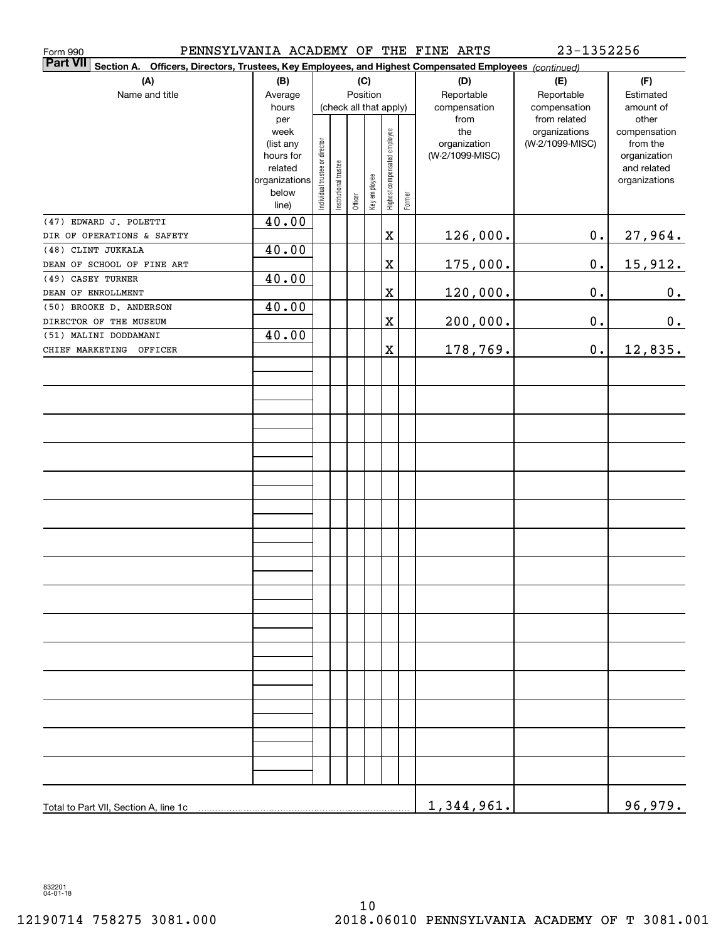| 23-1352256<br>PENNSYLVANIA ACADEMY OF THE FINE ARTS<br>Form 990 |                        |                                                                                                        |                       |          |              |                              |        |                                 |                 |                          |  |
|-----------------------------------------------------------------|------------------------|--------------------------------------------------------------------------------------------------------|-----------------------|----------|--------------|------------------------------|--------|---------------------------------|-----------------|--------------------------|--|
| <b>Part VII</b>                                                 |                        | Section A. Officers, Directors, Trustees, Key Employees, and Highest Compensated Employees (continued) |                       |          |              |                              |        |                                 |                 |                          |  |
| (A)                                                             | (B)                    |                                                                                                        |                       |          | (C)          |                              |        | (D)                             | (E)             | (F)                      |  |
| Name and title                                                  | Average                |                                                                                                        |                       | Position |              |                              |        | Reportable                      | Reportable      | Estimated                |  |
|                                                                 | hours                  |                                                                                                        |                       |          |              | (check all that apply)       |        | compensation                    | compensation    | amount of                |  |
|                                                                 | per                    |                                                                                                        |                       |          |              |                              |        | from                            | from related    | other                    |  |
|                                                                 | week                   |                                                                                                        |                       |          |              |                              |        | the                             | organizations   | compensation             |  |
|                                                                 | (list any<br>hours for |                                                                                                        |                       |          |              |                              |        | organization<br>(W-2/1099-MISC) | (W-2/1099-MISC) | from the<br>organization |  |
|                                                                 | related                |                                                                                                        |                       |          |              |                              |        |                                 |                 | and related              |  |
|                                                                 | organizations          |                                                                                                        |                       |          |              |                              |        |                                 |                 | organizations            |  |
|                                                                 | below                  | Individual trustee or director                                                                         | Institutional trustee |          | Key employee | Highest compensated employee | Former |                                 |                 |                          |  |
|                                                                 | line)                  |                                                                                                        |                       | Officer  |              |                              |        |                                 |                 |                          |  |
| (47) EDWARD J. POLETTI                                          | 40.00                  |                                                                                                        |                       |          |              |                              |        |                                 |                 |                          |  |
| DIR OF OPERATIONS & SAFETY                                      |                        |                                                                                                        |                       |          |              | $\mathbf X$                  |        | 126,000.                        | $\mathbf 0$ .   | 27,964.                  |  |
| (48) CLINT JUKKALA                                              | 40.00                  |                                                                                                        |                       |          |              |                              |        |                                 |                 |                          |  |
| DEAN OF SCHOOL OF FINE ART                                      |                        |                                                                                                        |                       |          |              | $\mathbf X$                  |        | 175,000.                        | $\mathbf 0$ .   | 15,912.                  |  |
| (49) CASEY TURNER                                               | 40.00                  |                                                                                                        |                       |          |              |                              |        |                                 |                 |                          |  |
| DEAN OF ENROLLMENT                                              |                        |                                                                                                        |                       |          |              | $\mathbf X$                  |        | 120,000.                        | 0.              | 0.                       |  |
| (50) BROOKE D. ANDERSON                                         | 40.00                  |                                                                                                        |                       |          |              |                              |        |                                 |                 |                          |  |
| DIRECTOR OF THE MUSEUM                                          |                        |                                                                                                        |                       |          |              | $\mathbf X$                  |        | 200,000.                        | $0$ .           | 0.                       |  |
| (51) MALINI DODDAMANI                                           | 40.00                  |                                                                                                        |                       |          |              |                              |        |                                 |                 |                          |  |
| CHIEF MARKETING OFFICER                                         |                        |                                                                                                        |                       |          |              | $\mathbf X$                  |        | 178,769.                        | $\mathbf 0$ .   | 12,835.                  |  |
|                                                                 |                        |                                                                                                        |                       |          |              |                              |        |                                 |                 |                          |  |
|                                                                 |                        |                                                                                                        |                       |          |              |                              |        |                                 |                 |                          |  |
|                                                                 |                        |                                                                                                        |                       |          |              |                              |        |                                 |                 |                          |  |
|                                                                 |                        |                                                                                                        |                       |          |              |                              |        |                                 |                 |                          |  |
|                                                                 |                        |                                                                                                        |                       |          |              |                              |        |                                 |                 |                          |  |
|                                                                 |                        |                                                                                                        |                       |          |              |                              |        |                                 |                 |                          |  |
|                                                                 |                        |                                                                                                        |                       |          |              |                              |        |                                 |                 |                          |  |
|                                                                 |                        |                                                                                                        |                       |          |              |                              |        |                                 |                 |                          |  |
|                                                                 |                        |                                                                                                        |                       |          |              |                              |        |                                 |                 |                          |  |
|                                                                 |                        |                                                                                                        |                       |          |              |                              |        |                                 |                 |                          |  |
|                                                                 |                        |                                                                                                        |                       |          |              |                              |        |                                 |                 |                          |  |
|                                                                 |                        |                                                                                                        |                       |          |              |                              |        |                                 |                 |                          |  |
|                                                                 |                        |                                                                                                        |                       |          |              |                              |        |                                 |                 |                          |  |
|                                                                 |                        |                                                                                                        |                       |          |              |                              |        |                                 |                 |                          |  |
|                                                                 |                        |                                                                                                        |                       |          |              |                              |        |                                 |                 |                          |  |
|                                                                 |                        |                                                                                                        |                       |          |              |                              |        |                                 |                 |                          |  |
|                                                                 |                        |                                                                                                        |                       |          |              |                              |        |                                 |                 |                          |  |
|                                                                 |                        |                                                                                                        |                       |          |              |                              |        |                                 |                 |                          |  |
|                                                                 |                        |                                                                                                        |                       |          |              |                              |        |                                 |                 |                          |  |
|                                                                 |                        |                                                                                                        |                       |          |              |                              |        |                                 |                 |                          |  |
|                                                                 |                        |                                                                                                        |                       |          |              |                              |        |                                 |                 |                          |  |
|                                                                 |                        |                                                                                                        |                       |          |              |                              |        |                                 |                 |                          |  |
|                                                                 |                        |                                                                                                        |                       |          |              |                              |        |                                 |                 |                          |  |
|                                                                 |                        |                                                                                                        |                       |          |              |                              |        |                                 |                 |                          |  |
|                                                                 |                        |                                                                                                        |                       |          |              |                              |        |                                 |                 |                          |  |
|                                                                 |                        |                                                                                                        |                       |          |              |                              |        |                                 |                 |                          |  |
|                                                                 |                        |                                                                                                        |                       |          |              |                              |        |                                 |                 |                          |  |
|                                                                 |                        |                                                                                                        |                       |          |              |                              |        |                                 |                 |                          |  |
|                                                                 |                        |                                                                                                        |                       |          |              |                              |        |                                 |                 |                          |  |
| Total to Part VII, Section A, line 1c                           |                        |                                                                                                        |                       |          |              |                              |        | 1,344,961.                      |                 | 96,979.                  |  |

832201 04-01-18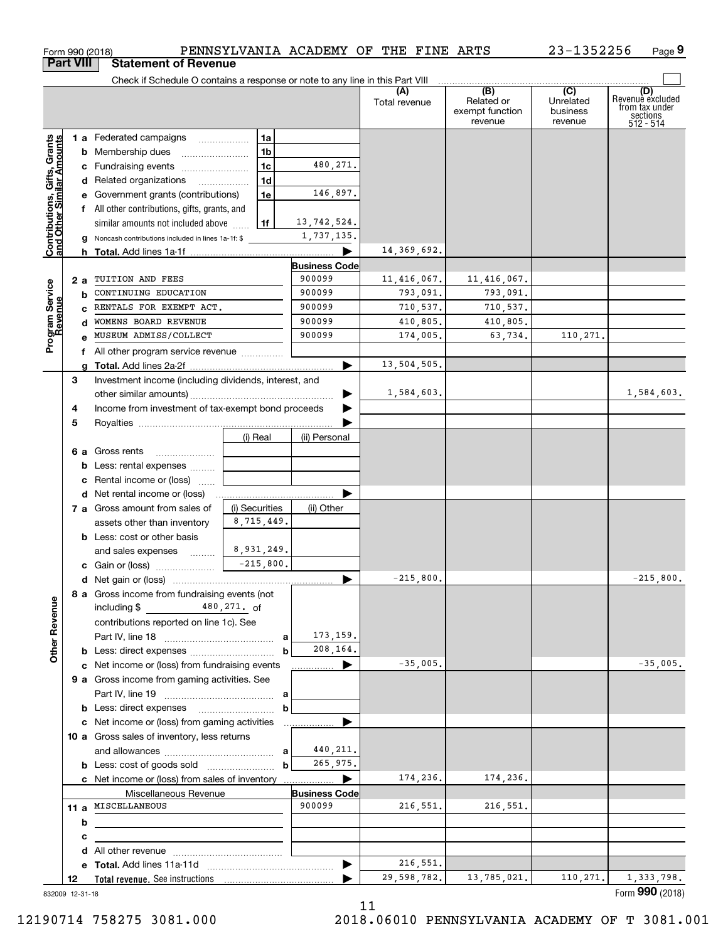| Form 990 (2018)                                           |    |    |                                                                               |                |                      | PENNSYLVANIA ACADEMY OF THE FINE ARTS |                                                 | 23-1352256                              | Page 9                                                             |
|-----------------------------------------------------------|----|----|-------------------------------------------------------------------------------|----------------|----------------------|---------------------------------------|-------------------------------------------------|-----------------------------------------|--------------------------------------------------------------------|
| <b>Part VIII</b>                                          |    |    | <b>Statement of Revenue</b>                                                   |                |                      |                                       |                                                 |                                         |                                                                    |
|                                                           |    |    | Check if Schedule O contains a response or note to any line in this Part VIII |                |                      |                                       |                                                 |                                         |                                                                    |
|                                                           |    |    |                                                                               |                |                      | (A)<br>Total revenue                  | (B)<br>Related or<br>exempt function<br>revenue | (C)<br>Unrelated<br>business<br>revenue | (D)<br>Revenuè excluded<br>from tax under<br>sections<br>512 - 514 |
|                                                           |    |    |                                                                               |                |                      |                                       |                                                 |                                         |                                                                    |
| Contributions, Gifts, Grants<br>and Other Similar Amounts |    |    | <b>b</b> Membership dues                                                      | 1b             |                      |                                       |                                                 |                                         |                                                                    |
|                                                           |    |    | c Fundraising events                                                          | 1c             | 480,271.             |                                       |                                                 |                                         |                                                                    |
|                                                           |    |    | d Related organizations                                                       | 1 <sub>d</sub> |                      |                                       |                                                 |                                         |                                                                    |
|                                                           |    |    | e Government grants (contributions)                                           | 1e             | 146,897.             |                                       |                                                 |                                         |                                                                    |
|                                                           |    |    | f All other contributions, gifts, grants, and                                 |                |                      |                                       |                                                 |                                         |                                                                    |
|                                                           |    |    | similar amounts not included above                                            | 1f             | 13,742,524.          |                                       |                                                 |                                         |                                                                    |
|                                                           |    |    | <b>g</b> Noncash contributions included in lines 1a-1f: \$                    |                | 1,737,135.           |                                       |                                                 |                                         |                                                                    |
|                                                           |    |    |                                                                               |                |                      | 14,369,692.                           |                                                 |                                         |                                                                    |
|                                                           |    |    |                                                                               |                | <b>Business Code</b> |                                       |                                                 |                                         |                                                                    |
|                                                           |    | 2a | TUITION AND FEES                                                              |                | 900099               | 11,416,067.                           | 11,416,067.                                     |                                         |                                                                    |
|                                                           |    | b  | CONTINUING EDUCATION                                                          |                | 900099               | 793,091.                              | 793,091.                                        |                                         |                                                                    |
|                                                           |    |    | RENTALS FOR EXEMPT ACT.                                                       |                | 900099               | 710,537.                              | 710,537.                                        |                                         |                                                                    |
|                                                           |    |    | WOMENS BOARD REVENUE                                                          |                | 900099               | 410,805.                              | 410,805.                                        |                                         |                                                                    |
| Program Service<br>Revenue                                |    |    | MUSEUM ADMISS/COLLECT                                                         |                | 900099               | 174,005.                              | 63,734.                                         | 110,271.                                |                                                                    |
|                                                           |    |    |                                                                               |                |                      |                                       |                                                 |                                         |                                                                    |
|                                                           |    |    |                                                                               |                |                      | 13,504,505.                           |                                                 |                                         |                                                                    |
|                                                           | 3  |    | Investment income (including dividends, interest, and                         |                |                      |                                       |                                                 |                                         |                                                                    |
|                                                           |    |    |                                                                               |                | ▶                    | 1,584,603.                            |                                                 |                                         | 1,584,603.                                                         |
|                                                           | 4  |    | Income from investment of tax-exempt bond proceeds                            |                |                      |                                       |                                                 |                                         |                                                                    |
|                                                           | 5  |    |                                                                               |                |                      |                                       |                                                 |                                         |                                                                    |
|                                                           |    |    |                                                                               | (i) Real       | (ii) Personal        |                                       |                                                 |                                         |                                                                    |
|                                                           |    |    |                                                                               |                |                      |                                       |                                                 |                                         |                                                                    |
|                                                           |    |    | <b>b</b> Less: rental expenses                                                |                |                      |                                       |                                                 |                                         |                                                                    |
|                                                           |    |    | <b>c</b> Rental income or (loss) $\ldots$                                     |                |                      |                                       |                                                 |                                         |                                                                    |
|                                                           |    |    |                                                                               |                |                      |                                       |                                                 |                                         |                                                                    |
|                                                           |    |    | 7 a Gross amount from sales of                                                | (i) Securities | (ii) Other           |                                       |                                                 |                                         |                                                                    |
|                                                           |    |    | assets other than inventory                                                   | 8,715,449.     |                      |                                       |                                                 |                                         |                                                                    |
|                                                           |    |    | <b>b</b> Less: cost or other basis                                            | 8,931,249.     |                      |                                       |                                                 |                                         |                                                                    |
|                                                           |    |    | and sales expenses                                                            | $-215,800.$    |                      |                                       |                                                 |                                         |                                                                    |
|                                                           |    |    |                                                                               |                |                      | $-215,800.$                           |                                                 |                                         | $-215,800.$                                                        |
|                                                           |    |    | 8 a Gross income from fundraising events (not                                 |                |                      |                                       |                                                 |                                         |                                                                    |
| <b>Other Revenue</b>                                      |    |    | $480,271.$ of<br>including \$                                                 |                |                      |                                       |                                                 |                                         |                                                                    |
|                                                           |    |    | contributions reported on line 1c). See                                       |                | 173,159.             |                                       |                                                 |                                         |                                                                    |
|                                                           |    |    |                                                                               | $\mathbf b$    | 208,164.             |                                       |                                                 |                                         |                                                                    |
|                                                           |    |    | c Net income or (loss) from fundraising events                                |                |                      | $-35,005$ .                           |                                                 |                                         | $-35,005.$                                                         |
|                                                           |    |    | 9 a Gross income from gaming activities. See                                  |                |                      |                                       |                                                 |                                         |                                                                    |
|                                                           |    |    |                                                                               |                |                      |                                       |                                                 |                                         |                                                                    |
|                                                           |    |    |                                                                               |                |                      |                                       |                                                 |                                         |                                                                    |
|                                                           |    |    | c Net income or (loss) from gaming activities                                 |                |                      |                                       |                                                 |                                         |                                                                    |
|                                                           |    |    | 10 a Gross sales of inventory, less returns                                   |                |                      |                                       |                                                 |                                         |                                                                    |
|                                                           |    |    |                                                                               |                | 440,211.             |                                       |                                                 |                                         |                                                                    |
|                                                           |    |    |                                                                               | $\mathbf b$    | 265,975.             |                                       |                                                 |                                         |                                                                    |
|                                                           |    |    | c Net income or (loss) from sales of inventory                                |                |                      | 174,236.                              | 174,236.                                        |                                         |                                                                    |
|                                                           |    |    | Miscellaneous Revenue                                                         |                | <b>Business Code</b> |                                       |                                                 |                                         |                                                                    |
|                                                           |    |    | 11 a MISCELLANEOUS                                                            |                | 900099               | 216,551.                              | 216,551.                                        |                                         |                                                                    |
|                                                           |    | b  |                                                                               |                |                      |                                       |                                                 |                                         |                                                                    |
|                                                           |    | с  |                                                                               |                |                      |                                       |                                                 |                                         |                                                                    |
|                                                           |    |    |                                                                               |                |                      |                                       |                                                 |                                         |                                                                    |
|                                                           |    |    |                                                                               |                | ▶                    | 216,551.                              |                                                 |                                         |                                                                    |
|                                                           | 12 |    |                                                                               |                |                      | 29,598,782.                           | 13,785,021.                                     | 110, 271.                               | 1,333,798.                                                         |
| 832009 12-31-18                                           |    |    |                                                                               |                |                      |                                       |                                                 |                                         | Form 990 (2018)                                                    |

832009 12-31-18

11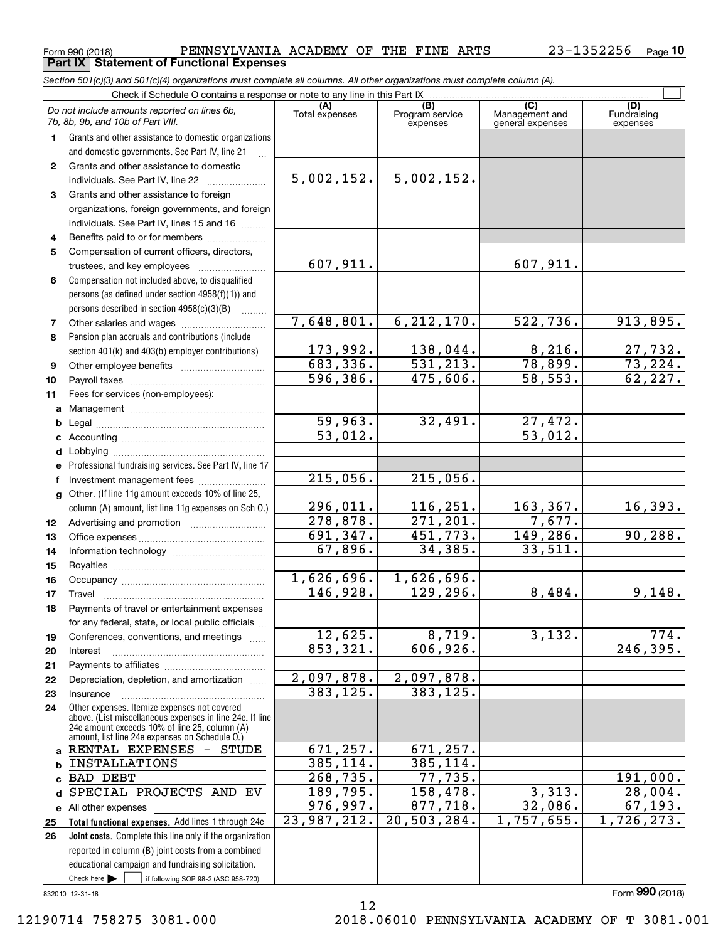Form 990 (2018) PENNSYLVANTA ACADEMY OF THE FINE ARTS 23-1352256 Page<br>**Part IX | Statement of Functional Expenses** PENNSYLVANIA ACADEMY OF THE FINE ARTS 23-1352256

|  | Section 501(c)(3) and 501(c)(4) organizations must complete all columns. All other organizations must complete column (A). |
|--|----------------------------------------------------------------------------------------------------------------------------|
|  |                                                                                                                            |

|              | Do not include amounts reported on lines 6b,<br>7b, 8b, 9b, and 10b of Part VIII.                                                                                                                           | (A)<br>Total expenses  | (B)<br>Program service<br>expenses | (C)<br>Management and<br>general expenses | (D)<br>Fundraising<br>expenses   |
|--------------|-------------------------------------------------------------------------------------------------------------------------------------------------------------------------------------------------------------|------------------------|------------------------------------|-------------------------------------------|----------------------------------|
| 1.           | Grants and other assistance to domestic organizations                                                                                                                                                       |                        |                                    |                                           |                                  |
|              | and domestic governments. See Part IV, line 21                                                                                                                                                              |                        |                                    |                                           |                                  |
| $\mathbf{2}$ | Grants and other assistance to domestic                                                                                                                                                                     |                        |                                    |                                           |                                  |
|              | individuals. See Part IV, line 22                                                                                                                                                                           | 5,002,152.             | 5,002,152.                         |                                           |                                  |
| 3            | Grants and other assistance to foreign                                                                                                                                                                      |                        |                                    |                                           |                                  |
|              | organizations, foreign governments, and foreign                                                                                                                                                             |                        |                                    |                                           |                                  |
|              | individuals. See Part IV, lines 15 and 16                                                                                                                                                                   |                        |                                    |                                           |                                  |
| 4            | Benefits paid to or for members                                                                                                                                                                             |                        |                                    |                                           |                                  |
| 5            | Compensation of current officers, directors,                                                                                                                                                                |                        |                                    |                                           |                                  |
|              | trustees, and key employees                                                                                                                                                                                 | 607, 911.              |                                    | 607,911.                                  |                                  |
| 6            | Compensation not included above, to disqualified                                                                                                                                                            |                        |                                    |                                           |                                  |
|              | persons (as defined under section 4958(f)(1)) and                                                                                                                                                           |                        |                                    |                                           |                                  |
|              | persons described in section $4958(c)(3)(B)$                                                                                                                                                                |                        |                                    |                                           |                                  |
| 7            |                                                                                                                                                                                                             | 7,648,801.             | 6, 212, 170.                       | 522,736.                                  | 913,895.                         |
| 8            | Pension plan accruals and contributions (include                                                                                                                                                            |                        |                                    |                                           |                                  |
|              | section 401(k) and 403(b) employer contributions)                                                                                                                                                           | 173,992.               | 138,044.                           | 8,216.                                    | 27,732.<br>$\overline{73,224}$ . |
| 9            |                                                                                                                                                                                                             | 683,336.               | 531, 213.                          | 78,899.                                   |                                  |
| 10           |                                                                                                                                                                                                             | 596,386.               | 475,606.                           | 58, 553.                                  | 62, 227.                         |
| 11           | Fees for services (non-employees):                                                                                                                                                                          |                        |                                    |                                           |                                  |
| a            |                                                                                                                                                                                                             | 59,963.                | 32,491.                            | 27,472.                                   |                                  |
| b            |                                                                                                                                                                                                             | 53,012.                |                                    | $\overline{53,012}$ .                     |                                  |
| c            |                                                                                                                                                                                                             |                        |                                    |                                           |                                  |
| d            |                                                                                                                                                                                                             |                        |                                    |                                           |                                  |
| e<br>f       | Professional fundraising services. See Part IV, line 17<br>Investment management fees                                                                                                                       | $\overline{215,056}$ . | 215,056.                           |                                           |                                  |
|              | Other. (If line 11g amount exceeds 10% of line 25,                                                                                                                                                          |                        |                                    |                                           |                                  |
| g            | column (A) amount, list line 11g expenses on Sch 0.)                                                                                                                                                        | 296,011.               | 116,251.                           | 163,367.                                  | 16,393.                          |
| 12           |                                                                                                                                                                                                             | $\overline{278,878}$ . | 271, 201.                          | 7,677.                                    |                                  |
| 13           |                                                                                                                                                                                                             | 691,347.               | 451,773.                           | 149,286.                                  | 90, 288.                         |
| 14           |                                                                                                                                                                                                             | 67,896.                | 34,385.                            | 33,511.                                   |                                  |
| 15           |                                                                                                                                                                                                             |                        |                                    |                                           |                                  |
| 16           |                                                                                                                                                                                                             | 1,626,696.             | 1,626,696.                         |                                           |                                  |
| 17           | Travel                                                                                                                                                                                                      | 146,928.               | 129,296.                           | 8,484.                                    | 9,148.                           |
| 18           | Payments of travel or entertainment expenses                                                                                                                                                                |                        |                                    |                                           |                                  |
|              | for any federal, state, or local public officials                                                                                                                                                           |                        |                                    |                                           |                                  |
| 19           | Conferences, conventions, and meetings                                                                                                                                                                      | 12,625.                | 8,719.                             | 3,132.                                    | $\overline{774}$ .               |
| 20           | Interest                                                                                                                                                                                                    | 853,321.               | 606,926.                           |                                           | 246, 395.                        |
| 21           |                                                                                                                                                                                                             |                        |                                    |                                           |                                  |
| 22           | Depreciation, depletion, and amortization                                                                                                                                                                   | 2,097,878.             | 2,097,878.                         |                                           |                                  |
| 23           | Insurance                                                                                                                                                                                                   | 383, 125.              | 383, 125.                          |                                           |                                  |
| 24           | Other expenses. Itemize expenses not covered<br>above. (List miscellaneous expenses in line 24e. If line<br>24e amount exceeds 10% of line 25, column (A)<br>amount, list line 24e expenses on Schedule O.) |                        |                                    |                                           |                                  |
|              | a RENTAL EXPENSES - STUDE                                                                                                                                                                                   | 671,257.               | 671,257.                           |                                           |                                  |
| b            | <b>INSTALLATIONS</b>                                                                                                                                                                                        | 385,114.               | 385,114.                           |                                           |                                  |
| c            | <b>BAD DEBT</b>                                                                                                                                                                                             | 268,735.               | 77,735.                            |                                           | 191,000.                         |
| d            | SPECIAL PROJECTS AND EV                                                                                                                                                                                     | 189,795.               | 158,478.                           | 3,313.                                    | 28,004.                          |
|              | e All other expenses                                                                                                                                                                                        | 976,997.               | 877,718.                           | 32,086.                                   | 67, 193.                         |
| 25           | Total functional expenses. Add lines 1 through 24e                                                                                                                                                          | 23,987,212.            | 20,503,284.                        | 1,757,655.                                | 1,726,273.                       |
| 26           | Joint costs. Complete this line only if the organization                                                                                                                                                    |                        |                                    |                                           |                                  |
|              | reported in column (B) joint costs from a combined                                                                                                                                                          |                        |                                    |                                           |                                  |
|              | educational campaign and fundraising solicitation.                                                                                                                                                          |                        |                                    |                                           |                                  |
|              | Check here $\blacktriangleright$<br>if following SOP 98-2 (ASC 958-720)                                                                                                                                     |                        |                                    |                                           |                                  |
|              | 832010 12-31-18                                                                                                                                                                                             |                        |                                    |                                           | Form 990 (2018)                  |

12

832010 12-31-18

12190714 758275 3081.000 2018.06010 PENNSYLVANIA ACADEMY OF T 3081.001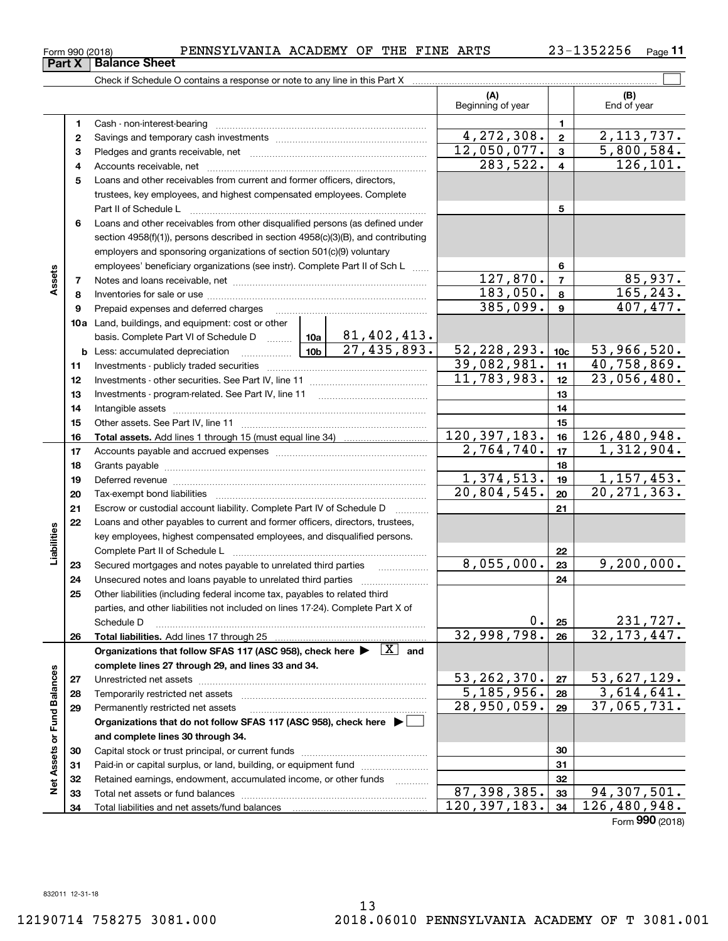Accounts receivable, net ~~~~~~~~~~~~~~~~~~~~~~~~~~ **5**Loans and other receivables from current and former officers, directors, trustees, key employees, and highest compensated employees. Complete Part II of Schedule L ~~~~~~~~~~~~~~~~~~~~~~~~~~~~ **5**Loans and other receivables from other disqualified persons (as defined under **6**section 4958(f)(1)), persons described in section 4958(c)(3)(B), and contributing employers and sponsoring organizations of section 501(c)(9) voluntary employees' beneficiary organizations (see instr). Complete Part II of Sch L **6Assets**  $127,870. |7|$  85,937. **77**Notes and loans receivable, net ~~~~~~~~~~~~~~~~~~~~~~~ 183,050. 8 165,243. **88**Inventories for sale or use ~~~~~~~~~~~~~~~~~~~~~~~~~~  $385,099.$  9  $407,477.$ **9**Prepaid expenses and deferred charges **910a**Land, buildings, and equipment: cost or other 81,402,413. basis. Complete Part VI of Schedule D will aller  $27,435,893.$  52, 228, 293.  $10c$  53, 966, 520. **10cb** Less: accumulated depreciation \_\_\_\_\_\_\_\_\_\_\_\_\_\_\_ Lub 39,082,981. 40,758,869. **1111**Investments - publicly traded securities ~~~~~~~~~~~~~~~~~~~  $11,783,983.$   $12 \mid 23,056,480.$ **1212**Investments - other securities. See Part IV, line 11 ~~~~~~~~~~~~~~**13**Investments - program-related. See Part IV, line 11 **131414**Intangible assets …………………………………………………………………………………… Other assets. See Part IV, line 11 ~~~~~~~~~~~~~~~~~~~~~~ **1515** $120,397,183.$   $16 \mid 126,480,948.$ **1616Total assets.**  Add lines 1 through 15 (must equal line 34)  $2,764,740.$  17 1,312,904. **1717**Accounts payable and accrued expenses ~~~~~~~~~~~~~~~~~~**1818**Grants payable ~~~~~~~~~~~~~~~~~~~~~~~~~~~~~~~  $1,374,513.$  19 1,157,453. **1919**Deferred revenue et al. **Deferred** revenue et al. **Deferred** revenue et al. **Deferred** revenue et al. **Deferred** revenue et al. **Deferred** revenue et al. **Deferred** revenue et al. **Deferred** revenue et al. **Deferred** reven  $20,804,545.$   $20$   $20,271,363.$ **2020**Tax-exempt bond liabilities …………………………………………………………… **21**Escrow or custodial account liability. Complete Part IV of Schedule D **21**Loans and other payables to current and former officers, directors, trustees, **22**Liabilities **Liabilities** key employees, highest compensated employees, and disqualified persons. Complete Part II of Schedule L ~~~~~~~~~~~~~~~~~~~~~~~**22** $8,055,000.$  23 9,200,000. **23**Secured mortgages and notes payable to unrelated third parties **23**Unsecured notes and loans payable to unrelated third parties ~~~~~~~~~~~~~~~~~~~~ **242425**Other liabilities (including federal income tax, payables to related third parties, and other liabilities not included on lines 17-24). Complete Part X of  $0. |25|$  231,727. **25**Schedule D ~~~~~~~~~~~~~~~~~~~~~~~~~~~~~~~~ 32,998,798. 32,173,447. **2626Total liabilities.**  Add lines 17 through 25 Organizations that follow SFAS 117 (ASC 958), check here  $\blacktriangleright$   $\boxed{\text{X}}$  and **complete lines 27 through 29, and lines 33 and 34. Net Assets or Fund Balances Net Assets or Fund Balances**  $53,262,370.$   $27$  53,627,129. **2727**Unrestricted net assets <sub>………………………………………………………………</sub>……  $5,185,956. |28 | 3,614,641.$ **2828**Temporarily restricted net assets ~~~~~~~~~~~~~~~~~~~~~~ 28,950,059. 37,065,731. **2929**Permanently restricted net assets **Organizations that do not follow SFAS 117 (ASC 958), check here** | **and complete lines 30 through 34. 3030**Capital stock or trust principal, or current funds ~~~~~~~~~~~~~~~ **3131**Paid-in or capital surplus, or land, building, or equipment fund will concurred. **3232**Retained earnings, endowment, accumulated income, or other funds www.com 87,398,385. 94,307,501. **33**Total net assets or fund balances ~~~~~~~~~~~~~~~~~~~~~~ **33**120,397,183. 126,480,948. **34**Total liabilities and net assets/fund balances **34**Form (2018) **990**

<code>Form</code> 990 (2018) PENNSYLVANIA ACADEMY OF THE FINE ARTS 23-1352256  $\,$  Page

**3** Pledges and grants receivable, net  $\ldots$  **multimes contained and grants receivable**, net **multimes contained and grants receivable**, net **multimes contained and grants receivable** 

Cash - non-interest-bearing ~~~~~~~~~~~~~~~~~~~~~~~~~ Savings and temporary cash investments ~~~~~~~~~~~~~~~~~~

Check if Schedule O contains a response or note to any line in this Part X

23-1352256 <sub>Page</sub> 11

 $\mathcal{L}^{\text{max}}$ 

**(A) (B)**

Beginning of year | | End of year

 $283,522. 4$  126,101.  $12,050,077.$  3 5,800,584.

4,272,308. 2,113,737.

| Form 990 (2018)             |  |  |
|-----------------------------|--|--|
| <b>Part X Balance Sheet</b> |  |  |

**12**

**4**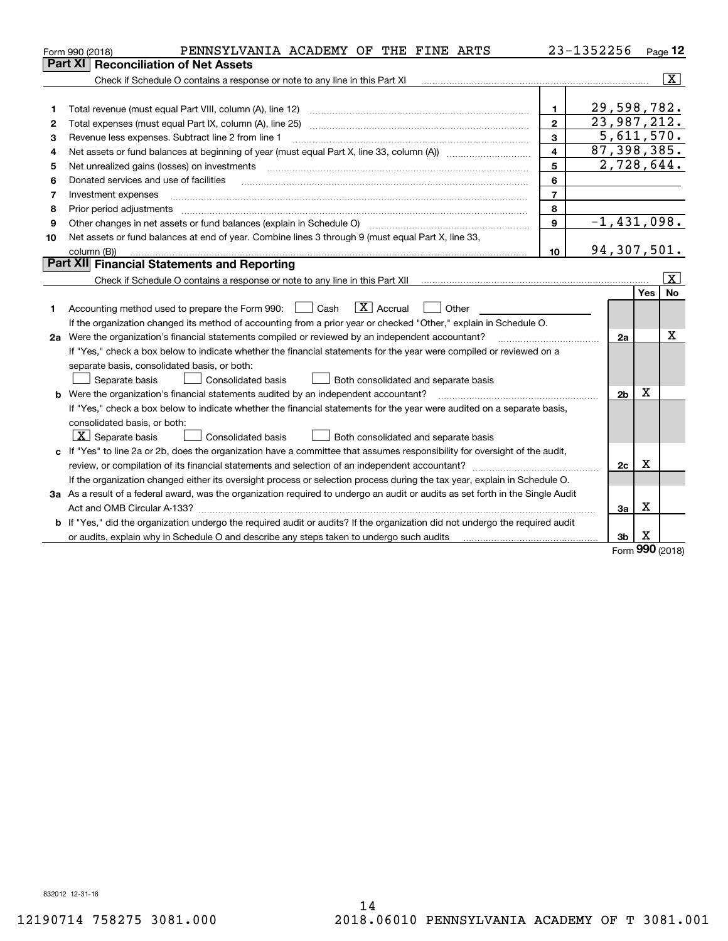|    | PENNSYLVANIA ACADEMY OF THE FINE ARTS<br>Form 990 (2018)                                                                        |                         | 23-1352256                 |                 | Page 12        |
|----|---------------------------------------------------------------------------------------------------------------------------------|-------------------------|----------------------------|-----------------|----------------|
|    | <b>Reconciliation of Net Assets</b><br>Part XI                                                                                  |                         |                            |                 |                |
|    | Check if Schedule O contains a response or note to any line in this Part XI                                                     |                         |                            |                 | $ \mathbf{X} $ |
|    |                                                                                                                                 |                         |                            |                 |                |
| 1  | Total revenue (must equal Part VIII, column (A), line 12)                                                                       | 1.                      | 29,598,782.                |                 |                |
| 2  | Total expenses (must equal Part IX, column (A), line 25)                                                                        | $\mathbf{2}$            | 23,987,212.                |                 |                |
| 3  | Revenue less expenses. Subtract line 2 from line 1                                                                              | $\mathbf{a}$            | 5,611,570.                 |                 |                |
| 4  |                                                                                                                                 | $\overline{\mathbf{4}}$ | 87, 398, 385.              |                 |                |
| 5  | Net unrealized gains (losses) on investments                                                                                    | 5                       | $\overline{2}$ , 728, 644. |                 |                |
| 6  | Donated services and use of facilities                                                                                          | 6                       |                            |                 |                |
| 7  | Investment expenses                                                                                                             | $\overline{7}$          |                            |                 |                |
| 8  | Prior period adjustments                                                                                                        | 8                       |                            |                 |                |
| 9  |                                                                                                                                 | 9                       | $-1,431,098.$              |                 |                |
| 10 | Net assets or fund balances at end of year. Combine lines 3 through 9 (must equal Part X, line 33,                              |                         |                            |                 |                |
|    | column (B))                                                                                                                     | 10                      | 94,307,501.                |                 |                |
|    | Part XII Financial Statements and Reporting                                                                                     |                         |                            |                 |                |
|    |                                                                                                                                 |                         |                            |                 | x              |
|    |                                                                                                                                 |                         |                            | Yes             | <b>No</b>      |
| 1  | $\boxed{\mathbf{X}}$ Accrual<br>Accounting method used to prepare the Form 990: <u>[</u> Cash<br>Other                          |                         |                            |                 |                |
|    | If the organization changed its method of accounting from a prior year or checked "Other," explain in Schedule O.               |                         |                            |                 |                |
|    | 2a Were the organization's financial statements compiled or reviewed by an independent accountant?                              |                         | 2a                         |                 | X              |
|    | If "Yes," check a box below to indicate whether the financial statements for the year were compiled or reviewed on a            |                         |                            |                 |                |
|    | separate basis, consolidated basis, or both:                                                                                    |                         |                            |                 |                |
|    | Separate basis<br><b>Consolidated basis</b><br>Both consolidated and separate basis                                             |                         |                            |                 |                |
|    | <b>b</b> Were the organization's financial statements audited by an independent accountant?                                     |                         | 2 <sub>b</sub>             | $\mathbf X$     |                |
|    | If "Yes," check a box below to indicate whether the financial statements for the year were audited on a separate basis,         |                         |                            |                 |                |
|    | consolidated basis, or both:                                                                                                    |                         |                            |                 |                |
|    | $ \mathbf{X} $ Separate basis<br><b>Consolidated basis</b><br>Both consolidated and separate basis                              |                         |                            |                 |                |
|    | c If "Yes" to line 2a or 2b, does the organization have a committee that assumes responsibility for oversight of the audit,     |                         |                            |                 |                |
|    | review, or compilation of its financial statements and selection of an independent accountant?                                  |                         | 2c                         | x               |                |
|    | If the organization changed either its oversight process or selection process during the tax year, explain in Schedule O.       |                         |                            |                 |                |
|    | 3a As a result of a federal award, was the organization required to undergo an audit or audits as set forth in the Single Audit |                         |                            |                 |                |
|    |                                                                                                                                 |                         | 3a                         | х               |                |
|    | b If "Yes," did the organization undergo the required audit or audits? If the organization did not undergo the required audit   |                         |                            |                 |                |
|    | or audits, explain why in Schedule O and describe any steps taken to undergo such audits                                        |                         | 3b                         | x<br><b>nnn</b> |                |

Form (2018) **990**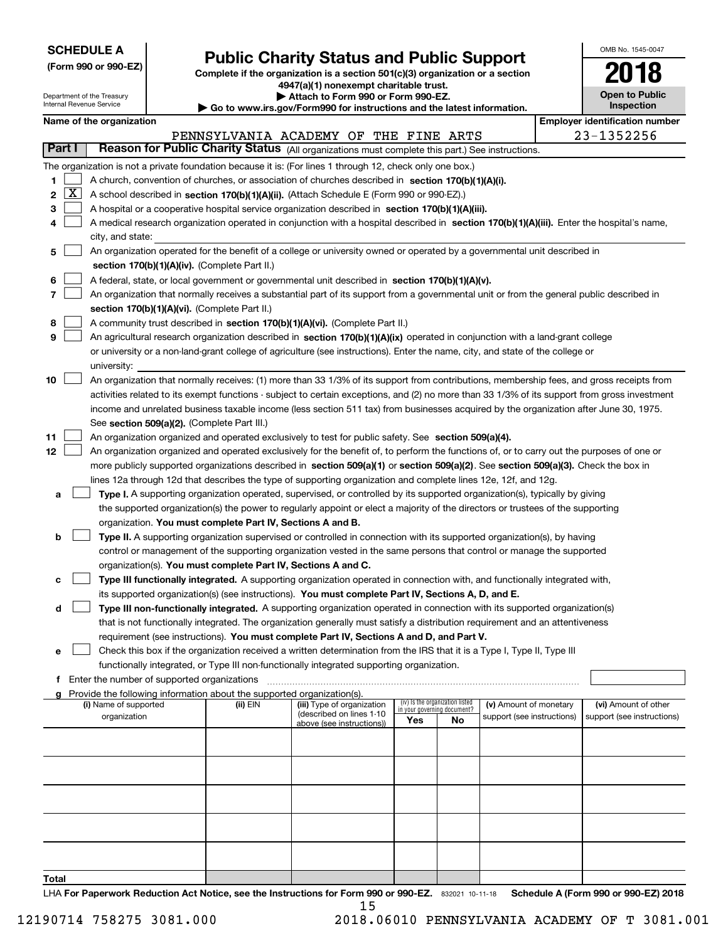| <b>SCHEDULE A</b> |
|-------------------|
|-------------------|

**(Form 990 or 990-EZ)**

## **Public Charity Status and Public Support**

**Complete if the organization is a section 501(c)(3) organization or a section 4947(a)(1) nonexempt charitable trust. | Attach to Form 990 or Form 990-EZ.** 

| OMB No. 1545-0047            |
|------------------------------|
| 2018                         |
| Open to Public<br>Inspection |

|        |                                                                                                                                           | Department of the Treasury<br>Internal Revenue Service |  | Attach to Form 990 or Form 990-EZ.<br>Go to www.irs.gov/Form990 for instructions and the latest information. | <b>Open to Public</b><br>Inspection                                                                                                           |     |                                   |                            |  |                                       |  |
|--------|-------------------------------------------------------------------------------------------------------------------------------------------|--------------------------------------------------------|--|--------------------------------------------------------------------------------------------------------------|-----------------------------------------------------------------------------------------------------------------------------------------------|-----|-----------------------------------|----------------------------|--|---------------------------------------|--|
|        |                                                                                                                                           | Name of the organization                               |  |                                                                                                              |                                                                                                                                               |     |                                   |                            |  | <b>Employer identification number</b> |  |
|        |                                                                                                                                           |                                                        |  |                                                                                                              | PENNSYLVANIA ACADEMY OF THE FINE ARTS                                                                                                         |     |                                   |                            |  | 23-1352256                            |  |
| Part I |                                                                                                                                           |                                                        |  |                                                                                                              | Reason for Public Charity Status (All organizations must complete this part.) See instructions.                                               |     |                                   |                            |  |                                       |  |
|        |                                                                                                                                           |                                                        |  |                                                                                                              | The organization is not a private foundation because it is: (For lines 1 through 12, check only one box.)                                     |     |                                   |                            |  |                                       |  |
| 1      |                                                                                                                                           |                                                        |  |                                                                                                              | A church, convention of churches, or association of churches described in section 170(b)(1)(A)(i).                                            |     |                                   |                            |  |                                       |  |
| 2      | $\mathbf{X}$                                                                                                                              |                                                        |  |                                                                                                              | A school described in section 170(b)(1)(A)(ii). (Attach Schedule E (Form 990 or 990-EZ).)                                                     |     |                                   |                            |  |                                       |  |
| 3      |                                                                                                                                           |                                                        |  |                                                                                                              | A hospital or a cooperative hospital service organization described in section 170(b)(1)(A)(iii).                                             |     |                                   |                            |  |                                       |  |
| 4      |                                                                                                                                           |                                                        |  |                                                                                                              | A medical research organization operated in conjunction with a hospital described in section 170(b)(1)(A)(iii). Enter the hospital's name,    |     |                                   |                            |  |                                       |  |
|        |                                                                                                                                           | city, and state:                                       |  |                                                                                                              |                                                                                                                                               |     |                                   |                            |  |                                       |  |
| 5      |                                                                                                                                           |                                                        |  |                                                                                                              | An organization operated for the benefit of a college or university owned or operated by a governmental unit described in                     |     |                                   |                            |  |                                       |  |
|        |                                                                                                                                           |                                                        |  | section 170(b)(1)(A)(iv). (Complete Part II.)                                                                |                                                                                                                                               |     |                                   |                            |  |                                       |  |
| 6      |                                                                                                                                           |                                                        |  |                                                                                                              | A federal, state, or local government or governmental unit described in section 170(b)(1)(A)(v).                                              |     |                                   |                            |  |                                       |  |
| 7      | An organization that normally receives a substantial part of its support from a governmental unit or from the general public described in |                                                        |  |                                                                                                              |                                                                                                                                               |     |                                   |                            |  |                                       |  |
|        |                                                                                                                                           |                                                        |  | section 170(b)(1)(A)(vi). (Complete Part II.)                                                                |                                                                                                                                               |     |                                   |                            |  |                                       |  |
| 8      |                                                                                                                                           |                                                        |  |                                                                                                              | A community trust described in section 170(b)(1)(A)(vi). (Complete Part II.)                                                                  |     |                                   |                            |  |                                       |  |
| 9      |                                                                                                                                           |                                                        |  |                                                                                                              | An agricultural research organization described in section 170(b)(1)(A)(ix) operated in conjunction with a land-grant college                 |     |                                   |                            |  |                                       |  |
|        |                                                                                                                                           |                                                        |  |                                                                                                              | or university or a non-land-grant college of agriculture (see instructions). Enter the name, city, and state of the college or                |     |                                   |                            |  |                                       |  |
|        |                                                                                                                                           | university:                                            |  |                                                                                                              |                                                                                                                                               |     |                                   |                            |  |                                       |  |
| 10     |                                                                                                                                           |                                                        |  |                                                                                                              | An organization that normally receives: (1) more than 33 1/3% of its support from contributions, membership fees, and gross receipts from     |     |                                   |                            |  |                                       |  |
|        |                                                                                                                                           |                                                        |  |                                                                                                              | activities related to its exempt functions - subject to certain exceptions, and (2) no more than 33 1/3% of its support from gross investment |     |                                   |                            |  |                                       |  |
|        |                                                                                                                                           |                                                        |  |                                                                                                              | income and unrelated business taxable income (less section 511 tax) from businesses acquired by the organization after June 30, 1975.         |     |                                   |                            |  |                                       |  |
|        |                                                                                                                                           |                                                        |  | See section 509(a)(2). (Complete Part III.)                                                                  |                                                                                                                                               |     |                                   |                            |  |                                       |  |
| 11     |                                                                                                                                           |                                                        |  |                                                                                                              | An organization organized and operated exclusively to test for public safety. See section 509(a)(4).                                          |     |                                   |                            |  |                                       |  |
| 12     |                                                                                                                                           |                                                        |  |                                                                                                              | An organization organized and operated exclusively for the benefit of, to perform the functions of, or to carry out the purposes of one or    |     |                                   |                            |  |                                       |  |
|        |                                                                                                                                           |                                                        |  |                                                                                                              | more publicly supported organizations described in section 509(a)(1) or section 509(a)(2). See section 509(a)(3). Check the box in            |     |                                   |                            |  |                                       |  |
|        |                                                                                                                                           |                                                        |  |                                                                                                              | lines 12a through 12d that describes the type of supporting organization and complete lines 12e, 12f, and 12g.                                |     |                                   |                            |  |                                       |  |
| а      |                                                                                                                                           |                                                        |  |                                                                                                              | Type I. A supporting organization operated, supervised, or controlled by its supported organization(s), typically by giving                   |     |                                   |                            |  |                                       |  |
|        |                                                                                                                                           |                                                        |  |                                                                                                              | the supported organization(s) the power to regularly appoint or elect a majority of the directors or trustees of the supporting               |     |                                   |                            |  |                                       |  |
|        |                                                                                                                                           |                                                        |  | organization. You must complete Part IV, Sections A and B.                                                   |                                                                                                                                               |     |                                   |                            |  |                                       |  |
| b      |                                                                                                                                           |                                                        |  |                                                                                                              | Type II. A supporting organization supervised or controlled in connection with its supported organization(s), by having                       |     |                                   |                            |  |                                       |  |
|        |                                                                                                                                           |                                                        |  |                                                                                                              | control or management of the supporting organization vested in the same persons that control or manage the supported                          |     |                                   |                            |  |                                       |  |
|        |                                                                                                                                           |                                                        |  | organization(s). You must complete Part IV, Sections A and C.                                                |                                                                                                                                               |     |                                   |                            |  |                                       |  |
| с      |                                                                                                                                           |                                                        |  |                                                                                                              | Type III functionally integrated. A supporting organization operated in connection with, and functionally integrated with,                    |     |                                   |                            |  |                                       |  |
|        |                                                                                                                                           |                                                        |  |                                                                                                              | its supported organization(s) (see instructions). You must complete Part IV, Sections A, D, and E.                                            |     |                                   |                            |  |                                       |  |
| d      |                                                                                                                                           |                                                        |  |                                                                                                              | Type III non-functionally integrated. A supporting organization operated in connection with its supported organization(s)                     |     |                                   |                            |  |                                       |  |
|        |                                                                                                                                           |                                                        |  |                                                                                                              | that is not functionally integrated. The organization generally must satisfy a distribution requirement and an attentiveness                  |     |                                   |                            |  |                                       |  |
|        |                                                                                                                                           |                                                        |  |                                                                                                              | requirement (see instructions). You must complete Part IV, Sections A and D, and Part V.                                                      |     |                                   |                            |  |                                       |  |
| е      |                                                                                                                                           |                                                        |  |                                                                                                              | Check this box if the organization received a written determination from the IRS that it is a Type I, Type II, Type III                       |     |                                   |                            |  |                                       |  |
|        |                                                                                                                                           |                                                        |  |                                                                                                              | functionally integrated, or Type III non-functionally integrated supporting organization.                                                     |     |                                   |                            |  |                                       |  |
|        |                                                                                                                                           | f Enter the number of supported organizations          |  |                                                                                                              |                                                                                                                                               |     |                                   |                            |  |                                       |  |
|        |                                                                                                                                           | (i) Name of supported                                  |  | g Provide the following information about the supported organization(s).<br>(ii) EIN                         | (iii) Type of organization                                                                                                                    |     | (iv) Is the organization listed   | (v) Amount of monetary     |  | (vi) Amount of other                  |  |
|        |                                                                                                                                           | organization                                           |  |                                                                                                              | (described on lines 1-10                                                                                                                      | Yes | in your governing document?<br>No | support (see instructions) |  | support (see instructions)            |  |
|        |                                                                                                                                           |                                                        |  |                                                                                                              | above (see instructions))                                                                                                                     |     |                                   |                            |  |                                       |  |
|        |                                                                                                                                           |                                                        |  |                                                                                                              |                                                                                                                                               |     |                                   |                            |  |                                       |  |
|        |                                                                                                                                           |                                                        |  |                                                                                                              |                                                                                                                                               |     |                                   |                            |  |                                       |  |
|        |                                                                                                                                           |                                                        |  |                                                                                                              |                                                                                                                                               |     |                                   |                            |  |                                       |  |
|        |                                                                                                                                           |                                                        |  |                                                                                                              |                                                                                                                                               |     |                                   |                            |  |                                       |  |
|        |                                                                                                                                           |                                                        |  |                                                                                                              |                                                                                                                                               |     |                                   |                            |  |                                       |  |
|        |                                                                                                                                           |                                                        |  |                                                                                                              |                                                                                                                                               |     |                                   |                            |  |                                       |  |

**Total**

LHA For Paperwork Reduction Act Notice, see the Instructions for Form 990 or 990-EZ. 832021 10-11-18 Schedule A (Form 990 or 990-EZ) 2018 15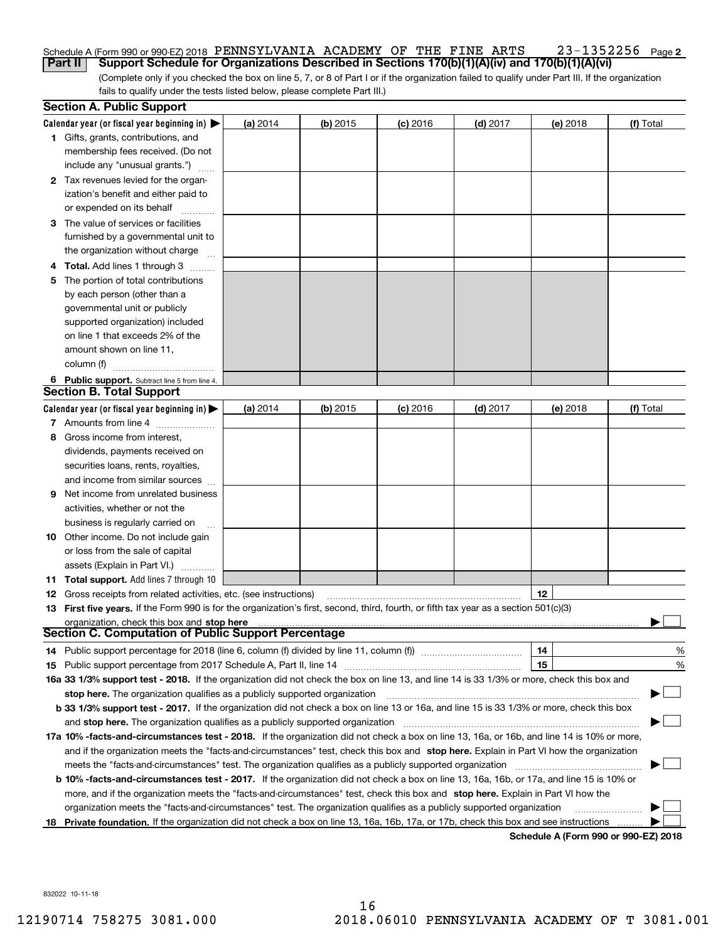### 23-1352256 Page 2 Schedule A (Form 990 or 990-EZ) 2018 PENNSYLVANIA ACADEMY OF THE FINE ARTS  $\qquad \ \ \, 23-1352256$  Page **Part II Support Schedule for Organizations Described in Sections 170(b)(1)(A)(iv) and 170(b)(1)(A)(vi)**

(Complete only if you checked the box on line 5, 7, or 8 of Part I or if the organization failed to qualify under Part III. If the organization fails to qualify under the tests listed below, please complete Part III.)

|    | <b>Section A. Public Support</b>                                                                                                               |          |            |            |            |                                      |           |
|----|------------------------------------------------------------------------------------------------------------------------------------------------|----------|------------|------------|------------|--------------------------------------|-----------|
|    | Calendar year (or fiscal year beginning in) $\blacktriangleright$                                                                              | (a) 2014 | $(b)$ 2015 | $(c)$ 2016 | $(d)$ 2017 | (e) 2018                             | (f) Total |
|    | <b>1</b> Gifts, grants, contributions, and                                                                                                     |          |            |            |            |                                      |           |
|    | membership fees received. (Do not                                                                                                              |          |            |            |            |                                      |           |
|    | include any "unusual grants.")                                                                                                                 |          |            |            |            |                                      |           |
|    | <b>2</b> Tax revenues levied for the organ-                                                                                                    |          |            |            |            |                                      |           |
|    | ization's benefit and either paid to                                                                                                           |          |            |            |            |                                      |           |
|    | or expended on its behalf                                                                                                                      |          |            |            |            |                                      |           |
|    | 3 The value of services or facilities                                                                                                          |          |            |            |            |                                      |           |
|    | furnished by a governmental unit to                                                                                                            |          |            |            |            |                                      |           |
|    | the organization without charge                                                                                                                |          |            |            |            |                                      |           |
|    | 4 Total. Add lines 1 through 3                                                                                                                 |          |            |            |            |                                      |           |
| 5. | The portion of total contributions                                                                                                             |          |            |            |            |                                      |           |
|    | by each person (other than a                                                                                                                   |          |            |            |            |                                      |           |
|    | governmental unit or publicly                                                                                                                  |          |            |            |            |                                      |           |
|    | supported organization) included                                                                                                               |          |            |            |            |                                      |           |
|    | on line 1 that exceeds 2% of the                                                                                                               |          |            |            |            |                                      |           |
|    | amount shown on line 11,                                                                                                                       |          |            |            |            |                                      |           |
|    | column (f)                                                                                                                                     |          |            |            |            |                                      |           |
|    | 6 Public support. Subtract line 5 from line 4.                                                                                                 |          |            |            |            |                                      |           |
|    | <b>Section B. Total Support</b>                                                                                                                |          |            |            |            |                                      |           |
|    | Calendar year (or fiscal year beginning in)                                                                                                    | (a) 2014 | $(b)$ 2015 | $(c)$ 2016 | $(d)$ 2017 | (e) 2018                             | (f) Total |
|    | 7 Amounts from line 4                                                                                                                          |          |            |            |            |                                      |           |
|    | 8 Gross income from interest,                                                                                                                  |          |            |            |            |                                      |           |
|    | dividends, payments received on                                                                                                                |          |            |            |            |                                      |           |
|    | securities loans, rents, royalties,                                                                                                            |          |            |            |            |                                      |           |
|    | and income from similar sources                                                                                                                |          |            |            |            |                                      |           |
| 9. | Net income from unrelated business                                                                                                             |          |            |            |            |                                      |           |
|    | activities, whether or not the                                                                                                                 |          |            |            |            |                                      |           |
|    | business is regularly carried on                                                                                                               |          |            |            |            |                                      |           |
|    | <b>10</b> Other income. Do not include gain                                                                                                    |          |            |            |            |                                      |           |
|    | or loss from the sale of capital                                                                                                               |          |            |            |            |                                      |           |
|    | assets (Explain in Part VI.)                                                                                                                   |          |            |            |            |                                      |           |
|    | <b>11 Total support.</b> Add lines 7 through 10                                                                                                |          |            |            |            |                                      |           |
|    | <b>12</b> Gross receipts from related activities, etc. (see instructions)                                                                      |          |            |            |            | 12                                   |           |
|    | 13 First five years. If the Form 990 is for the organization's first, second, third, fourth, or fifth tax year as a section 501(c)(3)          |          |            |            |            |                                      |           |
|    | organization, check this box and stop here                                                                                                     |          |            |            |            |                                      |           |
|    | <b>Section C. Computation of Public Support Percentage</b>                                                                                     |          |            |            |            |                                      |           |
|    | 14 Public support percentage for 2018 (line 6, column (f) divided by line 11, column (f) <i>manumanomeron</i>                                  |          |            |            |            | 14                                   | %         |
|    |                                                                                                                                                |          |            |            |            | 15                                   | %         |
|    | 16a 33 1/3% support test - 2018. If the organization did not check the box on line 13, and line 14 is 33 1/3% or more, check this box and      |          |            |            |            |                                      |           |
|    | stop here. The organization qualifies as a publicly supported organization                                                                     |          |            |            |            |                                      |           |
|    | b 33 1/3% support test - 2017. If the organization did not check a box on line 13 or 16a, and line 15 is 33 1/3% or more, check this box       |          |            |            |            |                                      |           |
|    | and stop here. The organization qualifies as a publicly supported organization                                                                 |          |            |            |            |                                      |           |
|    | 17a 10% -facts-and-circumstances test - 2018. If the organization did not check a box on line 13, 16a, or 16b, and line 14 is 10% or more,     |          |            |            |            |                                      |           |
|    | and if the organization meets the "facts-and-circumstances" test, check this box and stop here. Explain in Part VI how the organization        |          |            |            |            |                                      |           |
|    | meets the "facts-and-circumstances" test. The organization qualifies as a publicly supported organization                                      |          |            |            |            |                                      |           |
|    | <b>b 10% -facts-and-circumstances test - 2017.</b> If the organization did not check a box on line 13, 16a, 16b, or 17a, and line 15 is 10% or |          |            |            |            |                                      |           |
|    | more, and if the organization meets the "facts-and-circumstances" test, check this box and stop here. Explain in Part VI how the               |          |            |            |            |                                      |           |
|    | organization meets the "facts-and-circumstances" test. The organization qualifies as a publicly supported organization                         |          |            |            |            |                                      |           |
|    | 18 Private foundation. If the organization did not check a box on line 13, 16a, 16b, 17a, or 17b, check this box and see instructions          |          |            |            |            | Schodule A (Form 000 or 000 F7) 2019 |           |

**Schedule A (Form 990 or 990-EZ) 2018**

832022 10-11-18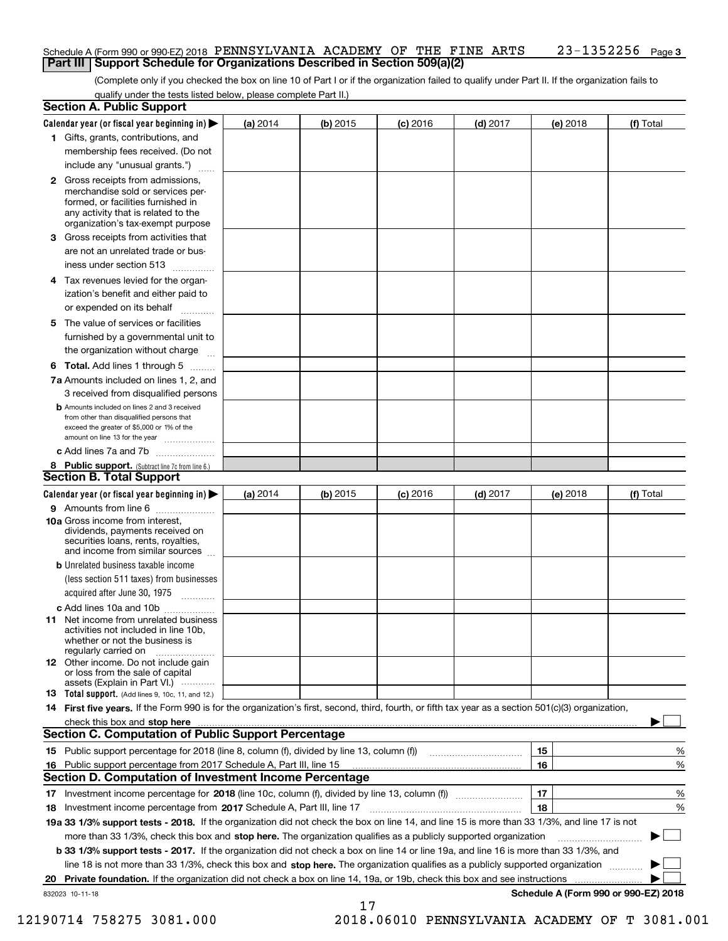#### **3** Schedule A (Form 990 or 990-EZ) 2018 PENNSYLVANIA ACADEMY OF THE FINE ARTS  $\qquad \ \ \, 23-1352256$  Page **Part III Support Schedule for Organizations Described in Section 509(a)(2)**

(Complete only if you checked the box on line 10 of Part I or if the organization failed to qualify under Part II. If the organization fails to qualify under the tests listed below, please complete Part II.)

| <b>Section A. Public Support</b> |                                                                                                                                                                                                                                                           |            |            |            |            |          |                                      |
|----------------------------------|-----------------------------------------------------------------------------------------------------------------------------------------------------------------------------------------------------------------------------------------------------------|------------|------------|------------|------------|----------|--------------------------------------|
|                                  | Calendar year (or fiscal year beginning in) $\blacktriangleright$                                                                                                                                                                                         | (a) 2014   | $(b)$ 2015 | $(c)$ 2016 | $(d)$ 2017 | (e) 2018 | (f) Total                            |
|                                  | 1 Gifts, grants, contributions, and                                                                                                                                                                                                                       |            |            |            |            |          |                                      |
|                                  | membership fees received. (Do not                                                                                                                                                                                                                         |            |            |            |            |          |                                      |
|                                  | include any "unusual grants.")                                                                                                                                                                                                                            |            |            |            |            |          |                                      |
|                                  | 2 Gross receipts from admissions,<br>merchandise sold or services per-<br>formed, or facilities furnished in<br>any activity that is related to the<br>organization's tax-exempt purpose                                                                  |            |            |            |            |          |                                      |
|                                  | 3 Gross receipts from activities that<br>are not an unrelated trade or bus-                                                                                                                                                                               |            |            |            |            |          |                                      |
| iness under section 513          |                                                                                                                                                                                                                                                           |            |            |            |            |          |                                      |
|                                  | 4 Tax revenues levied for the organ-<br>ization's benefit and either paid to                                                                                                                                                                              |            |            |            |            |          |                                      |
| or expended on its behalf        | .                                                                                                                                                                                                                                                         |            |            |            |            |          |                                      |
|                                  | 5 The value of services or facilities<br>furnished by a governmental unit to<br>the organization without charge                                                                                                                                           |            |            |            |            |          |                                      |
|                                  | <b>6 Total.</b> Add lines 1 through 5                                                                                                                                                                                                                     |            |            |            |            |          |                                      |
|                                  | 7a Amounts included on lines 1, 2, and<br>3 received from disqualified persons                                                                                                                                                                            |            |            |            |            |          |                                      |
|                                  | <b>b</b> Amounts included on lines 2 and 3 received                                                                                                                                                                                                       |            |            |            |            |          |                                      |
|                                  | from other than disqualified persons that<br>exceed the greater of \$5,000 or 1% of the<br>amount on line 13 for the year                                                                                                                                 |            |            |            |            |          |                                      |
|                                  | c Add lines 7a and 7b                                                                                                                                                                                                                                     |            |            |            |            |          |                                      |
|                                  | 8 Public support. (Subtract line 7c from line 6.)                                                                                                                                                                                                         |            |            |            |            |          |                                      |
| <b>Section B. Total Support</b>  |                                                                                                                                                                                                                                                           |            |            |            |            |          |                                      |
|                                  | Calendar year (or fiscal year beginning in) $\blacktriangleright$                                                                                                                                                                                         | (a) $2014$ | $(b)$ 2015 | $(c)$ 2016 | $(d)$ 2017 | (e) 2018 | (f) Total                            |
|                                  | 9 Amounts from line 6                                                                                                                                                                                                                                     |            |            |            |            |          |                                      |
| 10a Gross income from interest,  | dividends, payments received on<br>securities loans, rents, royalties,<br>and income from similar sources                                                                                                                                                 |            |            |            |            |          |                                      |
|                                  | <b>b</b> Unrelated business taxable income                                                                                                                                                                                                                |            |            |            |            |          |                                      |
|                                  | (less section 511 taxes) from businesses                                                                                                                                                                                                                  |            |            |            |            |          |                                      |
| acquired after June 30, 1975     |                                                                                                                                                                                                                                                           |            |            |            |            |          |                                      |
| regularly carried on             | c Add lines 10a and 10b<br>11 Net income from unrelated business<br>activities not included in line 10b,<br>whether or not the business is                                                                                                                |            |            |            |            |          |                                      |
|                                  | <b>12</b> Other income. Do not include gain<br>or loss from the sale of capital<br>assets (Explain in Part VI.)                                                                                                                                           |            |            |            |            |          |                                      |
|                                  | 13 Total support. (Add lines 9, 10c, 11, and 12.)                                                                                                                                                                                                         |            |            |            |            |          |                                      |
|                                  | 14 First five years. If the Form 990 is for the organization's first, second, third, fourth, or fifth tax year as a section 501(c)(3) organization,                                                                                                       |            |            |            |            |          |                                      |
|                                  | check this box and stop here manufactured and control the state of the state of the state of the state of the state of the state of the state of the state of the state of the state of the state of the state of the state of                            |            |            |            |            |          |                                      |
|                                  | <b>Section C. Computation of Public Support Percentage</b>                                                                                                                                                                                                |            |            |            |            |          |                                      |
|                                  | 15 Public support percentage for 2018 (line 8, column (f), divided by line 13, column (f))                                                                                                                                                                |            |            |            |            | 15       | %                                    |
|                                  | 16 Public support percentage from 2017 Schedule A, Part III, line 15                                                                                                                                                                                      |            |            |            |            | 16       | %                                    |
|                                  | <b>Section D. Computation of Investment Income Percentage</b>                                                                                                                                                                                             |            |            |            |            |          |                                      |
|                                  | 17 Investment income percentage for 2018 (line 10c, column (f), divided by line 13, column (f))                                                                                                                                                           |            |            |            |            | 17       | %                                    |
|                                  | <b>18</b> Investment income percentage from <b>2017</b> Schedule A, Part III, line 17                                                                                                                                                                     |            |            |            |            | 18       | %                                    |
|                                  | 19a 33 1/3% support tests - 2018. If the organization did not check the box on line 14, and line 15 is more than 33 1/3%, and line 17 is not                                                                                                              |            |            |            |            |          |                                      |
|                                  | more than 33 1/3%, check this box and stop here. The organization qualifies as a publicly supported organization<br>b 33 1/3% support tests - 2017. If the organization did not check a box on line 14 or line 19a, and line 16 is more than 33 1/3%, and |            |            |            |            |          | ▶                                    |
|                                  | line 18 is not more than 33 1/3%, check this box and stop here. The organization qualifies as a publicly supported organization                                                                                                                           |            |            |            |            |          |                                      |
| 20                               | Private foundation. If the organization did not check a box on line 14, 19a, or 19b, check this box and see instructions                                                                                                                                  |            |            |            |            |          |                                      |
| 832023 10-11-18                  |                                                                                                                                                                                                                                                           |            |            |            |            |          | Schedule A (Form 990 or 990-EZ) 2018 |

17

 <sup>12190714 758275 3081.000 2018.06010</sup> PENNSYLVANIA ACADEMY OF T 3081.001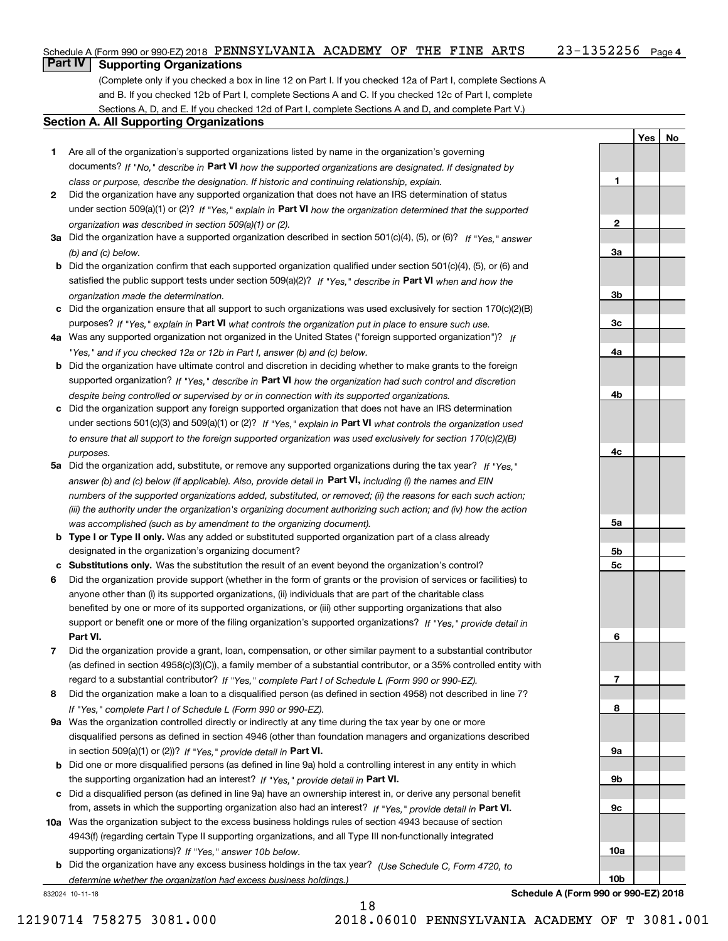#### 23-1352256 Page 4 Schedule A (Form 990 or 990-EZ) 2018 PENNSYLVANIA ACADEMY OF THE FINE ARTS  $\qquad \ \ \, 23-1352256$  Page

## **Part IV Supporting Organizations**

(Complete only if you checked a box in line 12 on Part I. If you checked 12a of Part I, complete Sections A and B. If you checked 12b of Part I, complete Sections A and C. If you checked 12c of Part I, complete Sections A, D, and E. If you checked 12d of Part I, complete Sections A and D, and complete Part V.)

### **Section A. All Supporting Organizations**

- **1** Are all of the organization's supported organizations listed by name in the organization's governing documents? If "No," describe in **Part VI** how the supported organizations are designated. If designated by *class or purpose, describe the designation. If historic and continuing relationship, explain.*
- **2** Did the organization have any supported organization that does not have an IRS determination of status under section 509(a)(1) or (2)? If "Yes," explain in Part VI how the organization determined that the supported *organization was described in section 509(a)(1) or (2).*
- **3a** Did the organization have a supported organization described in section 501(c)(4), (5), or (6)? If "Yes," answer *(b) and (c) below.*
- **b** Did the organization confirm that each supported organization qualified under section 501(c)(4), (5), or (6) and satisfied the public support tests under section 509(a)(2)? If "Yes," describe in **Part VI** when and how the *organization made the determination.*
- **c**Did the organization ensure that all support to such organizations was used exclusively for section 170(c)(2)(B) purposes? If "Yes," explain in **Part VI** what controls the organization put in place to ensure such use.
- **4a***If* Was any supported organization not organized in the United States ("foreign supported organization")? *"Yes," and if you checked 12a or 12b in Part I, answer (b) and (c) below.*
- **b** Did the organization have ultimate control and discretion in deciding whether to make grants to the foreign supported organization? If "Yes," describe in **Part VI** how the organization had such control and discretion *despite being controlled or supervised by or in connection with its supported organizations.*
- **c** Did the organization support any foreign supported organization that does not have an IRS determination under sections 501(c)(3) and 509(a)(1) or (2)? If "Yes," explain in **Part VI** what controls the organization used *to ensure that all support to the foreign supported organization was used exclusively for section 170(c)(2)(B) purposes.*
- **5a** Did the organization add, substitute, or remove any supported organizations during the tax year? If "Yes," answer (b) and (c) below (if applicable). Also, provide detail in **Part VI,** including (i) the names and EIN *numbers of the supported organizations added, substituted, or removed; (ii) the reasons for each such action; (iii) the authority under the organization's organizing document authorizing such action; and (iv) how the action was accomplished (such as by amendment to the organizing document).*
- **b** Type I or Type II only. Was any added or substituted supported organization part of a class already designated in the organization's organizing document?
- **cSubstitutions only.**  Was the substitution the result of an event beyond the organization's control?
- **6** Did the organization provide support (whether in the form of grants or the provision of services or facilities) to **Part VI.** *If "Yes," provide detail in* support or benefit one or more of the filing organization's supported organizations? anyone other than (i) its supported organizations, (ii) individuals that are part of the charitable class benefited by one or more of its supported organizations, or (iii) other supporting organizations that also
- **7**Did the organization provide a grant, loan, compensation, or other similar payment to a substantial contributor *If "Yes," complete Part I of Schedule L (Form 990 or 990-EZ).* regard to a substantial contributor? (as defined in section 4958(c)(3)(C)), a family member of a substantial contributor, or a 35% controlled entity with
- **8** Did the organization make a loan to a disqualified person (as defined in section 4958) not described in line 7? *If "Yes," complete Part I of Schedule L (Form 990 or 990-EZ).*
- **9a** Was the organization controlled directly or indirectly at any time during the tax year by one or more in section 509(a)(1) or (2))? If "Yes," *provide detail in* <code>Part VI.</code> disqualified persons as defined in section 4946 (other than foundation managers and organizations described
- **b** Did one or more disqualified persons (as defined in line 9a) hold a controlling interest in any entity in which the supporting organization had an interest? If "Yes," provide detail in P**art VI**.
- **c**Did a disqualified person (as defined in line 9a) have an ownership interest in, or derive any personal benefit from, assets in which the supporting organization also had an interest? If "Yes," provide detail in P**art VI.**
- **10a** Was the organization subject to the excess business holdings rules of section 4943 because of section supporting organizations)? If "Yes," answer 10b below. 4943(f) (regarding certain Type II supporting organizations, and all Type III non-functionally integrated
- **b** Did the organization have any excess business holdings in the tax year? (Use Schedule C, Form 4720, to *determine whether the organization had excess business holdings.)*

18

832024 10-11-18

**Schedule A (Form 990 or 990-EZ) 2018**

**YesNo**

**1**

**2**

**3a**

**3b**

**3c**

**4a**

**4b**

**4c**

**5a**

**5b5c**

**6**

**7**

**8**

**9a**

**9b**

**9c**

**10a**

**10b**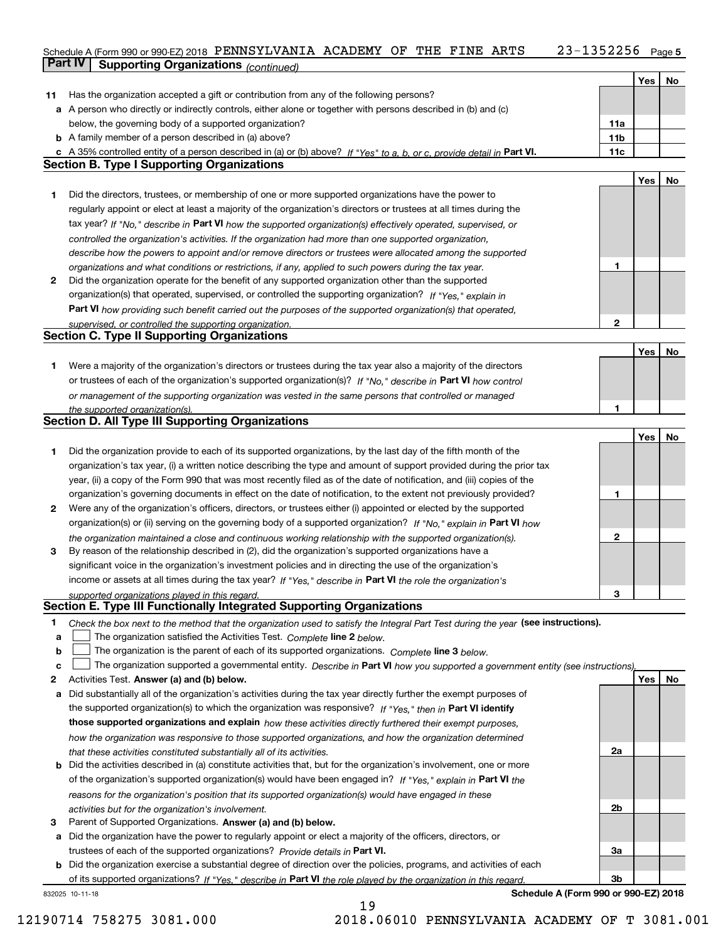### Schedule A (Form 990 or 990-EZ) 2018 PENNSYLVANIA ACADEMY OF THE FINE ARTS  $\qquad$  23-1352256  $\,$  Page 5 **Part IV Supporting Organizations** *(continued)*

|    |                                                                                                                                   |                 | Yes | No |
|----|-----------------------------------------------------------------------------------------------------------------------------------|-----------------|-----|----|
| 11 | Has the organization accepted a gift or contribution from any of the following persons?                                           |                 |     |    |
|    | a A person who directly or indirectly controls, either alone or together with persons described in (b) and (c)                    |                 |     |    |
|    | below, the governing body of a supported organization?                                                                            | 11a             |     |    |
|    | <b>b</b> A family member of a person described in (a) above?                                                                      | 11 <sub>b</sub> |     |    |
|    | c A 35% controlled entity of a person described in (a) or (b) above? If "Yes" to a, b, or c, provide detail in Part VI.           | 11c             |     |    |
|    | <b>Section B. Type I Supporting Organizations</b>                                                                                 |                 |     |    |
|    |                                                                                                                                   |                 | Yes | No |
| 1  | Did the directors, trustees, or membership of one or more supported organizations have the power to                               |                 |     |    |
|    |                                                                                                                                   |                 |     |    |
|    | regularly appoint or elect at least a majority of the organization's directors or trustees at all times during the                |                 |     |    |
|    | tax year? If "No," describe in Part VI how the supported organization(s) effectively operated, supervised, or                     |                 |     |    |
|    | controlled the organization's activities. If the organization had more than one supported organization,                           |                 |     |    |
|    | describe how the powers to appoint and/or remove directors or trustees were allocated among the supported                         |                 |     |    |
|    | organizations and what conditions or restrictions, if any, applied to such powers during the tax year.                            | 1               |     |    |
| 2  | Did the organization operate for the benefit of any supported organization other than the supported                               |                 |     |    |
|    | organization(s) that operated, supervised, or controlled the supporting organization? If "Yes," explain in                        |                 |     |    |
|    | Part VI how providing such benefit carried out the purposes of the supported organization(s) that operated,                       |                 |     |    |
|    | supervised, or controlled the supporting organization.                                                                            | $\mathbf{2}$    |     |    |
|    | <b>Section C. Type II Supporting Organizations</b>                                                                                |                 |     |    |
|    |                                                                                                                                   |                 | Yes | No |
| 1  | Were a majority of the organization's directors or trustees during the tax year also a majority of the directors                  |                 |     |    |
|    | or trustees of each of the organization's supported organization(s)? If "No," describe in Part VI how control                     |                 |     |    |
|    | or management of the supporting organization was vested in the same persons that controlled or managed                            |                 |     |    |
|    | the supported organization(s).                                                                                                    | 1               |     |    |
|    | Section D. All Type III Supporting Organizations                                                                                  |                 |     |    |
|    |                                                                                                                                   |                 | Yes | No |
| 1  | Did the organization provide to each of its supported organizations, by the last day of the fifth month of the                    |                 |     |    |
|    | organization's tax year, (i) a written notice describing the type and amount of support provided during the prior tax             |                 |     |    |
|    | year, (ii) a copy of the Form 990 that was most recently filed as of the date of notification, and (iii) copies of the            |                 |     |    |
|    | organization's governing documents in effect on the date of notification, to the extent not previously provided?                  | 1               |     |    |
| 2  | Were any of the organization's officers, directors, or trustees either (i) appointed or elected by the supported                  |                 |     |    |
|    | organization(s) or (ii) serving on the governing body of a supported organization? If "No," explain in Part VI how                |                 |     |    |
|    | the organization maintained a close and continuous working relationship with the supported organization(s).                       | $\mathbf{2}$    |     |    |
| 3  | By reason of the relationship described in (2), did the organization's supported organizations have a                             |                 |     |    |
|    | significant voice in the organization's investment policies and in directing the use of the organization's                        |                 |     |    |
|    | income or assets at all times during the tax year? If "Yes," describe in Part VI the role the organization's                      |                 |     |    |
|    | supported organizations played in this regard.                                                                                    | 3               |     |    |
|    | Section E. Type III Functionally Integrated Supporting Organizations                                                              |                 |     |    |
| 1  | Check the box next to the method that the organization used to satisfy the Integral Part Test during the year (see instructions). |                 |     |    |
| a  | The organization satisfied the Activities Test. Complete line 2 below.                                                            |                 |     |    |
| b  | The organization is the parent of each of its supported organizations. Complete line 3 below.                                     |                 |     |    |
| C  | The organization supported a governmental entity. Describe in Part VI how you supported a government entity (see instructions),   |                 |     |    |
| 2  | Activities Test. Answer (a) and (b) below.                                                                                        |                 | Yes | No |
| a  | Did substantially all of the organization's activities during the tax year directly further the exempt purposes of                |                 |     |    |
|    | the supported organization(s) to which the organization was responsive? If "Yes," then in Part VI identify                        |                 |     |    |
|    | those supported organizations and explain how these activities directly furthered their exempt purposes,                          |                 |     |    |
|    | how the organization was responsive to those supported organizations, and how the organization determined                         |                 |     |    |
|    | that these activities constituted substantially all of its activities.                                                            | 2a              |     |    |
|    | <b>b</b> Did the activities described in (a) constitute activities that, but for the organization's involvement, one or more      |                 |     |    |
|    | of the organization's supported organization(s) would have been engaged in? If "Yes," explain in Part VI the                      |                 |     |    |
|    | reasons for the organization's position that its supported organization(s) would have engaged in these                            |                 |     |    |
|    | activities but for the organization's involvement.                                                                                | 2b              |     |    |
| 3  | Parent of Supported Organizations. Answer (a) and (b) below.                                                                      |                 |     |    |
|    | a Did the organization have the power to regularly appoint or elect a majority of the officers, directors, or                     |                 |     |    |
|    | trustees of each of the supported organizations? Provide details in Part VI.                                                      | За              |     |    |
|    | <b>b</b> Did the organization exercise a substantial degree of direction over the policies, programs, and activities of each      |                 |     |    |
|    | of its supported organizations? If "Yes." describe in Part VI the role played by the organization in this regard.                 | 3b              |     |    |
|    | Schedule A (Form 990 or 990-EZ) 2018<br>832025 10-11-18                                                                           |                 |     |    |

19

**Schedule A (Form 990 or 990-EZ) 2018**

12190714 758275 3081.000 2018.06010 PENNSYLVANIA ACADEMY OF T 3081.001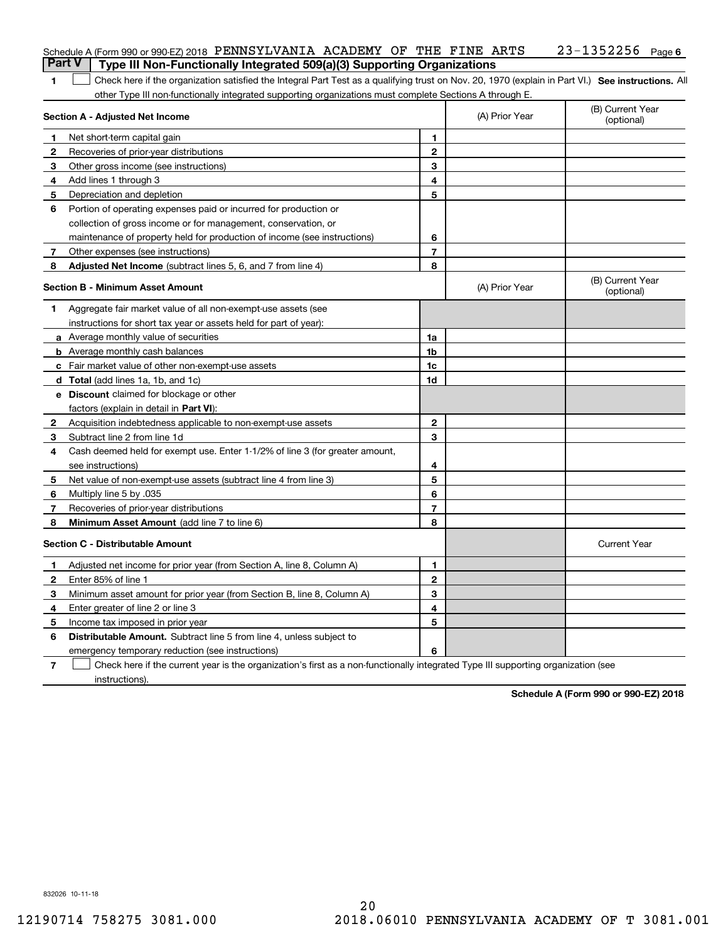| <b>Part V</b>  | Schedule A (Form 990 or 990-EZ) 2018 PENNSYLVANIA ACADEMY OF THE FINE ARTS<br>Type III Non-Functionally Integrated 509(a)(3) Supporting Organizations |              |                | $23 - 1352256$ Page 6          |
|----------------|-------------------------------------------------------------------------------------------------------------------------------------------------------|--------------|----------------|--------------------------------|
| 1              | Check here if the organization satisfied the Integral Part Test as a qualifying trust on Nov. 20, 1970 (explain in Part VI.) See instructions. All    |              |                |                                |
|                | other Type III non-functionally integrated supporting organizations must complete Sections A through E.                                               |              |                |                                |
|                | Section A - Adjusted Net Income                                                                                                                       |              | (A) Prior Year | (B) Current Year<br>(optional) |
| 1              | Net short-term capital gain                                                                                                                           | 1            |                |                                |
| 2              | Recoveries of prior-year distributions                                                                                                                | $\mathbf 2$  |                |                                |
| 3              | Other gross income (see instructions)                                                                                                                 | 3            |                |                                |
| 4              | Add lines 1 through 3                                                                                                                                 | 4            |                |                                |
| 5              | Depreciation and depletion                                                                                                                            | 5            |                |                                |
| 6              | Portion of operating expenses paid or incurred for production or                                                                                      |              |                |                                |
|                | collection of gross income or for management, conservation, or                                                                                        |              |                |                                |
|                | maintenance of property held for production of income (see instructions)                                                                              | 6            |                |                                |
| 7              | Other expenses (see instructions)                                                                                                                     | 7            |                |                                |
| 8              | <b>Adjusted Net Income</b> (subtract lines 5, 6, and 7 from line 4)                                                                                   | 8            |                |                                |
|                | <b>Section B - Minimum Asset Amount</b>                                                                                                               |              | (A) Prior Year | (B) Current Year<br>(optional) |
| 1              | Aggregate fair market value of all non-exempt-use assets (see                                                                                         |              |                |                                |
|                | instructions for short tax year or assets held for part of year):                                                                                     |              |                |                                |
|                | <b>a</b> Average monthly value of securities                                                                                                          | 1a           |                |                                |
|                | <b>b</b> Average monthly cash balances                                                                                                                | 1b           |                |                                |
|                | c Fair market value of other non-exempt-use assets                                                                                                    | 1c           |                |                                |
|                | d Total (add lines 1a, 1b, and 1c)                                                                                                                    | 1d           |                |                                |
|                | <b>e</b> Discount claimed for blockage or other                                                                                                       |              |                |                                |
|                | factors (explain in detail in Part VI):                                                                                                               |              |                |                                |
| 2              | Acquisition indebtedness applicable to non-exempt-use assets                                                                                          | $\mathbf{2}$ |                |                                |
| 3              | Subtract line 2 from line 1d                                                                                                                          | 3            |                |                                |
| 4              | Cash deemed held for exempt use. Enter 1-1/2% of line 3 (for greater amount,                                                                          |              |                |                                |
|                | see instructions)                                                                                                                                     | 4            |                |                                |
| 5              | Net value of non-exempt-use assets (subtract line 4 from line 3)                                                                                      | 5            |                |                                |
| 6              | Multiply line 5 by .035                                                                                                                               | 6            |                |                                |
| 7              | Recoveries of prior-year distributions                                                                                                                | 7            |                |                                |
| 8              | Minimum Asset Amount (add line 7 to line 6)                                                                                                           | 8            |                |                                |
|                | <b>Section C - Distributable Amount</b>                                                                                                               |              |                | <b>Current Year</b>            |
| 1.             | Adjusted net income for prior year (from Section A, line 8, Column A)                                                                                 | 1            |                |                                |
| 2              | Enter 85% of line 1                                                                                                                                   | 2            |                |                                |
| 3              | Minimum asset amount for prior year (from Section B, line 8, Column A)                                                                                | 3            |                |                                |
| 4              | Enter greater of line 2 or line 3                                                                                                                     | 4            |                |                                |
| 5              | Income tax imposed in prior year                                                                                                                      | 5            |                |                                |
| 6              | Distributable Amount. Subtract line 5 from line 4, unless subject to                                                                                  |              |                |                                |
|                | emergency temporary reduction (see instructions)                                                                                                      | 6            |                |                                |
| $\overline{7}$ | Check here if the current year is the organization's first as a non-functionally integrated Type III supporting organization (see                     |              |                |                                |

instructions).

**Schedule A (Form 990 or 990-EZ) 2018**

832026 10-11-18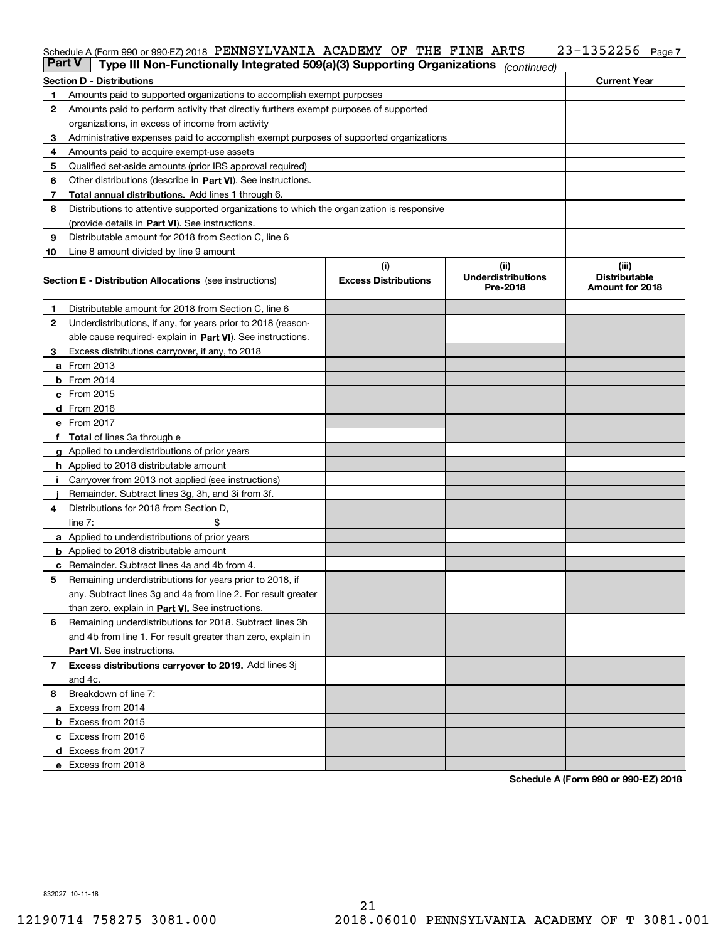#### **7** Schedule A (Form 990 or 990-EZ) 2018 PENNSYLVANIA ACADEMY OF THE FINE ARTS  $\qquad \ \ \, 23-1352256$  Page

| <b>Part V</b> | Type III Non-Functionally Integrated 509(a)(3) Supporting Organizations                    |                             | (continued)                           |                                         |
|---------------|--------------------------------------------------------------------------------------------|-----------------------------|---------------------------------------|-----------------------------------------|
|               | <b>Section D - Distributions</b>                                                           |                             |                                       | <b>Current Year</b>                     |
| 1             | Amounts paid to supported organizations to accomplish exempt purposes                      |                             |                                       |                                         |
| 2             | Amounts paid to perform activity that directly furthers exempt purposes of supported       |                             |                                       |                                         |
|               | organizations, in excess of income from activity                                           |                             |                                       |                                         |
| 3             | Administrative expenses paid to accomplish exempt purposes of supported organizations      |                             |                                       |                                         |
| 4             | Amounts paid to acquire exempt-use assets                                                  |                             |                                       |                                         |
| 5             | Qualified set-aside amounts (prior IRS approval required)                                  |                             |                                       |                                         |
| 6             | Other distributions (describe in Part VI). See instructions.                               |                             |                                       |                                         |
| 7             | <b>Total annual distributions.</b> Add lines 1 through 6.                                  |                             |                                       |                                         |
| 8             | Distributions to attentive supported organizations to which the organization is responsive |                             |                                       |                                         |
|               | (provide details in Part VI). See instructions.                                            |                             |                                       |                                         |
| 9             | Distributable amount for 2018 from Section C, line 6                                       |                             |                                       |                                         |
| 10            | Line 8 amount divided by line 9 amount                                                     |                             |                                       |                                         |
|               |                                                                                            | (i)                         | (ii)                                  | (iii)                                   |
|               | <b>Section E - Distribution Allocations</b> (see instructions)                             | <b>Excess Distributions</b> | <b>Underdistributions</b><br>Pre-2018 | <b>Distributable</b><br>Amount for 2018 |
| 1             | Distributable amount for 2018 from Section C, line 6                                       |                             |                                       |                                         |
| 2             | Underdistributions, if any, for years prior to 2018 (reason-                               |                             |                                       |                                         |
|               | able cause required- explain in Part VI). See instructions.                                |                             |                                       |                                         |
| З             | Excess distributions carryover, if any, to 2018                                            |                             |                                       |                                         |
|               | <b>a</b> From 2013                                                                         |                             |                                       |                                         |
|               | <b>b</b> From $2014$                                                                       |                             |                                       |                                         |
|               | c From 2015                                                                                |                             |                                       |                                         |
|               | <b>d</b> From 2016                                                                         |                             |                                       |                                         |
|               | e From 2017                                                                                |                             |                                       |                                         |
|               | Total of lines 3a through e                                                                |                             |                                       |                                         |
| g             | Applied to underdistributions of prior years                                               |                             |                                       |                                         |
|               | h Applied to 2018 distributable amount                                                     |                             |                                       |                                         |
|               | Carryover from 2013 not applied (see instructions)                                         |                             |                                       |                                         |
|               | Remainder. Subtract lines 3g, 3h, and 3i from 3f.                                          |                             |                                       |                                         |
| 4             | Distributions for 2018 from Section D,                                                     |                             |                                       |                                         |
|               | line $7:$                                                                                  |                             |                                       |                                         |
|               | <b>a</b> Applied to underdistributions of prior years                                      |                             |                                       |                                         |
|               | <b>b</b> Applied to 2018 distributable amount                                              |                             |                                       |                                         |
|               | c Remainder. Subtract lines 4a and 4b from 4.                                              |                             |                                       |                                         |
| 5             | Remaining underdistributions for years prior to 2018, if                                   |                             |                                       |                                         |
|               | any. Subtract lines 3g and 4a from line 2. For result greater                              |                             |                                       |                                         |
|               | than zero, explain in Part VI. See instructions.                                           |                             |                                       |                                         |
| 6             | Remaining underdistributions for 2018. Subtract lines 3h                                   |                             |                                       |                                         |
|               | and 4b from line 1. For result greater than zero, explain in                               |                             |                                       |                                         |
|               | Part VI. See instructions.                                                                 |                             |                                       |                                         |
| 7             | Excess distributions carryover to 2019. Add lines 3j                                       |                             |                                       |                                         |
|               | and 4c.                                                                                    |                             |                                       |                                         |
| 8             | Breakdown of line 7:                                                                       |                             |                                       |                                         |
|               | a Excess from 2014                                                                         |                             |                                       |                                         |
|               | <b>b</b> Excess from 2015                                                                  |                             |                                       |                                         |
|               | c Excess from 2016                                                                         |                             |                                       |                                         |
|               | d Excess from 2017                                                                         |                             |                                       |                                         |
|               | e Excess from 2018                                                                         |                             |                                       |                                         |
|               |                                                                                            |                             |                                       |                                         |

**Schedule A (Form 990 or 990-EZ) 2018**

832027 10-11-18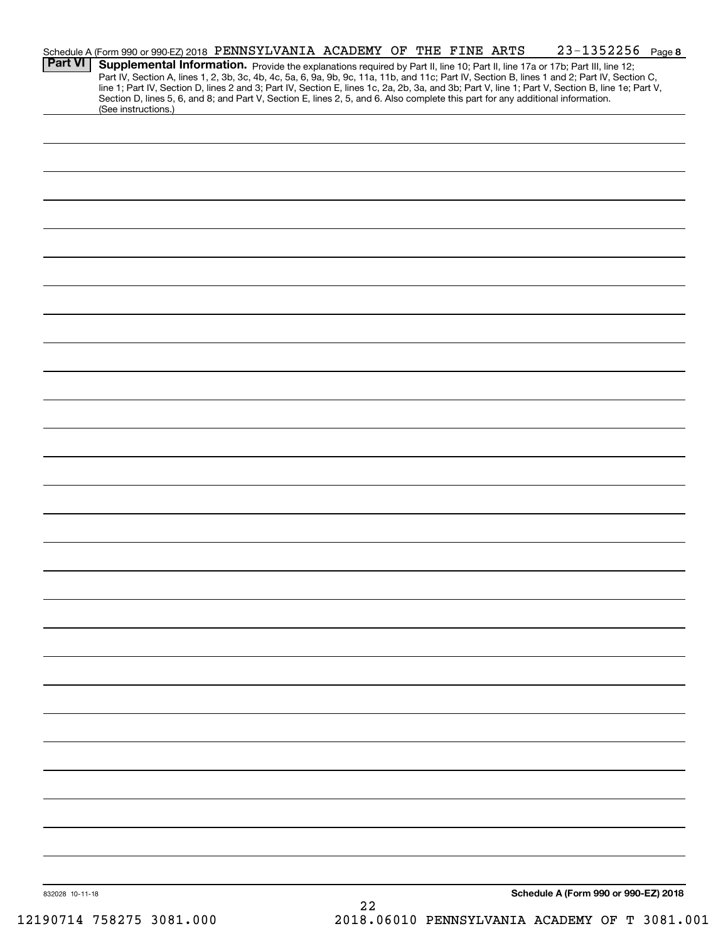| <b>Part VI</b>  | Schedule A (Form 990 or 990-EZ) 2018 PENNSYLVANIA ACADEMY OF THE FINE ARTS<br>Supplemental Information. Provide the explanations required by Part II, line 10; Part II, line 17a or 17b; Part III, line 12;<br>Part IV, Section A, lines 1, 2, 3b, 3c, 4b, 4c, 5a, 6, 9a, 9b, 9c, 11a, 11b, and 11c; Part IV, Section B, lines 1 and 2; Part IV, Section C,<br>line 1; Part IV, Section D, lines 2 and 3; Part IV, Section E, lines 1c, 2a, 2b, 3a, and 3b; Part V, line 1; Part V, Section B, line 1e; Part V, |    |  | $23 - 1352256$ Page 8                |  |
|-----------------|-----------------------------------------------------------------------------------------------------------------------------------------------------------------------------------------------------------------------------------------------------------------------------------------------------------------------------------------------------------------------------------------------------------------------------------------------------------------------------------------------------------------|----|--|--------------------------------------|--|
|                 | Section D, lines 5, 6, and 8; and Part V, Section E, lines 2, 5, and 6. Also complete this part for any additional information.<br>(See instructions.)                                                                                                                                                                                                                                                                                                                                                          |    |  |                                      |  |
|                 |                                                                                                                                                                                                                                                                                                                                                                                                                                                                                                                 |    |  |                                      |  |
|                 |                                                                                                                                                                                                                                                                                                                                                                                                                                                                                                                 |    |  |                                      |  |
|                 |                                                                                                                                                                                                                                                                                                                                                                                                                                                                                                                 |    |  |                                      |  |
|                 |                                                                                                                                                                                                                                                                                                                                                                                                                                                                                                                 |    |  |                                      |  |
|                 |                                                                                                                                                                                                                                                                                                                                                                                                                                                                                                                 |    |  |                                      |  |
|                 |                                                                                                                                                                                                                                                                                                                                                                                                                                                                                                                 |    |  |                                      |  |
|                 |                                                                                                                                                                                                                                                                                                                                                                                                                                                                                                                 |    |  |                                      |  |
|                 |                                                                                                                                                                                                                                                                                                                                                                                                                                                                                                                 |    |  |                                      |  |
|                 |                                                                                                                                                                                                                                                                                                                                                                                                                                                                                                                 |    |  |                                      |  |
|                 |                                                                                                                                                                                                                                                                                                                                                                                                                                                                                                                 |    |  |                                      |  |
|                 |                                                                                                                                                                                                                                                                                                                                                                                                                                                                                                                 |    |  |                                      |  |
|                 |                                                                                                                                                                                                                                                                                                                                                                                                                                                                                                                 |    |  |                                      |  |
|                 |                                                                                                                                                                                                                                                                                                                                                                                                                                                                                                                 |    |  |                                      |  |
|                 |                                                                                                                                                                                                                                                                                                                                                                                                                                                                                                                 |    |  |                                      |  |
|                 |                                                                                                                                                                                                                                                                                                                                                                                                                                                                                                                 |    |  |                                      |  |
|                 |                                                                                                                                                                                                                                                                                                                                                                                                                                                                                                                 |    |  |                                      |  |
|                 |                                                                                                                                                                                                                                                                                                                                                                                                                                                                                                                 |    |  |                                      |  |
|                 |                                                                                                                                                                                                                                                                                                                                                                                                                                                                                                                 |    |  |                                      |  |
|                 |                                                                                                                                                                                                                                                                                                                                                                                                                                                                                                                 |    |  |                                      |  |
|                 |                                                                                                                                                                                                                                                                                                                                                                                                                                                                                                                 |    |  |                                      |  |
|                 |                                                                                                                                                                                                                                                                                                                                                                                                                                                                                                                 |    |  |                                      |  |
|                 |                                                                                                                                                                                                                                                                                                                                                                                                                                                                                                                 |    |  |                                      |  |
|                 |                                                                                                                                                                                                                                                                                                                                                                                                                                                                                                                 |    |  |                                      |  |
|                 |                                                                                                                                                                                                                                                                                                                                                                                                                                                                                                                 |    |  |                                      |  |
|                 |                                                                                                                                                                                                                                                                                                                                                                                                                                                                                                                 |    |  |                                      |  |
|                 |                                                                                                                                                                                                                                                                                                                                                                                                                                                                                                                 |    |  |                                      |  |
|                 |                                                                                                                                                                                                                                                                                                                                                                                                                                                                                                                 |    |  |                                      |  |
|                 |                                                                                                                                                                                                                                                                                                                                                                                                                                                                                                                 |    |  |                                      |  |
|                 |                                                                                                                                                                                                                                                                                                                                                                                                                                                                                                                 |    |  |                                      |  |
|                 |                                                                                                                                                                                                                                                                                                                                                                                                                                                                                                                 |    |  |                                      |  |
|                 |                                                                                                                                                                                                                                                                                                                                                                                                                                                                                                                 |    |  |                                      |  |
| 832028 10-11-18 |                                                                                                                                                                                                                                                                                                                                                                                                                                                                                                                 | 22 |  | Schedule A (Form 990 or 990-EZ) 2018 |  |

 <sup>12190714 758275 3081.000 2018.06010</sup> PENNSYLVANIA ACADEMY OF T 3081.001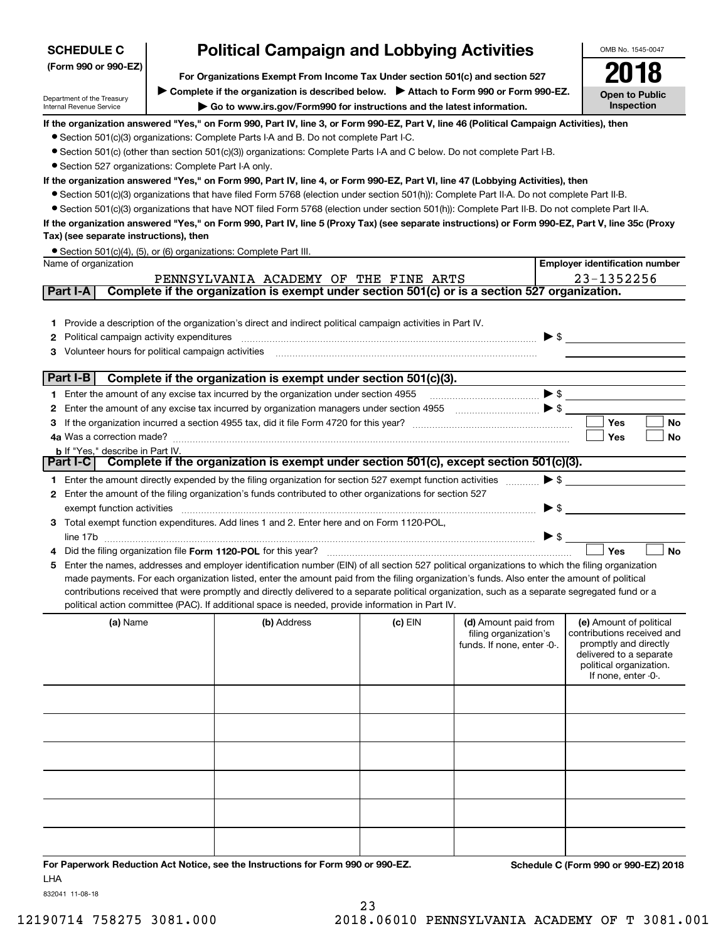| <b>Political Campaign and Lobbying Activities</b><br><b>SCHEDULE C</b>                                |  |                                                                                                                                                                                                                                                    |           |                                                                                                                                                                                                                                                                                                                                                                             | OMB No. 1545-0047        |                                                       |
|-------------------------------------------------------------------------------------------------------|--|----------------------------------------------------------------------------------------------------------------------------------------------------------------------------------------------------------------------------------------------------|-----------|-----------------------------------------------------------------------------------------------------------------------------------------------------------------------------------------------------------------------------------------------------------------------------------------------------------------------------------------------------------------------------|--------------------------|-------------------------------------------------------|
| (Form 990 or 990-EZ)<br>For Organizations Exempt From Income Tax Under section 501(c) and section 527 |  |                                                                                                                                                                                                                                                    |           |                                                                                                                                                                                                                                                                                                                                                                             |                          |                                                       |
|                                                                                                       |  | ► Complete if the organization is described below. ► Attach to Form 990 or Form 990-EZ.                                                                                                                                                            |           |                                                                                                                                                                                                                                                                                                                                                                             |                          | <b>Open to Public</b>                                 |
| Department of the Treasury<br>Internal Revenue Service                                                |  | Go to www.irs.gov/Form990 for instructions and the latest information.                                                                                                                                                                             |           |                                                                                                                                                                                                                                                                                                                                                                             |                          | <b>Inspection</b>                                     |
|                                                                                                       |  | If the organization answered "Yes," on Form 990, Part IV, line 3, or Form 990-EZ, Part V, line 46 (Political Campaign Activities), then                                                                                                            |           |                                                                                                                                                                                                                                                                                                                                                                             |                          |                                                       |
|                                                                                                       |  | • Section 501(c)(3) organizations: Complete Parts I-A and B. Do not complete Part I-C.                                                                                                                                                             |           |                                                                                                                                                                                                                                                                                                                                                                             |                          |                                                       |
|                                                                                                       |  | • Section 501(c) (other than section 501(c)(3)) organizations: Complete Parts I-A and C below. Do not complete Part I-B.                                                                                                                           |           |                                                                                                                                                                                                                                                                                                                                                                             |                          |                                                       |
| • Section 527 organizations: Complete Part I-A only.                                                  |  |                                                                                                                                                                                                                                                    |           |                                                                                                                                                                                                                                                                                                                                                                             |                          |                                                       |
|                                                                                                       |  | If the organization answered "Yes," on Form 990, Part IV, line 4, or Form 990-EZ, Part VI, line 47 (Lobbying Activities), then                                                                                                                     |           |                                                                                                                                                                                                                                                                                                                                                                             |                          |                                                       |
|                                                                                                       |  | • Section 501(c)(3) organizations that have filed Form 5768 (election under section 501(h)): Complete Part II-A. Do not complete Part II-B.                                                                                                        |           |                                                                                                                                                                                                                                                                                                                                                                             |                          |                                                       |
|                                                                                                       |  | • Section 501(c)(3) organizations that have NOT filed Form 5768 (election under section 501(h)): Complete Part II-B. Do not complete Part II-A.                                                                                                    |           |                                                                                                                                                                                                                                                                                                                                                                             |                          |                                                       |
|                                                                                                       |  | If the organization answered "Yes," on Form 990, Part IV, line 5 (Proxy Tax) (see separate instructions) or Form 990-EZ, Part V, line 35c (Proxy                                                                                                   |           |                                                                                                                                                                                                                                                                                                                                                                             |                          |                                                       |
| Tax) (see separate instructions), then                                                                |  |                                                                                                                                                                                                                                                    |           |                                                                                                                                                                                                                                                                                                                                                                             |                          |                                                       |
| Name of organization                                                                                  |  | • Section 501(c)(4), (5), or (6) organizations: Complete Part III.                                                                                                                                                                                 |           |                                                                                                                                                                                                                                                                                                                                                                             |                          | <b>Employer identification number</b>                 |
|                                                                                                       |  | PENNSYLVANIA ACADEMY OF THE FINE ARTS                                                                                                                                                                                                              |           |                                                                                                                                                                                                                                                                                                                                                                             |                          | 23-1352256                                            |
| Part I-A                                                                                              |  | Complete if the organization is exempt under section 501(c) or is a section 527 organization.                                                                                                                                                      |           |                                                                                                                                                                                                                                                                                                                                                                             |                          |                                                       |
|                                                                                                       |  |                                                                                                                                                                                                                                                    |           |                                                                                                                                                                                                                                                                                                                                                                             |                          |                                                       |
|                                                                                                       |  | 1 Provide a description of the organization's direct and indirect political campaign activities in Part IV.                                                                                                                                        |           |                                                                                                                                                                                                                                                                                                                                                                             |                          |                                                       |
| Political campaign activity expenditures<br>2                                                         |  |                                                                                                                                                                                                                                                    |           |                                                                                                                                                                                                                                                                                                                                                                             | $\blacktriangleright$ \$ |                                                       |
| Volunteer hours for political campaign activities<br>З                                                |  |                                                                                                                                                                                                                                                    |           |                                                                                                                                                                                                                                                                                                                                                                             |                          |                                                       |
|                                                                                                       |  |                                                                                                                                                                                                                                                    |           |                                                                                                                                                                                                                                                                                                                                                                             |                          |                                                       |
| Part I-B                                                                                              |  | Complete if the organization is exempt under section 501(c)(3).                                                                                                                                                                                    |           |                                                                                                                                                                                                                                                                                                                                                                             |                          |                                                       |
|                                                                                                       |  | 1 Enter the amount of any excise tax incurred by the organization under section 4955                                                                                                                                                               |           | $\begin{picture}(20,10) \put(0,0){\vector(1,0){10}} \put(15,0){\vector(1,0){10}} \put(15,0){\vector(1,0){10}} \put(15,0){\vector(1,0){10}} \put(15,0){\vector(1,0){10}} \put(15,0){\vector(1,0){10}} \put(15,0){\vector(1,0){10}} \put(15,0){\vector(1,0){10}} \put(15,0){\vector(1,0){10}} \put(15,0){\vector(1,0){10}} \put(15,0){\vector(1,0){10}} \put(15,0){\vector(1$ |                          |                                                       |
| 2                                                                                                     |  | Enter the amount of any excise tax incurred by organization managers under section 4955                                                                                                                                                            |           |                                                                                                                                                                                                                                                                                                                                                                             |                          |                                                       |
| з                                                                                                     |  |                                                                                                                                                                                                                                                    |           |                                                                                                                                                                                                                                                                                                                                                                             |                          | Yes<br><b>No</b>                                      |
|                                                                                                       |  |                                                                                                                                                                                                                                                    |           |                                                                                                                                                                                                                                                                                                                                                                             |                          | Yes<br>No                                             |
| <b>b</b> If "Yes," describe in Part IV.                                                               |  |                                                                                                                                                                                                                                                    |           |                                                                                                                                                                                                                                                                                                                                                                             |                          |                                                       |
|                                                                                                       |  | Part I-C   Complete if the organization is exempt under section 501(c), except section 501(c)(3).                                                                                                                                                  |           |                                                                                                                                                                                                                                                                                                                                                                             |                          |                                                       |
|                                                                                                       |  | 1 Enter the amount directly expended by the filing organization for section 527 exempt function activities                                                                                                                                         |           |                                                                                                                                                                                                                                                                                                                                                                             | $\blacktriangleright$ \$ |                                                       |
|                                                                                                       |  | 2 Enter the amount of the filing organization's funds contributed to other organizations for section 527                                                                                                                                           |           |                                                                                                                                                                                                                                                                                                                                                                             |                          |                                                       |
| exempt function activities                                                                            |  |                                                                                                                                                                                                                                                    |           |                                                                                                                                                                                                                                                                                                                                                                             | $\blacktriangleright$ \$ |                                                       |
|                                                                                                       |  | 3 Total exempt function expenditures. Add lines 1 and 2. Enter here and on Form 1120-POL,                                                                                                                                                          |           |                                                                                                                                                                                                                                                                                                                                                                             |                          |                                                       |
|                                                                                                       |  |                                                                                                                                                                                                                                                    |           |                                                                                                                                                                                                                                                                                                                                                                             | $\blacktriangleright$ \$ |                                                       |
|                                                                                                       |  | Did the filing organization file Form 1120-POL for this year?                                                                                                                                                                                      |           |                                                                                                                                                                                                                                                                                                                                                                             |                          | Yes<br><b>No</b>                                      |
| 5.                                                                                                    |  | Enter the names, addresses and employer identification number (EIN) of all section 527 political organizations to which the filing organization                                                                                                    |           |                                                                                                                                                                                                                                                                                                                                                                             |                          |                                                       |
|                                                                                                       |  | made payments. For each organization listed, enter the amount paid from the filing organization's funds. Also enter the amount of political                                                                                                        |           |                                                                                                                                                                                                                                                                                                                                                                             |                          |                                                       |
|                                                                                                       |  | contributions received that were promptly and directly delivered to a separate political organization, such as a separate segregated fund or a<br>political action committee (PAC). If additional space is needed, provide information in Part IV. |           |                                                                                                                                                                                                                                                                                                                                                                             |                          |                                                       |
|                                                                                                       |  |                                                                                                                                                                                                                                                    |           |                                                                                                                                                                                                                                                                                                                                                                             |                          |                                                       |
| (a) Name                                                                                              |  | (b) Address                                                                                                                                                                                                                                        | $(c)$ EIN | (d) Amount paid from<br>filing organization's                                                                                                                                                                                                                                                                                                                               |                          | (e) Amount of political<br>contributions received and |
|                                                                                                       |  |                                                                                                                                                                                                                                                    |           | funds. If none, enter -0-.                                                                                                                                                                                                                                                                                                                                                  |                          | promptly and directly                                 |
|                                                                                                       |  |                                                                                                                                                                                                                                                    |           |                                                                                                                                                                                                                                                                                                                                                                             |                          | delivered to a separate                               |
|                                                                                                       |  |                                                                                                                                                                                                                                                    |           |                                                                                                                                                                                                                                                                                                                                                                             |                          | political organization.<br>If none, enter -0-.        |
|                                                                                                       |  |                                                                                                                                                                                                                                                    |           |                                                                                                                                                                                                                                                                                                                                                                             |                          |                                                       |
|                                                                                                       |  |                                                                                                                                                                                                                                                    |           |                                                                                                                                                                                                                                                                                                                                                                             |                          |                                                       |
|                                                                                                       |  |                                                                                                                                                                                                                                                    |           |                                                                                                                                                                                                                                                                                                                                                                             |                          |                                                       |
|                                                                                                       |  |                                                                                                                                                                                                                                                    |           |                                                                                                                                                                                                                                                                                                                                                                             |                          |                                                       |
|                                                                                                       |  |                                                                                                                                                                                                                                                    |           |                                                                                                                                                                                                                                                                                                                                                                             |                          |                                                       |
|                                                                                                       |  |                                                                                                                                                                                                                                                    |           |                                                                                                                                                                                                                                                                                                                                                                             |                          |                                                       |
|                                                                                                       |  |                                                                                                                                                                                                                                                    |           |                                                                                                                                                                                                                                                                                                                                                                             |                          |                                                       |
|                                                                                                       |  |                                                                                                                                                                                                                                                    |           |                                                                                                                                                                                                                                                                                                                                                                             |                          |                                                       |
|                                                                                                       |  |                                                                                                                                                                                                                                                    |           |                                                                                                                                                                                                                                                                                                                                                                             |                          |                                                       |
|                                                                                                       |  |                                                                                                                                                                                                                                                    |           |                                                                                                                                                                                                                                                                                                                                                                             |                          |                                                       |
|                                                                                                       |  |                                                                                                                                                                                                                                                    |           |                                                                                                                                                                                                                                                                                                                                                                             |                          |                                                       |
|                                                                                                       |  |                                                                                                                                                                                                                                                    |           |                                                                                                                                                                                                                                                                                                                                                                             |                          |                                                       |

**For Paperwork Reduction Act Notice, see the Instructions for Form 990 or 990-EZ. Schedule C (Form 990 or 990-EZ) 2018** LHA

832041 11-08-18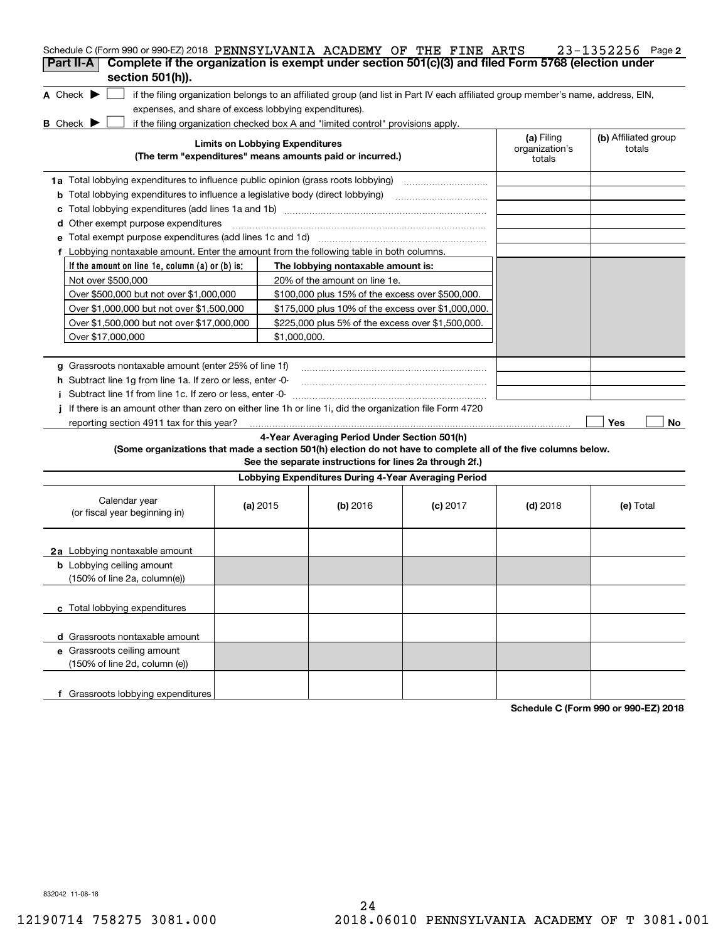| Schedule C (Form 990 or 990-EZ) 2018 PENNSYLVANIA ACADEMY OF THE FINE ARTS                                                          |                                                             |              |                                                                                  |                                                                                                                                   |                                        | $23 - 1352256$ Page 2          |
|-------------------------------------------------------------------------------------------------------------------------------------|-------------------------------------------------------------|--------------|----------------------------------------------------------------------------------|-----------------------------------------------------------------------------------------------------------------------------------|----------------------------------------|--------------------------------|
| Complete if the organization is exempt under section 501(c)(3) and filed Form 5768 (election under<br>Part II-A<br>section 501(h)). |                                                             |              |                                                                                  |                                                                                                                                   |                                        |                                |
| A Check $\blacktriangleright$                                                                                                       |                                                             |              |                                                                                  | if the filing organization belongs to an affiliated group (and list in Part IV each affiliated group member's name, address, EIN, |                                        |                                |
| expenses, and share of excess lobbying expenditures).                                                                               |                                                             |              |                                                                                  |                                                                                                                                   |                                        |                                |
| B Check $\blacktriangleright$                                                                                                       |                                                             |              | if the filing organization checked box A and "limited control" provisions apply. |                                                                                                                                   |                                        |                                |
|                                                                                                                                     | <b>Limits on Lobbying Expenditures</b>                      |              | (The term "expenditures" means amounts paid or incurred.)                        |                                                                                                                                   | (a) Filing<br>organization's<br>totals | (b) Affiliated group<br>totals |
|                                                                                                                                     |                                                             |              |                                                                                  |                                                                                                                                   |                                        |                                |
| 1a Total lobbying expenditures to influence public opinion (grass roots lobbying)                                                   |                                                             |              |                                                                                  |                                                                                                                                   |                                        |                                |
| <b>b</b> Total lobbying expenditures to influence a legislative body (direct lobbying) <i>manumumumum</i>                           |                                                             |              |                                                                                  |                                                                                                                                   |                                        |                                |
| c                                                                                                                                   |                                                             |              |                                                                                  |                                                                                                                                   |                                        |                                |
| d Other exempt purpose expenditures                                                                                                 |                                                             |              |                                                                                  |                                                                                                                                   |                                        |                                |
|                                                                                                                                     |                                                             |              |                                                                                  |                                                                                                                                   |                                        |                                |
| f Lobbying nontaxable amount. Enter the amount from the following table in both columns.                                            |                                                             |              |                                                                                  |                                                                                                                                   |                                        |                                |
| If the amount on line 1e, column (a) or (b) is:                                                                                     |                                                             |              | The lobbying nontaxable amount is:                                               |                                                                                                                                   |                                        |                                |
| Not over \$500,000                                                                                                                  |                                                             |              | 20% of the amount on line 1e.                                                    |                                                                                                                                   |                                        |                                |
| Over \$500,000 but not over \$1,000,000                                                                                             |                                                             |              | \$100,000 plus 15% of the excess over \$500,000.                                 |                                                                                                                                   |                                        |                                |
| Over \$1,000,000 but not over \$1,500,000                                                                                           |                                                             |              | \$175,000 plus 10% of the excess over \$1,000,000.                               |                                                                                                                                   |                                        |                                |
| Over \$1,500,000 but not over \$17,000,000                                                                                          |                                                             |              | \$225,000 plus 5% of the excess over \$1,500,000.                                |                                                                                                                                   |                                        |                                |
| Over \$17,000,000                                                                                                                   |                                                             | \$1,000,000. |                                                                                  |                                                                                                                                   |                                        |                                |
|                                                                                                                                     |                                                             |              |                                                                                  |                                                                                                                                   |                                        |                                |
| g Grassroots nontaxable amount (enter 25% of line 1f)                                                                               |                                                             |              |                                                                                  |                                                                                                                                   |                                        |                                |
| h Subtract line 1g from line 1a. If zero or less, enter -0-                                                                         |                                                             |              |                                                                                  |                                                                                                                                   |                                        |                                |
|                                                                                                                                     | i Subtract line 1f from line 1c. If zero or less, enter -0- |              |                                                                                  |                                                                                                                                   |                                        |                                |
| If there is an amount other than zero on either line 1h or line 1i, did the organization file Form 4720                             |                                                             |              |                                                                                  |                                                                                                                                   |                                        |                                |
| reporting section 4911 tax for this year?                                                                                           |                                                             |              |                                                                                  |                                                                                                                                   |                                        | Yes<br>No                      |
|                                                                                                                                     |                                                             |              | 4-Year Averaging Period Under Section 501(h)                                     |                                                                                                                                   |                                        |                                |
| (Some organizations that made a section 501(h) election do not have to complete all of the five columns below.                      |                                                             |              | See the separate instructions for lines 2a through 2f.)                          |                                                                                                                                   |                                        |                                |
|                                                                                                                                     |                                                             |              | Lobbying Expenditures During 4-Year Averaging Period                             |                                                                                                                                   |                                        |                                |
| Calendar year<br>(or fiscal year beginning in)                                                                                      | (a) $2015$                                                  |              | (b) 2016                                                                         | $(c)$ 2017                                                                                                                        | $(d)$ 2018                             | (e) Total                      |
| 2a Lobbying nontaxable amount                                                                                                       |                                                             |              |                                                                                  |                                                                                                                                   |                                        |                                |
| <b>b</b> Lobbying ceiling amount<br>(150% of line 2a, column(e))                                                                    |                                                             |              |                                                                                  |                                                                                                                                   |                                        |                                |
| c Total lobbying expenditures                                                                                                       |                                                             |              |                                                                                  |                                                                                                                                   |                                        |                                |
| d Grassroots nontaxable amount                                                                                                      |                                                             |              |                                                                                  |                                                                                                                                   |                                        |                                |
| e Grassroots ceiling amount<br>(150% of line 2d, column (e))                                                                        |                                                             |              |                                                                                  |                                                                                                                                   |                                        |                                |
| f Grassroots lobbying expenditures                                                                                                  |                                                             |              |                                                                                  |                                                                                                                                   |                                        |                                |

**Schedule C (Form 990 or 990-EZ) 2018**

832042 11-08-18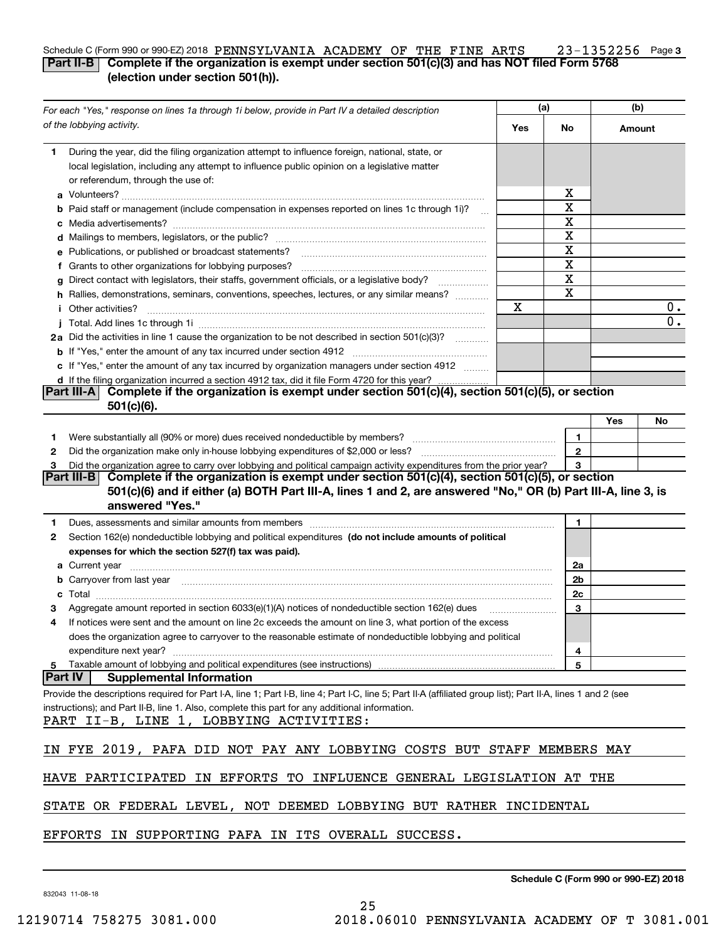#### **3** Schedule C (Form 990 or 990-EZ) 2018  $\mathtt{PENNSYLVANIA}$  A $\mathtt{CADEMY}$  O $\mathtt{F}$  THE  $\mathtt{FINE}$  ART $\mathtt{S}$  23-1352256 Page **Part II-B Complete if the organization is exempt under section 501(c)(3) and has NOT filed Form 5768 (election under section 501(h)).** PENNSYLVANIA ACADEMY OF THE FINE ARTS 23-1352256

| For each "Yes," response on lines 1a through 1i below, provide in Part IV a detailed description |                                                                                                                                                                                                                                | (a) |                  | (b)    |          |
|--------------------------------------------------------------------------------------------------|--------------------------------------------------------------------------------------------------------------------------------------------------------------------------------------------------------------------------------|-----|------------------|--------|----------|
|                                                                                                  | of the lobbying activity.                                                                                                                                                                                                      | Yes | No.              | Amount |          |
| 1                                                                                                | During the year, did the filing organization attempt to influence foreign, national, state, or                                                                                                                                 |     |                  |        |          |
|                                                                                                  | local legislation, including any attempt to influence public opinion on a legislative matter                                                                                                                                   |     |                  |        |          |
|                                                                                                  | or referendum, through the use of:                                                                                                                                                                                             |     |                  |        |          |
|                                                                                                  |                                                                                                                                                                                                                                |     | x                |        |          |
|                                                                                                  | <b>b</b> Paid staff or management (include compensation in expenses reported on lines 1c through 1i)?                                                                                                                          |     | X                |        |          |
|                                                                                                  |                                                                                                                                                                                                                                |     | X                |        |          |
|                                                                                                  |                                                                                                                                                                                                                                |     | X                |        |          |
|                                                                                                  | e Publications, or published or broadcast statements?                                                                                                                                                                          |     | X<br>$\mathbf X$ |        |          |
|                                                                                                  | f Grants to other organizations for lobbying purposes?                                                                                                                                                                         |     | $\mathbf X$      |        |          |
| g                                                                                                | Direct contact with legislators, their staffs, government officials, or a legislative body?                                                                                                                                    |     | X                |        |          |
|                                                                                                  | h Rallies, demonstrations, seminars, conventions, speeches, lectures, or any similar means?                                                                                                                                    | X   |                  |        |          |
|                                                                                                  | <i>i</i> Other activities?                                                                                                                                                                                                     |     |                  |        | 0.<br>0. |
|                                                                                                  |                                                                                                                                                                                                                                |     |                  |        |          |
|                                                                                                  | 2a Did the activities in line 1 cause the organization to be not described in section 501(c)(3)?                                                                                                                               |     |                  |        |          |
|                                                                                                  |                                                                                                                                                                                                                                |     |                  |        |          |
|                                                                                                  | c If "Yes," enter the amount of any tax incurred by organization managers under section 4912                                                                                                                                   |     |                  |        |          |
|                                                                                                  | d If the filing organization incurred a section 4912 tax, did it file Form 4720 for this year?<br>Complete if the organization is exempt under section $501(c)(4)$ , section $501(c)(5)$ , or section<br><b>Part III-A</b>     |     |                  |        |          |
|                                                                                                  | $501(c)(6)$ .                                                                                                                                                                                                                  |     |                  |        |          |
|                                                                                                  |                                                                                                                                                                                                                                |     |                  | Yes    | No       |
| 1                                                                                                |                                                                                                                                                                                                                                |     | 1                |        |          |
| 2                                                                                                |                                                                                                                                                                                                                                |     | $\mathbf{2}$     |        |          |
| 3                                                                                                | Did the organization agree to carry over lobbying and political campaign activity expenditures from the prior year?                                                                                                            |     | 3                |        |          |
|                                                                                                  | Complete if the organization is exempt under section 501(c)(4), section 501(c)(5), or section<br><b>Part III-B</b>                                                                                                             |     |                  |        |          |
|                                                                                                  | 501(c)(6) and if either (a) BOTH Part III-A, lines 1 and 2, are answered "No," OR (b) Part III-A, line 3, is                                                                                                                   |     |                  |        |          |
|                                                                                                  | answered "Yes."                                                                                                                                                                                                                |     |                  |        |          |
| 1                                                                                                | Dues, assessments and similar amounts from members [11] matter continuum matter and similar and similar amounts from members [11] matter continuum matter and similar amounts from members [11] matter and similar and similar |     | 1                |        |          |
| 2                                                                                                | Section 162(e) nondeductible lobbying and political expenditures (do not include amounts of political                                                                                                                          |     |                  |        |          |
|                                                                                                  | expenses for which the section 527(f) tax was paid).                                                                                                                                                                           |     |                  |        |          |
|                                                                                                  |                                                                                                                                                                                                                                |     | 2a               |        |          |
|                                                                                                  | b Carryover from last year manufactured and contain a series of the contract of the contract of the contract of the contract of the contract of the contract of the contract of the contract of the contract of the contract o |     | 2b               |        |          |
| c                                                                                                |                                                                                                                                                                                                                                |     | 2c               |        |          |
|                                                                                                  | Aggregate amount reported in section 6033(e)(1)(A) notices of nondeductible section 162(e) dues                                                                                                                                |     | 3                |        |          |
| 4                                                                                                | If notices were sent and the amount on line 2c exceeds the amount on line 3, what portion of the excess                                                                                                                        |     |                  |        |          |
|                                                                                                  | does the organization agree to carryover to the reasonable estimate of nondeductible lobbying and political                                                                                                                    |     |                  |        |          |
|                                                                                                  | expenditure next year?                                                                                                                                                                                                         |     | 4                |        |          |
|                                                                                                  | 5 Taxable amount of lobbying and political expenditures (see instructions)                                                                                                                                                     |     | 5                |        |          |
|                                                                                                  | Part IV<br><b>Supplemental Information</b>                                                                                                                                                                                     |     |                  |        |          |
|                                                                                                  | Provide the descriptions required for Part I-A, line 1; Part I-B, line 4; Part I-C, line 5; Part II-A (affiliated group list); Part II-A, lines 1 and 2 (see                                                                   |     |                  |        |          |
|                                                                                                  | instructions); and Part II-B, line 1. Also, complete this part for any additional information.                                                                                                                                 |     |                  |        |          |
|                                                                                                  | PART II-B, LINE 1, LOBBYING ACTIVITIES:                                                                                                                                                                                        |     |                  |        |          |
|                                                                                                  |                                                                                                                                                                                                                                |     |                  |        |          |
|                                                                                                  | IN FYE 2019, PAFA DID NOT PAY ANY LOBBYING COSTS BUT STAFF MEMBERS MAY                                                                                                                                                         |     |                  |        |          |
|                                                                                                  |                                                                                                                                                                                                                                |     |                  |        |          |
|                                                                                                  | HAVE PARTICIPATED IN EFFORTS TO INFLUENCE GENERAL LEGISLATION AT THE                                                                                                                                                           |     |                  |        |          |
|                                                                                                  | STATE OR FEDERAL LEVEL, NOT DEEMED LOBBYING BUT RATHER INCIDENTAL                                                                                                                                                              |     |                  |        |          |
|                                                                                                  |                                                                                                                                                                                                                                |     |                  |        |          |
|                                                                                                  | EFFORTS IN SUPPORTING PAFA IN ITS OVERALL SUCCESS.                                                                                                                                                                             |     |                  |        |          |

832043 11-08-18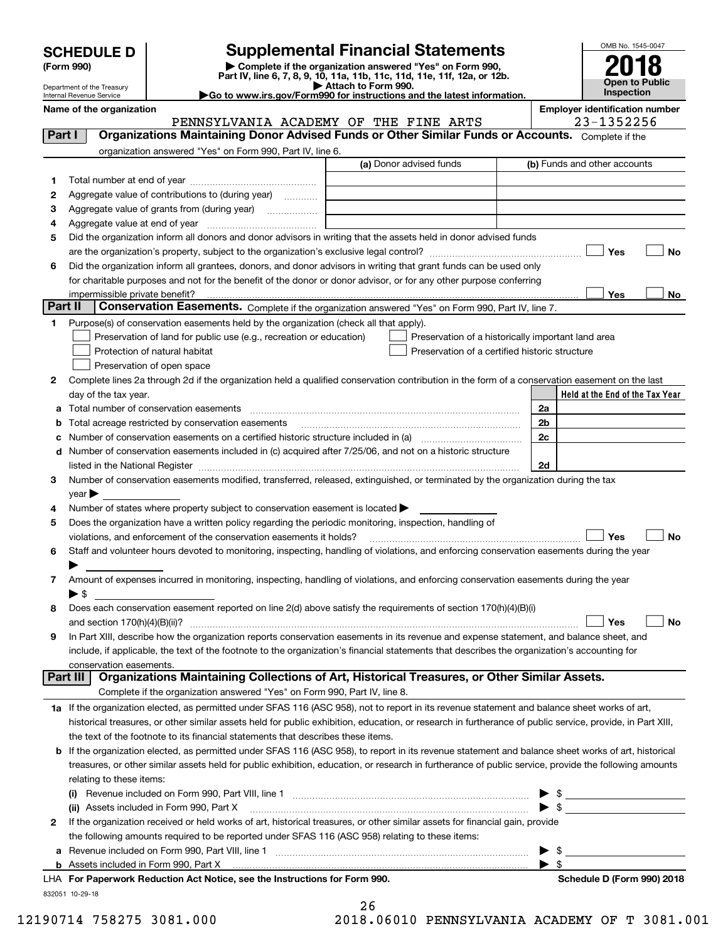|  | <b>SCHEDULE D</b> |  |  |  |
|--|-------------------|--|--|--|
|--|-------------------|--|--|--|

| (Form 990) |  |
|------------|--|
|------------|--|

## **Supplemental Financial Statements**

(Form 990)<br>
Pepartment of the Treasury<br>
Department of the Treasury<br>
Department of the Treasury<br>
Department of the Treasury<br> **Co to www.irs.gov/Form990 for instructions and the latest information.**<br> **Co to www.irs.gov/Form9** 



Department of the Treasury Internal Revenue Service

**Name of the organization Employer identification number** PENNSYLVANIA ACADEMY OF THE FINE ARTS 23-1352256

| Part I       | <b>Organizations Maintaining Donor Advised Funds or Other Similar Funds or Accounts.</b> Complete if the                                                                                                                      |                                                    |                                          |
|--------------|-------------------------------------------------------------------------------------------------------------------------------------------------------------------------------------------------------------------------------|----------------------------------------------------|------------------------------------------|
|              | organization answered "Yes" on Form 990, Part IV, line 6.                                                                                                                                                                     |                                                    |                                          |
|              |                                                                                                                                                                                                                               | (a) Donor advised funds                            | (b) Funds and other accounts             |
| 1.           |                                                                                                                                                                                                                               |                                                    |                                          |
| 2            | Aggregate value of contributions to (during year)                                                                                                                                                                             |                                                    |                                          |
| з            | Aggregate value of grants from (during year)                                                                                                                                                                                  |                                                    |                                          |
| 4            |                                                                                                                                                                                                                               |                                                    |                                          |
| 5            | Did the organization inform all donors and donor advisors in writing that the assets held in donor advised funds                                                                                                              |                                                    |                                          |
|              |                                                                                                                                                                                                                               |                                                    | Yes<br>No                                |
| 6            | Did the organization inform all grantees, donors, and donor advisors in writing that grant funds can be used only                                                                                                             |                                                    |                                          |
|              | for charitable purposes and not for the benefit of the donor or donor advisor, or for any other purpose conferring                                                                                                            |                                                    |                                          |
|              |                                                                                                                                                                                                                               |                                                    | Yes<br>No                                |
| Part II      | Conservation Easements. Complete if the organization answered "Yes" on Form 990, Part IV, line 7.                                                                                                                             |                                                    |                                          |
| 1            | Purpose(s) of conservation easements held by the organization (check all that apply).                                                                                                                                         |                                                    |                                          |
|              | Preservation of land for public use (e.g., recreation or education)                                                                                                                                                           | Preservation of a historically important land area |                                          |
|              | Protection of natural habitat                                                                                                                                                                                                 | Preservation of a certified historic structure     |                                          |
|              | Preservation of open space                                                                                                                                                                                                    |                                                    |                                          |
| 2            | Complete lines 2a through 2d if the organization held a qualified conservation contribution in the form of a conservation easement on the last                                                                                |                                                    |                                          |
|              | day of the tax year.                                                                                                                                                                                                          |                                                    | Held at the End of the Tax Year          |
| a            |                                                                                                                                                                                                                               |                                                    | 2a                                       |
| b            | Total acreage restricted by conservation easements                                                                                                                                                                            |                                                    | 2b                                       |
| c            |                                                                                                                                                                                                                               |                                                    | 2c                                       |
| d            | Number of conservation easements included in (c) acquired after 7/25/06, and not on a historic structure                                                                                                                      |                                                    |                                          |
|              | listed in the National Register [11, 1200] [12] The National Register [11, 1200] [12] The National Register [11, 1200] [12] The National Register [11, 1200] [12] The National Register [11, 1200] [12] The National Register |                                                    | 2d                                       |
| З.           | Number of conservation easements modified, transferred, released, extinguished, or terminated by the organization during the tax                                                                                              |                                                    |                                          |
|              | $year \blacktriangleright$                                                                                                                                                                                                    |                                                    |                                          |
| 4            | Number of states where property subject to conservation easement is located $\blacktriangleright$                                                                                                                             |                                                    |                                          |
| 5            | Does the organization have a written policy regarding the periodic monitoring, inspection, handling of                                                                                                                        |                                                    |                                          |
|              | violations, and enforcement of the conservation easements it holds?                                                                                                                                                           |                                                    | Yes<br><b>No</b>                         |
| 6            | Staff and volunteer hours devoted to monitoring, inspecting, handling of violations, and enforcing conservation easements during the year                                                                                     |                                                    |                                          |
|              |                                                                                                                                                                                                                               |                                                    |                                          |
| 7            | Amount of expenses incurred in monitoring, inspecting, handling of violations, and enforcing conservation easements during the year                                                                                           |                                                    |                                          |
|              | $\blacktriangleright$ \$                                                                                                                                                                                                      |                                                    |                                          |
| 8            | Does each conservation easement reported on line 2(d) above satisfy the requirements of section 170(h)(4)(B)(i)                                                                                                               |                                                    |                                          |
|              |                                                                                                                                                                                                                               |                                                    | Yes<br>No                                |
| 9            | In Part XIII, describe how the organization reports conservation easements in its revenue and expense statement, and balance sheet, and                                                                                       |                                                    |                                          |
|              | include, if applicable, the text of the footnote to the organization's financial statements that describes the organization's accounting for                                                                                  |                                                    |                                          |
|              | conservation easements.<br>Organizations Maintaining Collections of Art, Historical Treasures, or Other Similar Assets.<br>Part III                                                                                           |                                                    |                                          |
|              | Complete if the organization answered "Yes" on Form 990, Part IV, line 8.                                                                                                                                                     |                                                    |                                          |
|              | 1a If the organization elected, as permitted under SFAS 116 (ASC 958), not to report in its revenue statement and balance sheet works of art,                                                                                 |                                                    |                                          |
|              | historical treasures, or other similar assets held for public exhibition, education, or research in furtherance of public service, provide, in Part XIII,                                                                     |                                                    |                                          |
|              | the text of the footnote to its financial statements that describes these items.                                                                                                                                              |                                                    |                                          |
| b            | If the organization elected, as permitted under SFAS 116 (ASC 958), to report in its revenue statement and balance sheet works of art, historical                                                                             |                                                    |                                          |
|              | treasures, or other similar assets held for public exhibition, education, or research in furtherance of public service, provide the following amounts                                                                         |                                                    |                                          |
|              | relating to these items:                                                                                                                                                                                                      |                                                    |                                          |
|              |                                                                                                                                                                                                                               |                                                    |                                          |
|              | (ii) Assets included in Form 990, Part X                                                                                                                                                                                      |                                                    | $\frac{1}{2}$                            |
| $\mathbf{2}$ | If the organization received or held works of art, historical treasures, or other similar assets for financial gain, provide                                                                                                  |                                                    | $\triangleright$ \$                      |
|              | the following amounts required to be reported under SFAS 116 (ASC 958) relating to these items:                                                                                                                               |                                                    |                                          |
|              |                                                                                                                                                                                                                               |                                                    |                                          |
| а            | <b>b</b> Assets included in Form 990, Part X                                                                                                                                                                                  |                                                    | $\frac{1}{2}$<br>$\blacktriangleright$ s |
|              | LHA For Paperwork Reduction Act Notice, see the Instructions for Form 990.                                                                                                                                                    |                                                    | Schedule D (Form 990) 2018               |
|              | 832051 10-29-18                                                                                                                                                                                                               |                                                    |                                          |

26

12190714 758275 3081.000 2018.06010 PENNSYLVANIA ACADEMY OF T 3081.001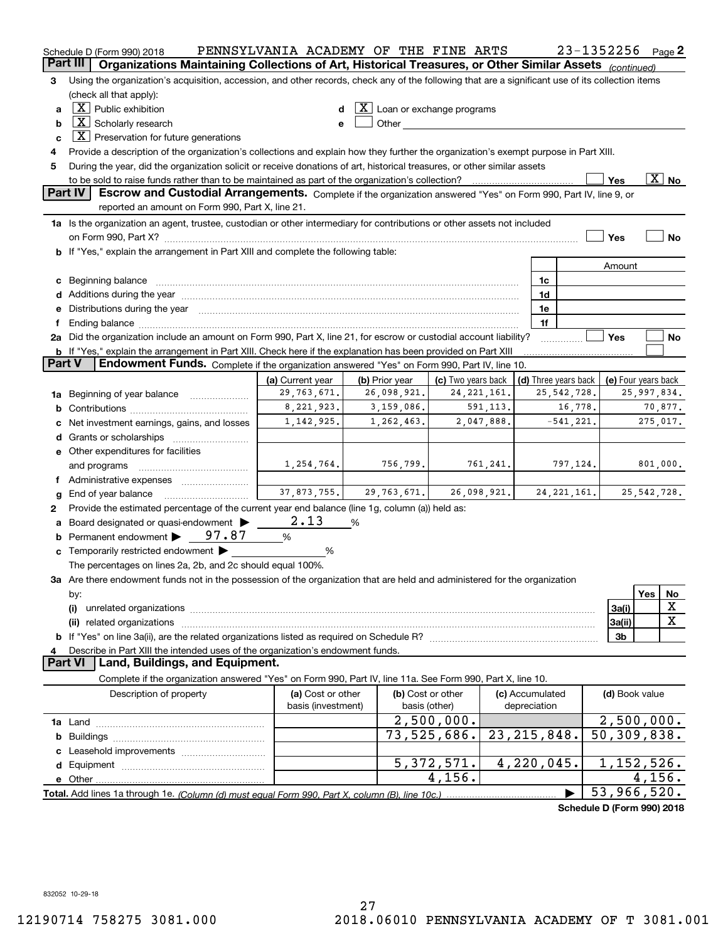| Organizations Maintaining Collections of Art, Historical Treasures, or Other Similar Assets (continued)<br>Using the organization's acquisition, accession, and other records, check any of the following that are a significant use of its collection items<br>3                            |                                 |
|----------------------------------------------------------------------------------------------------------------------------------------------------------------------------------------------------------------------------------------------------------------------------------------------|---------------------------------|
|                                                                                                                                                                                                                                                                                              |                                 |
| (check all that apply):                                                                                                                                                                                                                                                                      |                                 |
| $X$ Public exhibition<br>$\boxed{\textbf{X}}$ Loan or exchange programs<br>a                                                                                                                                                                                                                 |                                 |
| $\lfloor \mathbf{X} \rfloor$ Scholarly research<br>Other and the contract of the contract of the contract of the contract of the contract of the contract of the contract of the contract of the contract of the contract of the contract of the contract of the contract of the c<br>b<br>e |                                 |
| $X$ Preservation for future generations<br>c                                                                                                                                                                                                                                                 |                                 |
| Provide a description of the organization's collections and explain how they further the organization's exempt purpose in Part XIII.<br>4                                                                                                                                                    |                                 |
| During the year, did the organization solicit or receive donations of art, historical treasures, or other similar assets<br>5                                                                                                                                                                |                                 |
|                                                                                                                                                                                                                                                                                              | $\overline{\text{X}}$ No<br>Yes |
| Part IV<br>Escrow and Custodial Arrangements. Complete if the organization answered "Yes" on Form 990, Part IV, line 9, or                                                                                                                                                                   |                                 |
| reported an amount on Form 990, Part X, line 21.                                                                                                                                                                                                                                             |                                 |
| 1a Is the organization an agent, trustee, custodian or other intermediary for contributions or other assets not included                                                                                                                                                                     |                                 |
|                                                                                                                                                                                                                                                                                              | Yes<br>No                       |
| b If "Yes," explain the arrangement in Part XIII and complete the following table:                                                                                                                                                                                                           |                                 |
|                                                                                                                                                                                                                                                                                              | Amount                          |
| c Beginning balance <b>contract to the contract of the contract of the contract of the contract of the contract of the contract of the contract of the contract of the contract of the contract of the contract of the contract </b><br>1c                                                   |                                 |
| d Additions during the year manufactured and an account of the year manufactured and account of the year manufactured and account of the year manufactured and account of the year manufactured and account of the year manufa<br>1d                                                         |                                 |
| e Distributions during the year manufactured and a control of the year manufactured and a Distributions during<br>1e                                                                                                                                                                         |                                 |
| 1f<br>f                                                                                                                                                                                                                                                                                      |                                 |
| 2a Did the organization include an amount on Form 990, Part X, line 21, for escrow or custodial account liability?                                                                                                                                                                           | Yes<br>No                       |
| <b>b</b> If "Yes," explain the arrangement in Part XIII. Check here if the explanation has been provided on Part XIII<br><b>Part V</b><br>Endowment Funds. Complete if the organization answered "Yes" on Form 990, Part IV, line 10.                                                        |                                 |
| (a) Current year<br>(b) Prior year<br>(c) Two years back<br>(d) Three years back                                                                                                                                                                                                             | (e) Four years back             |
| 29,763,671.<br>26,098,921.<br>24, 221, 161.<br>25, 542, 728.<br>1a Beginning of year balance                                                                                                                                                                                                 | 25,997,834.                     |
| 8, 221, 923.<br>3,159,086.<br>591, 113.<br>16,778.                                                                                                                                                                                                                                           | 70,877.                         |
| 1, 142, 925.<br>$-541, 221.$<br>1,262,463.<br>2,047,888.<br>Net investment earnings, gains, and losses<br>c                                                                                                                                                                                  | 275,017.                        |
|                                                                                                                                                                                                                                                                                              |                                 |
| e Other expenditures for facilities                                                                                                                                                                                                                                                          |                                 |
| 1, 254, 764.<br>756,799.<br>761,241.<br>797,124.<br>and programs                                                                                                                                                                                                                             | 801,000.                        |
| f Administrative expenses                                                                                                                                                                                                                                                                    |                                 |
| 37,873,755.<br>29, 763, 671.<br>26,098,921.<br>24, 221, 161.<br>End of year balance<br>g                                                                                                                                                                                                     | 25, 542, 728.                   |
| Provide the estimated percentage of the current year end balance (line 1g, column (a)) held as:<br>2                                                                                                                                                                                         |                                 |
| 2.13<br>a Board designated or quasi-endowment ><br>%                                                                                                                                                                                                                                         |                                 |
| Permanent endowment > 97.87<br>%<br>b                                                                                                                                                                                                                                                        |                                 |
| c Temporarily restricted endowment $\blacktriangleright$<br>%                                                                                                                                                                                                                                |                                 |
| The percentages on lines 2a, 2b, and 2c should equal 100%.                                                                                                                                                                                                                                   |                                 |
| 3a Are there endowment funds not in the possession of the organization that are held and administered for the organization                                                                                                                                                                   |                                 |
| by:                                                                                                                                                                                                                                                                                          | Yes<br>No                       |
| (i)                                                                                                                                                                                                                                                                                          | X<br>3a(i)                      |
|                                                                                                                                                                                                                                                                                              | X<br>3a(ii)                     |
|                                                                                                                                                                                                                                                                                              | 3b                              |
| Describe in Part XIII the intended uses of the organization's endowment funds.<br>4                                                                                                                                                                                                          |                                 |
| Land, Buildings, and Equipment.<br><b>Part VI</b>                                                                                                                                                                                                                                            |                                 |
| Complete if the organization answered "Yes" on Form 990, Part IV, line 11a. See Form 990, Part X, line 10.                                                                                                                                                                                   |                                 |
| (a) Cost or other<br>Description of property<br>(b) Cost or other<br>(c) Accumulated<br>basis (investment)<br>depreciation<br>basis (other)                                                                                                                                                  | (d) Book value                  |
| 2,500,000.                                                                                                                                                                                                                                                                                   | 2,500,000.                      |
| 23, 215, 848.<br>73,525,686.                                                                                                                                                                                                                                                                 | 50,309,838.                     |
|                                                                                                                                                                                                                                                                                              |                                 |
| 5, 372, 571.<br>4,220,045.                                                                                                                                                                                                                                                                   | 1,152,526.                      |
|                                                                                                                                                                                                                                                                                              |                                 |
| 4,156.                                                                                                                                                                                                                                                                                       | 4,156.<br>53,966,520.           |

**Schedule D (Form 990) 2018**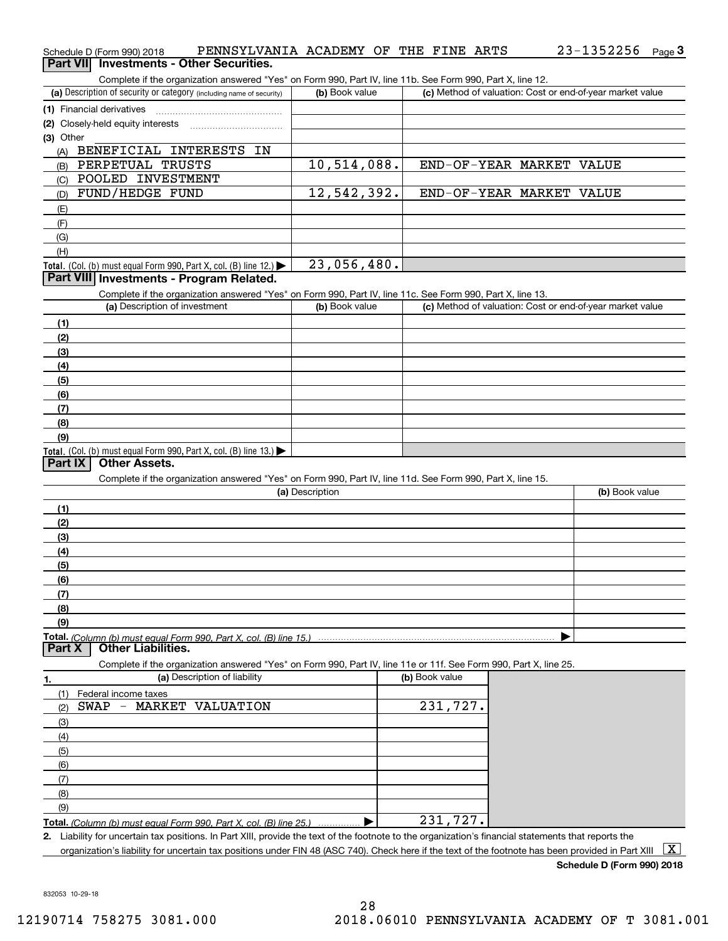| PENNSYLVANIA ACADEMY OF THE FINE ARTS<br>Schedule D (Form 990) 2018<br><b>Investments - Other Securities.</b><br>Part VII                               |                 |                         |                          | $23 - 1352256$ Page 3                                     |
|---------------------------------------------------------------------------------------------------------------------------------------------------------|-----------------|-------------------------|--------------------------|-----------------------------------------------------------|
| Complete if the organization answered "Yes" on Form 990, Part IV, line 11b. See Form 990, Part X, line 12.                                              |                 |                         |                          |                                                           |
| (a) Description of security or category (including name of security)                                                                                    | (b) Book value  |                         |                          | (c) Method of valuation: Cost or end-of-year market value |
| (1) Financial derivatives                                                                                                                               |                 |                         |                          |                                                           |
| (2) Closely-held equity interests                                                                                                                       |                 |                         |                          |                                                           |
| (3) Other                                                                                                                                               |                 |                         |                          |                                                           |
| (A) BENEFICIAL INTERESTS<br>ΙN                                                                                                                          |                 |                         |                          |                                                           |
| PERPETUAL TRUSTS<br>(B)                                                                                                                                 | 10,514,088.     |                         | END-OF-YEAR MARKET VALUE |                                                           |
| POOLED INVESTMENT<br>(C)                                                                                                                                |                 |                         |                          |                                                           |
| <b>FUND/HEDGE FUND</b><br>(D)                                                                                                                           | 12,542,392.     |                         | END-OF-YEAR MARKET VALUE |                                                           |
| (E)                                                                                                                                                     |                 |                         |                          |                                                           |
| (F)                                                                                                                                                     |                 |                         |                          |                                                           |
| (G)                                                                                                                                                     |                 |                         |                          |                                                           |
| (H)                                                                                                                                                     |                 |                         |                          |                                                           |
| Total. (Col. (b) must equal Form 990, Part X, col. (B) line 12.)<br>Part VIII Investments - Program Related.                                            | 23,056,480.     |                         |                          |                                                           |
| Complete if the organization answered "Yes" on Form 990, Part IV, line 11c. See Form 990, Part X, line 13.                                              |                 |                         |                          |                                                           |
| (a) Description of investment                                                                                                                           | (b) Book value  |                         |                          | (c) Method of valuation: Cost or end-of-year market value |
| (1)                                                                                                                                                     |                 |                         |                          |                                                           |
| (2)                                                                                                                                                     |                 |                         |                          |                                                           |
| (3)                                                                                                                                                     |                 |                         |                          |                                                           |
| (4)                                                                                                                                                     |                 |                         |                          |                                                           |
| (5)                                                                                                                                                     |                 |                         |                          |                                                           |
| (6)                                                                                                                                                     |                 |                         |                          |                                                           |
| (7)                                                                                                                                                     |                 |                         |                          |                                                           |
| (8)                                                                                                                                                     |                 |                         |                          |                                                           |
| (9)                                                                                                                                                     |                 |                         |                          |                                                           |
| Total. (Col. (b) must equal Form 990, Part X, col. (B) line 13.)<br><b>Other Assets.</b><br>Part IX                                                     |                 |                         |                          |                                                           |
| Complete if the organization answered "Yes" on Form 990, Part IV, line 11d. See Form 990, Part X, line 15.                                              |                 |                         |                          |                                                           |
|                                                                                                                                                         | (a) Description |                         |                          | (b) Book value                                            |
| (1)                                                                                                                                                     |                 |                         |                          |                                                           |
| (2)                                                                                                                                                     |                 |                         |                          |                                                           |
| (3)                                                                                                                                                     |                 |                         |                          |                                                           |
| (4)                                                                                                                                                     |                 |                         |                          |                                                           |
| (5)                                                                                                                                                     |                 |                         |                          |                                                           |
| (6)                                                                                                                                                     |                 |                         |                          |                                                           |
| (7)                                                                                                                                                     |                 |                         |                          |                                                           |
| (8)                                                                                                                                                     |                 |                         |                          |                                                           |
| (9)                                                                                                                                                     |                 |                         |                          |                                                           |
| Total. (Column (b) must equal Form 990. Part X. col. (B) line 15.)<br><b>Other Liabilities.</b><br>Part X                                               |                 |                         |                          |                                                           |
| Complete if the organization answered "Yes" on Form 990, Part IV, line 11e or 11f. See Form 990, Part X, line 25.                                       |                 |                         |                          |                                                           |
| (a) Description of liability<br>1.                                                                                                                      |                 | (b) Book value          |                          |                                                           |
| (1)<br>Federal income taxes                                                                                                                             |                 |                         |                          |                                                           |
| <b>MARKET VALUATION</b><br>SWAP<br>$\overline{\phantom{m}}$<br>(2)                                                                                      |                 | $\overline{231}$ , 727. |                          |                                                           |
| (3)                                                                                                                                                     |                 |                         |                          |                                                           |
| (4)                                                                                                                                                     |                 |                         |                          |                                                           |
| (5)                                                                                                                                                     |                 |                         |                          |                                                           |
| (6)                                                                                                                                                     |                 |                         |                          |                                                           |
| (7)                                                                                                                                                     |                 |                         |                          |                                                           |
| (8)                                                                                                                                                     |                 |                         |                          |                                                           |
| (9)                                                                                                                                                     |                 |                         |                          |                                                           |
| Total. (Column (b) must equal Form 990. Part X, col. (B) line 25.)                                                                                      | .               | 231,727.                |                          |                                                           |
| Liability for uncertain tax positions. In Part XIII, provide the text of the footnote to the organization's financial statements that reports the<br>2. |                 |                         |                          |                                                           |
| organization's liability for uncertain tax positions under FIN 48 (ASC 740). Check here if the text of the footnote has been provided in Part XIII      |                 |                         |                          | $\overline{\mathbf{X}}$                                   |

| Schedule D (Form 990) 2018 |  |
|----------------------------|--|
|                            |  |

832053 10-29-18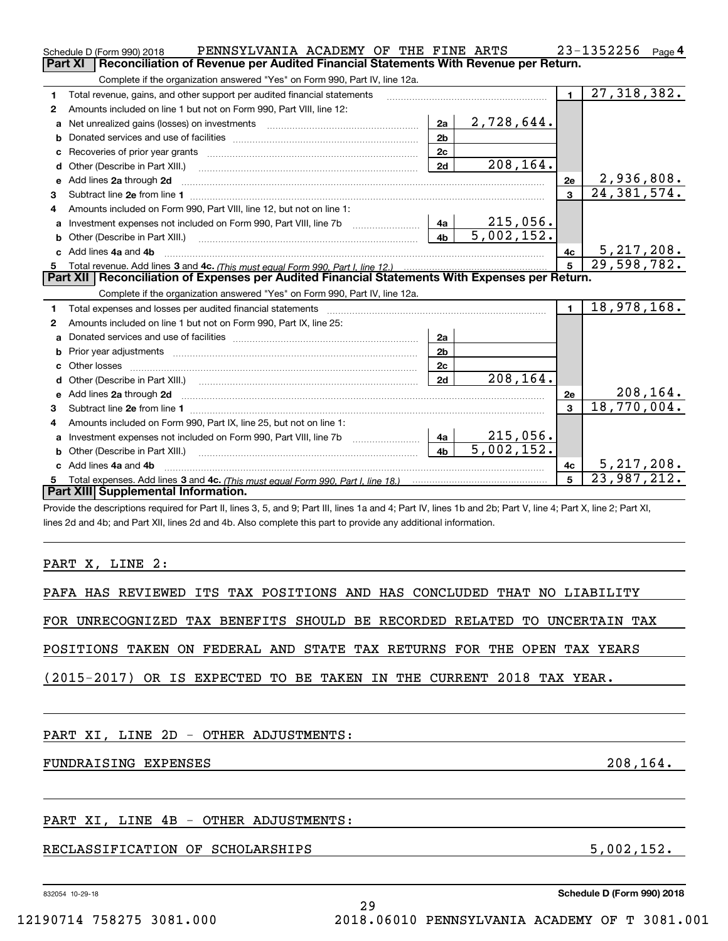|    | PENNSYLVANIA ACADEMY OF THE FINE ARTS<br>Schedule D (Form 990) 2018                                                                                                                                                           |                |                          |                | 23-1352256<br>Page $4$      |
|----|-------------------------------------------------------------------------------------------------------------------------------------------------------------------------------------------------------------------------------|----------------|--------------------------|----------------|-----------------------------|
|    | Reconciliation of Revenue per Audited Financial Statements With Revenue per Return.<br><b>Part XI</b>                                                                                                                         |                |                          |                |                             |
|    | Complete if the organization answered "Yes" on Form 990, Part IV, line 12a.                                                                                                                                                   |                |                          |                |                             |
| 1  | Total revenue, gains, and other support per audited financial statements                                                                                                                                                      |                |                          | $\blacksquare$ | $\overline{27}$ , 318, 382. |
| 2  | Amounts included on line 1 but not on Form 990, Part VIII, line 12:                                                                                                                                                           |                |                          |                |                             |
| a  | Net unrealized gains (losses) on investments [11] matter contracts and the unrealized gains (losses) on investments                                                                                                           | 2a             | 2,728,644.               |                |                             |
| b  |                                                                                                                                                                                                                               | 2 <sub>b</sub> |                          |                |                             |
| с  |                                                                                                                                                                                                                               | 2c             |                          |                |                             |
| d  |                                                                                                                                                                                                                               | 2d             | 208,164.                 |                |                             |
|    | e Add lines 2a through 2d                                                                                                                                                                                                     |                |                          | 2e             | 2,936,808.                  |
| 3  |                                                                                                                                                                                                                               |                |                          | $\mathbf{3}$   | $\overline{24,381,574.}$    |
| 4  | Amounts included on Form 990, Part VIII, line 12, but not on line 1:                                                                                                                                                          |                |                          |                |                             |
| a  |                                                                                                                                                                                                                               |                | $215,056$ .              |                |                             |
| b  | Other (Describe in Part XIII.) <b>Construction Contract Construction</b> Chemistry Chemistry Chemistry Chemistry Chemistry                                                                                                    | 4 <sub>h</sub> | 5,002,152.               |                |                             |
|    | Add lines 4a and 4b                                                                                                                                                                                                           |                |                          | 4c             | 5,217,208.                  |
| 5  |                                                                                                                                                                                                                               |                |                          | 5              | 29,598,782.                 |
|    | Part XII   Reconciliation of Expenses per Audited Financial Statements With Expenses per Return.                                                                                                                              |                |                          |                |                             |
|    | Complete if the organization answered "Yes" on Form 990, Part IV, line 12a.                                                                                                                                                   |                |                          |                |                             |
| 1  | Total expenses and losses per audited financial statements [11, 11] manuscription control expenses and losses per audited financial statements [11] manuscription of the statements [11] manuscription of the statements [11] |                |                          | $\blacksquare$ | 18,978,168.                 |
| 2  | Amounts included on line 1 but not on Form 990, Part IX, line 25:                                                                                                                                                             |                |                          |                |                             |
| a  |                                                                                                                                                                                                                               | 2a             |                          |                |                             |
|    |                                                                                                                                                                                                                               | 2 <sub>b</sub> |                          |                |                             |
| c. |                                                                                                                                                                                                                               | 2 <sub>c</sub> |                          |                |                             |
| d  |                                                                                                                                                                                                                               | 2d             | 208,164.                 |                |                             |
| e  | Add lines 2a through 2d <b>contained a contained a contained a contained a</b> contained a contained a contact the set                                                                                                        |                |                          | 2e             | 208, 164.                   |
| 3  |                                                                                                                                                                                                                               |                |                          |                |                             |
|    |                                                                                                                                                                                                                               |                |                          | $\mathbf{3}$   | $\overline{18,770,004}$ .   |
| 4  | Amounts included on Form 990, Part IX, line 25, but not on line 1:                                                                                                                                                            |                |                          |                |                             |
|    | Investment expenses not included on Form 990, Part VIII, line 7b [1000000000000000000000000000000000                                                                                                                          | 4a             | $215,056$ .              |                |                             |
|    |                                                                                                                                                                                                                               | 4 <sub>b</sub> | $\overline{5,002,152}$ . |                |                             |
|    | c Add lines 4a and 4b                                                                                                                                                                                                         |                |                          | 4c             | 5,217,208.                  |
| 5  |                                                                                                                                                                                                                               |                |                          | 5              | $\overline{23,987,212}$ .   |
|    | Part XIII Supplemental Information.                                                                                                                                                                                           |                |                          |                |                             |

hd 9; Part III, lines 1a and 4; Part IV, lines 1b and lines 2d and 4b; and Part XII, lines 2d and 4b. Also complete this part to provide any additional information.

### PART X, LINE 2:

|  |  |  |  |  |  |  | PAFA HAS REVIEWED ITS TAX POSITIONS AND HAS CONCLUDED THAT NO LIABILITY   |  |
|--|--|--|--|--|--|--|---------------------------------------------------------------------------|--|
|  |  |  |  |  |  |  |                                                                           |  |
|  |  |  |  |  |  |  | FOR UNRECOGNIZED TAX BENEFITS SHOULD BE RECORDED RELATED TO UNCERTAIN TAX |  |
|  |  |  |  |  |  |  |                                                                           |  |
|  |  |  |  |  |  |  | POSITIONS TAKEN ON FEDERAL AND STATE TAX RETURNS FOR THE OPEN TAX YEARS   |  |
|  |  |  |  |  |  |  |                                                                           |  |
|  |  |  |  |  |  |  | (2015-2017) OR IS EXPECTED TO BE TAKEN IN THE CURRENT 2018 TAX YEAR.      |  |
|  |  |  |  |  |  |  |                                                                           |  |

|  |  |  |  |  |  | PART XI, LINE 2D - OTHER ADJUSTMENTS: |
|--|--|--|--|--|--|---------------------------------------|
|--|--|--|--|--|--|---------------------------------------|

### FUNDRAISING EXPENSES 208,164.

### PART XI, LINE 4B - OTHER ADJUSTMENTS:

### RECLASSIFICATION OF SCHOLARSHIPS 5,002,152.

832054 10-29-18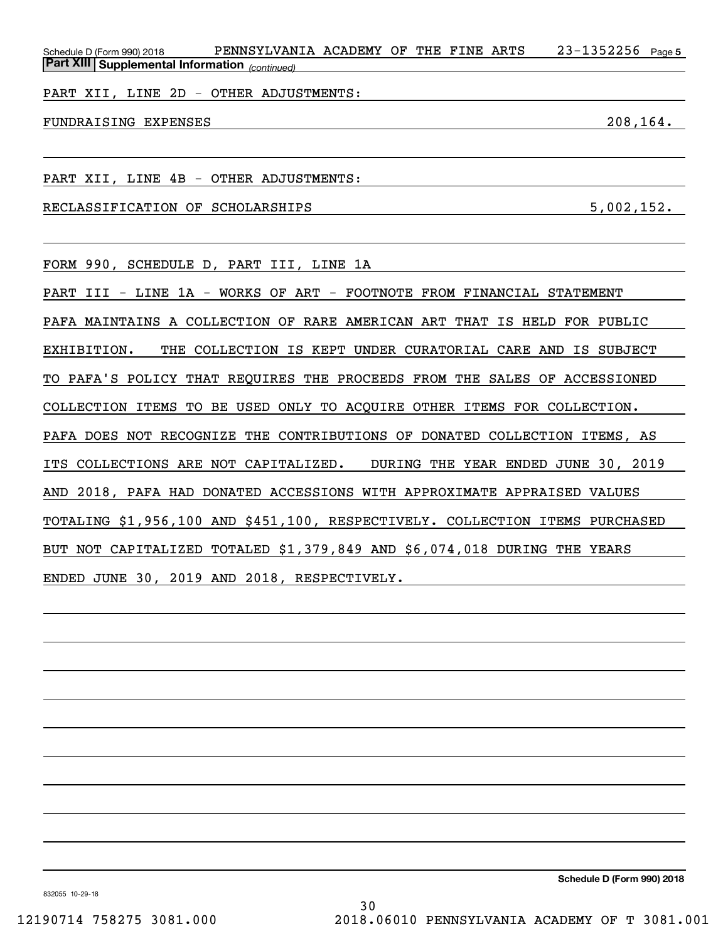23-1352256 Page 5 *(continued)* **Part XIII Supplemental Information**  Schedule D (Form 990) 2018 PENNSYLVANIA ACADEMY OF THE FINE ARTS 23-1352256  $\,$  Page

PART XII, LINE 2D - OTHER ADJUSTMENTS:

### FUNDRAISING EXPENSES 208,164.

PART XII, LINE 4B - OTHER ADJUSTMENTS:

RECLASSIFICATION OF SCHOLARSHIPS 5,002,152.

FORM 990, SCHEDULE D, PART III, LINE 1A

PART III - LINE 1A - WORKS OF ART - FOOTNOTE FROM FINANCIAL STATEMENT PAFA MAINTAINS A COLLECTION OF RARE AMERICAN ART THAT IS HELD FOR PUBLIC EXHIBITION. THE COLLECTION IS KEPT UNDER CURATORIAL CARE AND IS SUBJECT TO PAFA'S POLICY THAT REQUIRES THE PROCEEDS FROM THE SALES OF ACCESSIONED COLLECTION ITEMS TO BE USED ONLY TO ACQUIRE OTHER ITEMS FOR COLLECTION. PAFA DOES NOT RECOGNIZE THE CONTRIBUTIONS OF DONATED COLLECTION ITEMS, AS ITS COLLECTIONS ARE NOT CAPITALIZED. DURING THE YEAR ENDED JUNE 30, 2019 AND 2018, PAFA HAD DONATED ACCESSIONS WITH APPROXIMATE APPRAISED VALUES TOTALING \$1,956,100 AND \$451,100, RESPECTIVELY. COLLECTION ITEMS PURCHASED BUT NOT CAPITALIZED TOTALED \$1,379,849 AND \$6,074,018 DURING THE YEARS ENDED JUNE 30, 2019 AND 2018, RESPECTIVELY.

**Schedule D (Form 990) 2018**

832055 10-29-18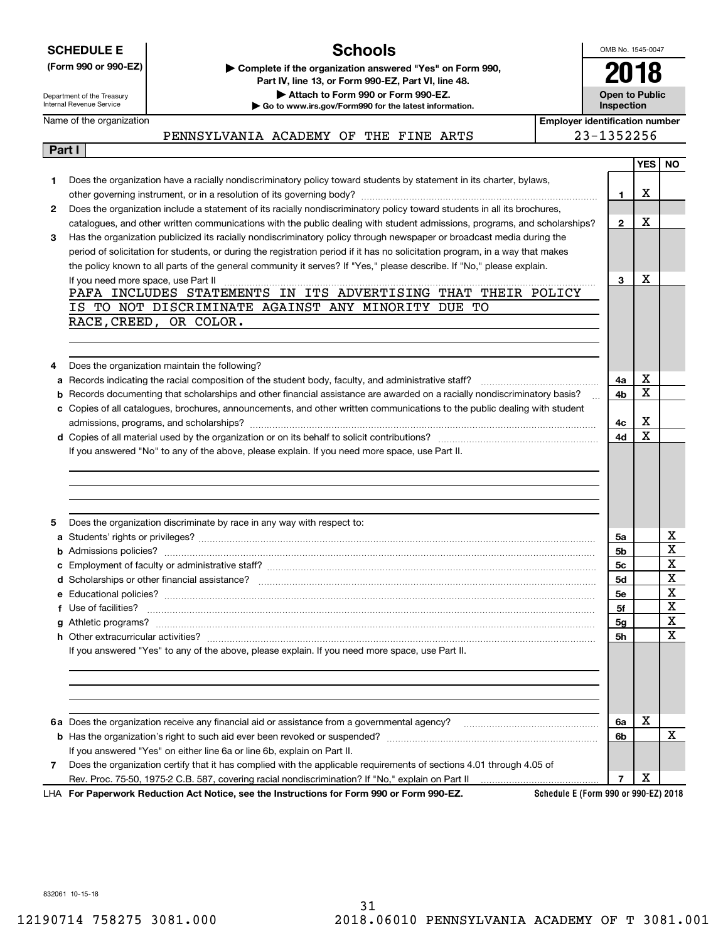|  | <b>SCHEDULE E</b> |  |  |
|--|-------------------|--|--|
|  |                   |  |  |

## **Schools**

OMB No. 1545-0047 **2018**

**Open to Public**

| (Form aan or aan-FT) |  |
|----------------------|--|
|----------------------|--|

Department of the Treasury Internal Revenue Service

**Part I**

**(Form 990 or 990-EZ) | Complete if the organization answered "Yes" on Form 990, Part IV, line 13, or Form 990-EZ, Part VI, line 48. | Attach to Form 990 or Form 990-EZ.**

**| Go to www.irs.gov/Form990 for the latest information.**

**InspectionEmployer identification number**

Name of the organization

PENNSYLVANIA ACADEMY OF THE FINE ARTS 23-1352256

|    |                                                                                                                                   |              | YES | <b>NO</b> |
|----|-----------------------------------------------------------------------------------------------------------------------------------|--------------|-----|-----------|
| 1. | Does the organization have a racially nondiscriminatory policy toward students by statement in its charter, bylaws,               |              |     |           |
|    |                                                                                                                                   | 1            | X   |           |
| 2  | Does the organization include a statement of its racially nondiscriminatory policy toward students in all its brochures,          |              |     |           |
|    | catalogues, and other written communications with the public dealing with student admissions, programs, and scholarships?         | $\mathbf{2}$ | X   |           |
| 3  | Has the organization publicized its racially nondiscriminatory policy through newspaper or broadcast media during the             |              |     |           |
|    | period of solicitation for students, or during the registration period if it has no solicitation program, in a way that makes     |              |     |           |
|    | the policy known to all parts of the general community it serves? If "Yes," please describe. If "No," please explain.             |              |     |           |
|    | If you need more space, use Part II <b>manufacture and continuum and continuum and continuum and continuum and continuum</b>      | 3            | X   |           |
|    | PAFA INCLUDES STATEMENTS IN ITS ADVERTISING THAT THEIR POLICY                                                                     |              |     |           |
|    | IS TO NOT DISCRIMINATE AGAINST ANY MINORITY DUE TO                                                                                |              |     |           |
|    | RACE, CREED, OR COLOR.                                                                                                            |              |     |           |
|    |                                                                                                                                   |              |     |           |
|    |                                                                                                                                   |              |     |           |
| 4  | Does the organization maintain the following?                                                                                     |              |     |           |
| a  |                                                                                                                                   | 4a           | х   |           |
| b  | Records documenting that scholarships and other financial assistance are awarded on a racially nondiscriminatory basis?           | 4b           | Χ   |           |
|    | c Copies of all catalogues, brochures, announcements, and other written communications to the public dealing with student         |              |     |           |
|    |                                                                                                                                   | 4c           | х   |           |
|    |                                                                                                                                   | 4d           | Χ   |           |
|    | If you answered "No" to any of the above, please explain. If you need more space, use Part II.                                    |              |     |           |
|    |                                                                                                                                   |              |     |           |
|    |                                                                                                                                   |              |     |           |
|    |                                                                                                                                   |              |     |           |
|    |                                                                                                                                   |              |     |           |
| 5  | Does the organization discriminate by race in any way with respect to:                                                            |              |     |           |
| a  |                                                                                                                                   | 5a           |     | х         |
| b  |                                                                                                                                   | 5b           |     | Х         |
| с  |                                                                                                                                   | 5c           |     | х         |
|    |                                                                                                                                   | 5d           |     | х         |
| е  |                                                                                                                                   | <b>5e</b>    |     | X         |
|    | Use of facilities?                                                                                                                | 5f           |     | X         |
|    |                                                                                                                                   | 5g           |     | Х         |
|    |                                                                                                                                   | 5h           |     | X         |
|    | If you answered "Yes" to any of the above, please explain. If you need more space, use Part II.                                   |              |     |           |
|    |                                                                                                                                   |              |     |           |
|    |                                                                                                                                   |              |     |           |
|    |                                                                                                                                   |              |     |           |
|    |                                                                                                                                   |              |     |           |
|    | 6a Does the organization receive any financial aid or assistance from a governmental agency?                                      | 6a           | х   |           |
|    |                                                                                                                                   | 6b           |     | х         |
|    | If you answered "Yes" on either line 6a or line 6b, explain on Part II.                                                           |              |     |           |
| 7  | Does the organization certify that it has complied with the applicable requirements of sections 4.01 through 4.05 of              |              |     |           |
|    | Rev. Proc. 75-50, 1975-2 C.B. 587, covering racial nondiscrimination? If "No," explain on Part II                                 | 7            | х   |           |
|    | Schedule E (Form 990 or 990-EZ) 2018<br>LHA For Paperwork Reduction Act Notice, see the Instructions for Form 990 or Form 990-EZ. |              |     |           |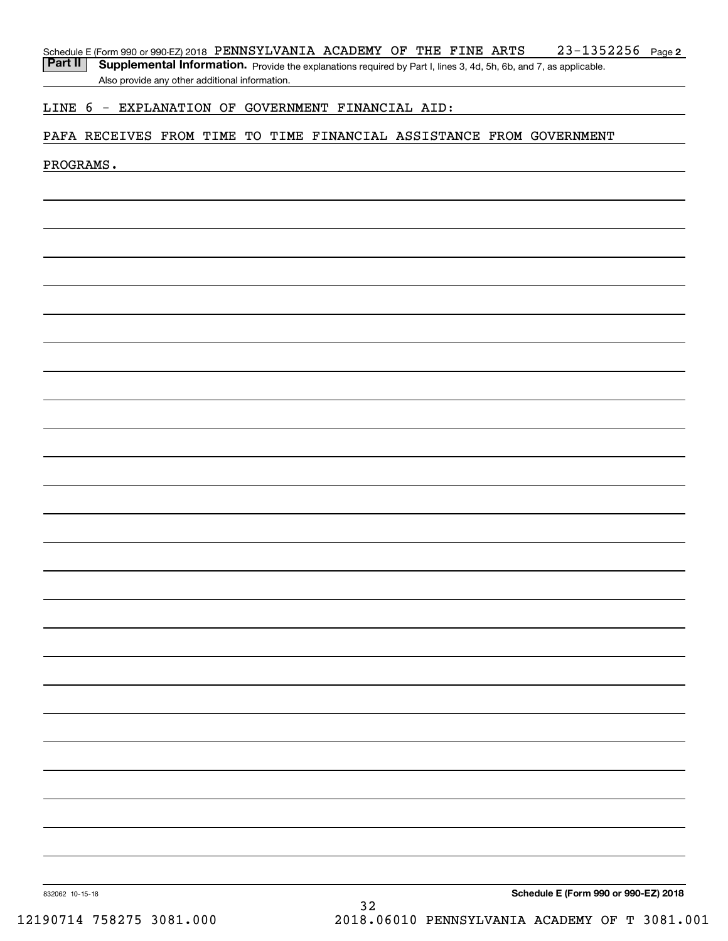Part II | Supplemental Information. Provide the explanations required by Part I, lines 3, 4d, 5h, 6b, and 7, as applicable. Also provide any other additional information.

### LINE 6 - EXPLANATION OF GOVERNMENT FINANCIAL AID:

### PAFA RECEIVES FROM TIME TO TIME FINANCIAL ASSISTANCE FROM GOVERNMENT

### PROGRAMS.

**Schedule E (Form 990 or 990-EZ) 2018**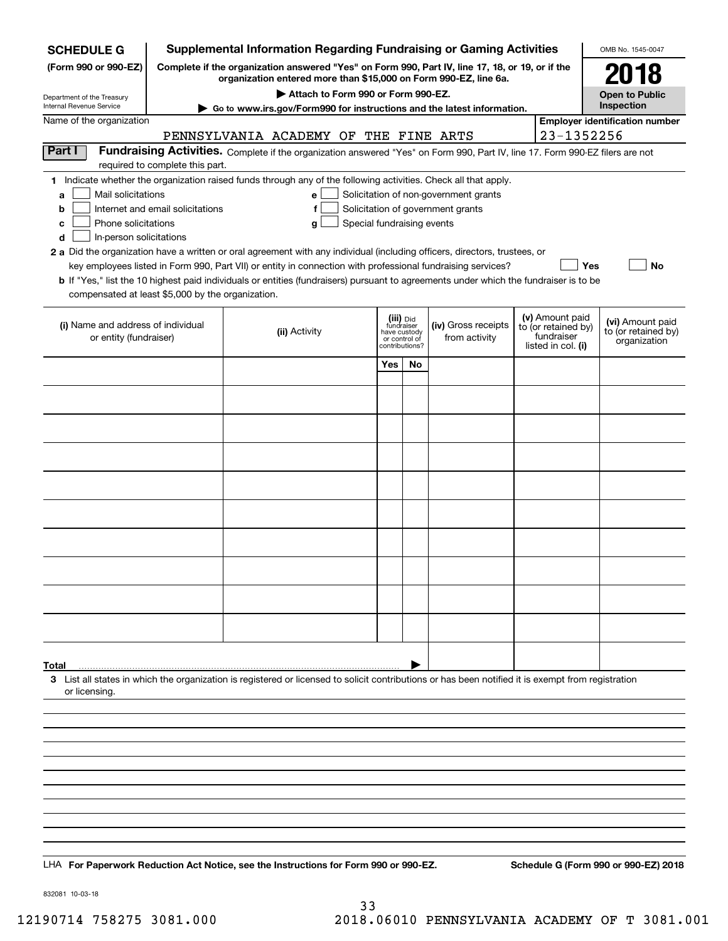| <b>SCHEDULE G</b>                                            |                                  | <b>Supplemental Information Regarding Fundraising or Gaming Activities</b>                                                                                                                                                                                  |                                                                            |    |                                                                            |                                                                            | OMB No. 1545-0047                                       |
|--------------------------------------------------------------|----------------------------------|-------------------------------------------------------------------------------------------------------------------------------------------------------------------------------------------------------------------------------------------------------------|----------------------------------------------------------------------------|----|----------------------------------------------------------------------------|----------------------------------------------------------------------------|---------------------------------------------------------|
| (Form 990 or 990-EZ)                                         |                                  | Complete if the organization answered "Yes" on Form 990, Part IV, line 17, 18, or 19, or if the<br>organization entered more than \$15,000 on Form 990-EZ, line 6a.                                                                                         |                                                                            |    |                                                                            |                                                                            | 2018                                                    |
| Department of the Treasury                                   |                                  | Attach to Form 990 or Form 990-EZ.                                                                                                                                                                                                                          |                                                                            |    |                                                                            |                                                                            | <b>Open to Public</b>                                   |
| Internal Revenue Service<br>Name of the organization         |                                  | ► Go to www.irs.gov/Form990 for instructions and the latest information.                                                                                                                                                                                    |                                                                            |    |                                                                            |                                                                            | Inspection<br><b>Employer identification number</b>     |
|                                                              |                                  | PENNSYLVANIA ACADEMY OF                                                                                                                                                                                                                                     |                                                                            |    | THE FINE ARTS                                                              | 23-1352256                                                                 |                                                         |
| Part I                                                       | required to complete this part.  | Fundraising Activities. Complete if the organization answered "Yes" on Form 990, Part IV, line 17. Form 990-EZ filers are not                                                                                                                               |                                                                            |    |                                                                            |                                                                            |                                                         |
| Mail solicitations<br>a<br>b<br>Phone solicitations<br>c     | Internet and email solicitations | 1 Indicate whether the organization raised funds through any of the following activities. Check all that apply.<br>e<br>f<br>Special fundraising events<br>g                                                                                                |                                                                            |    | Solicitation of non-government grants<br>Solicitation of government grants |                                                                            |                                                         |
| In-person solicitations<br>d                                 |                                  | 2 a Did the organization have a written or oral agreement with any individual (including officers, directors, trustees, or                                                                                                                                  |                                                                            |    |                                                                            |                                                                            |                                                         |
| compensated at least \$5,000 by the organization.            |                                  | key employees listed in Form 990, Part VII) or entity in connection with professional fundraising services?<br><b>b</b> If "Yes," list the 10 highest paid individuals or entities (fundraisers) pursuant to agreements under which the fundraiser is to be |                                                                            |    |                                                                            | Yes                                                                        | No                                                      |
| (i) Name and address of individual<br>or entity (fundraiser) |                                  | (ii) Activity                                                                                                                                                                                                                                               | (iii) Did<br>fundraiser<br>have custody<br>or control of<br>contributions? |    | (iv) Gross receipts<br>from activity                                       | (v) Amount paid<br>to (or retained by)<br>fundraiser<br>listed in col. (i) | (vi) Amount paid<br>to (or retained by)<br>organization |
|                                                              |                                  |                                                                                                                                                                                                                                                             | Yes                                                                        | No |                                                                            |                                                                            |                                                         |
|                                                              |                                  |                                                                                                                                                                                                                                                             |                                                                            |    |                                                                            |                                                                            |                                                         |
|                                                              |                                  |                                                                                                                                                                                                                                                             |                                                                            |    |                                                                            |                                                                            |                                                         |
|                                                              |                                  |                                                                                                                                                                                                                                                             |                                                                            |    |                                                                            |                                                                            |                                                         |
|                                                              |                                  |                                                                                                                                                                                                                                                             |                                                                            |    |                                                                            |                                                                            |                                                         |
|                                                              |                                  |                                                                                                                                                                                                                                                             |                                                                            |    |                                                                            |                                                                            |                                                         |
|                                                              |                                  |                                                                                                                                                                                                                                                             |                                                                            |    |                                                                            |                                                                            |                                                         |
|                                                              |                                  |                                                                                                                                                                                                                                                             |                                                                            |    |                                                                            |                                                                            |                                                         |
|                                                              |                                  |                                                                                                                                                                                                                                                             |                                                                            |    |                                                                            |                                                                            |                                                         |
|                                                              |                                  |                                                                                                                                                                                                                                                             |                                                                            |    |                                                                            |                                                                            |                                                         |
|                                                              |                                  |                                                                                                                                                                                                                                                             |                                                                            |    |                                                                            |                                                                            |                                                         |
| Total<br>or licensing.                                       |                                  | 3 List all states in which the organization is registered or licensed to solicit contributions or has been notified it is exempt from registration                                                                                                          |                                                                            |    |                                                                            |                                                                            |                                                         |
|                                                              |                                  |                                                                                                                                                                                                                                                             |                                                                            |    |                                                                            |                                                                            |                                                         |
|                                                              |                                  |                                                                                                                                                                                                                                                             |                                                                            |    |                                                                            |                                                                            |                                                         |
|                                                              |                                  |                                                                                                                                                                                                                                                             |                                                                            |    |                                                                            |                                                                            |                                                         |
|                                                              |                                  |                                                                                                                                                                                                                                                             |                                                                            |    |                                                                            |                                                                            |                                                         |
|                                                              |                                  |                                                                                                                                                                                                                                                             |                                                                            |    |                                                                            |                                                                            |                                                         |
|                                                              |                                  |                                                                                                                                                                                                                                                             |                                                                            |    |                                                                            |                                                                            |                                                         |
|                                                              |                                  |                                                                                                                                                                                                                                                             |                                                                            |    |                                                                            |                                                                            |                                                         |
|                                                              |                                  |                                                                                                                                                                                                                                                             |                                                                            |    |                                                                            |                                                                            |                                                         |
|                                                              |                                  | LHA For Paperwork Reduction Act Notice, see the Instructions for Form 990 or 990-EZ.                                                                                                                                                                        |                                                                            |    |                                                                            |                                                                            | Schedule G (Form 990 or 990-EZ) 2018                    |

832081 10-03-18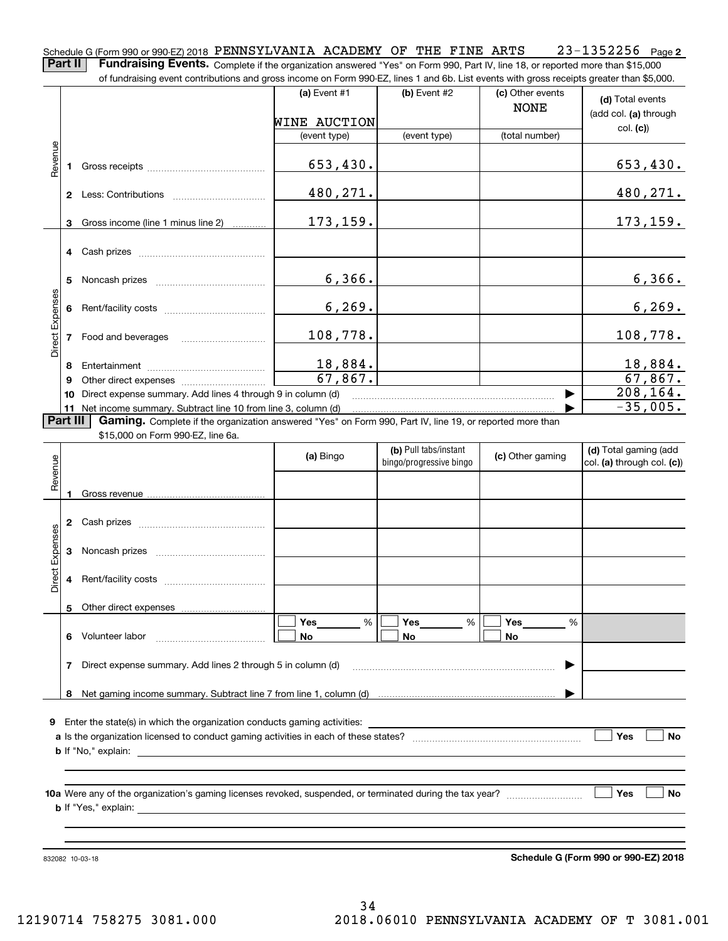**2** Schedule G (Form 990 or 990-EZ) 2018 PENNSYLVANIA ACADEMY OF THE FINE ARTS  $\qquad \ \ \, 23-1352256$  Page **Part II** | Fundraising Events. Complete if the organization answered "Yes" on Form 990, Part IV, line 18, or reported more than \$15,000

of fundraising event contributions and gross income on Form 990-EZ, lines 1 and 6b. List events with gross receipts greater than \$5,000.

|                 |          | 01 MINIMUM CVCIII CONTINUUDIIS ANU YNOS INCONIC ON I ONN OD-EZ, IIIICS T ANU OD. EIST CVCHIS WITH YNOS FCCCIDIS YN CALCH THAN WOOD. |                |                                               |                                 |                                           |
|-----------------|----------|-------------------------------------------------------------------------------------------------------------------------------------|----------------|-----------------------------------------------|---------------------------------|-------------------------------------------|
|                 |          |                                                                                                                                     | (a) Event $#1$ | (b) Event $#2$                                | (c) Other events<br><b>NONE</b> | (d) Total events<br>(add col. (a) through |
|                 |          |                                                                                                                                     | WINE AUCTION   |                                               |                                 |                                           |
|                 |          |                                                                                                                                     | (event type)   | (event type)                                  | (total number)                  | col. (c)                                  |
| Revenue         |          |                                                                                                                                     |                |                                               |                                 |                                           |
|                 | 1.       |                                                                                                                                     | 653,430.       |                                               |                                 | 653,430.                                  |
|                 |          |                                                                                                                                     |                |                                               |                                 |                                           |
|                 |          |                                                                                                                                     | 480,271.       |                                               |                                 | 480, 271.                                 |
|                 |          |                                                                                                                                     |                |                                               |                                 |                                           |
|                 | 3        | Gross income (line 1 minus line 2)                                                                                                  | 173,159.       |                                               |                                 | 173,159.                                  |
|                 |          |                                                                                                                                     |                |                                               |                                 |                                           |
|                 |          |                                                                                                                                     |                |                                               |                                 |                                           |
|                 |          |                                                                                                                                     |                |                                               |                                 |                                           |
|                 | 5        |                                                                                                                                     | 6,366.         |                                               |                                 | 6, 366.                                   |
|                 |          |                                                                                                                                     |                |                                               |                                 |                                           |
|                 | 6        |                                                                                                                                     | 6, 269.        |                                               |                                 | 6, 269.                                   |
|                 |          |                                                                                                                                     |                |                                               |                                 |                                           |
|                 | 7        |                                                                                                                                     | 108,778.       |                                               |                                 | 108,778.                                  |
| Direct Expenses |          |                                                                                                                                     |                |                                               |                                 |                                           |
|                 | 8        |                                                                                                                                     | 18,884.        |                                               |                                 | 18,884.                                   |
|                 | 9        |                                                                                                                                     | 67,867.        |                                               |                                 | 67,867.                                   |
|                 | 10       | Direct expense summary. Add lines 4 through 9 in column (d)                                                                         |                |                                               |                                 | 208,164.                                  |
|                 |          |                                                                                                                                     |                |                                               |                                 | $-35,005.$                                |
|                 | Part III | Gaming. Complete if the organization answered "Yes" on Form 990, Part IV, line 19, or reported more than                            |                |                                               |                                 |                                           |
|                 |          | \$15,000 on Form 990-EZ, line 6a.                                                                                                   |                |                                               |                                 |                                           |
|                 |          |                                                                                                                                     | (a) Bingo      | (b) Pull tabs/instant                         | (c) Other gaming                | (d) Total gaming (add                     |
|                 |          |                                                                                                                                     |                | bingo/progressive bingo                       |                                 | col. (a) through col. (c))                |
| Revenue         |          |                                                                                                                                     |                |                                               |                                 |                                           |
|                 |          |                                                                                                                                     |                |                                               |                                 |                                           |
|                 |          |                                                                                                                                     |                |                                               |                                 |                                           |
|                 |          |                                                                                                                                     |                |                                               |                                 |                                           |
|                 |          |                                                                                                                                     |                |                                               |                                 |                                           |
|                 | 3        |                                                                                                                                     |                |                                               |                                 |                                           |
| Direct Expenses |          |                                                                                                                                     |                |                                               |                                 |                                           |
|                 | 4        |                                                                                                                                     |                |                                               |                                 |                                           |
|                 |          |                                                                                                                                     |                |                                               |                                 |                                           |
|                 |          | 5 Other direct expenses                                                                                                             |                |                                               |                                 |                                           |
|                 |          |                                                                                                                                     | Yes<br>%       | Yes<br>%                                      | Yes<br>%                        |                                           |
|                 | 6        | Volunteer labor                                                                                                                     | No             | No                                            | No                              |                                           |
|                 |          |                                                                                                                                     |                |                                               |                                 |                                           |
|                 | 7        | Direct expense summary. Add lines 2 through 5 in column (d)                                                                         |                |                                               |                                 |                                           |
|                 |          |                                                                                                                                     |                |                                               |                                 |                                           |
|                 | 8        |                                                                                                                                     |                |                                               |                                 |                                           |
|                 |          |                                                                                                                                     |                |                                               |                                 |                                           |
| 9               |          | Enter the state(s) in which the organization conducts gaming activities:                                                            |                | <u> 1980 - Andrea Andrew Maria (h. 1980).</u> |                                 |                                           |
|                 |          |                                                                                                                                     |                |                                               |                                 | Yes<br><b>No</b>                          |
|                 |          |                                                                                                                                     |                |                                               |                                 |                                           |
|                 |          |                                                                                                                                     |                |                                               |                                 |                                           |
|                 |          |                                                                                                                                     |                |                                               |                                 |                                           |
|                 |          |                                                                                                                                     |                |                                               |                                 | Yes<br>No                                 |
|                 |          |                                                                                                                                     |                |                                               |                                 |                                           |
|                 |          | <b>b</b> If "Yes," explain: <b>b</b> If "Yes," explain:                                                                             |                |                                               |                                 |                                           |
|                 |          |                                                                                                                                     |                |                                               |                                 |                                           |
|                 |          |                                                                                                                                     |                |                                               |                                 |                                           |
|                 |          | 832082 10-03-18                                                                                                                     |                |                                               |                                 | Schedule G (Form 990 or 990-EZ) 2018      |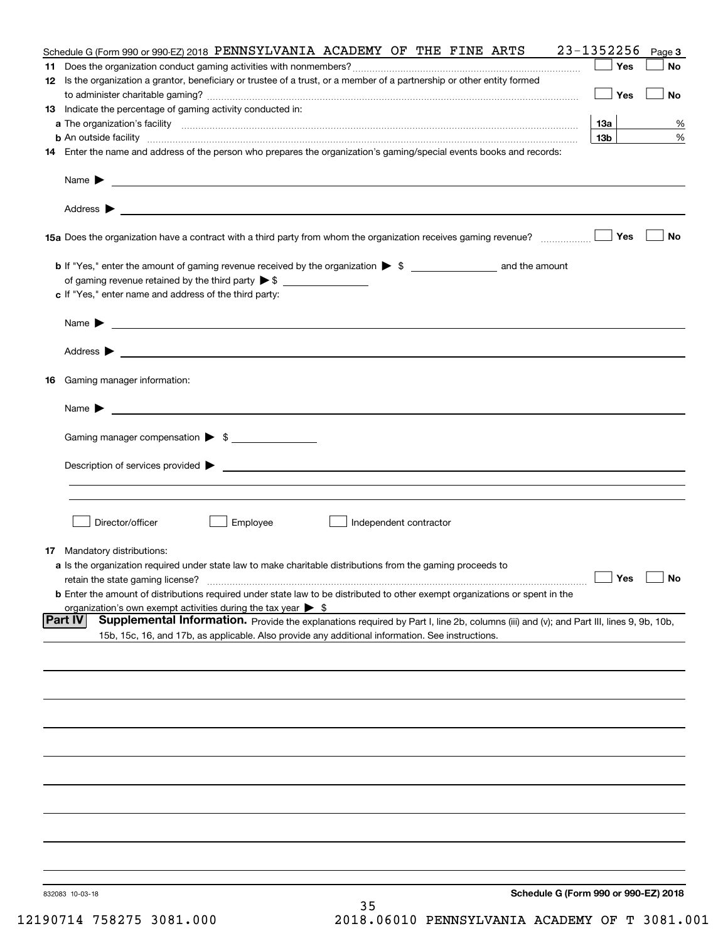|    | 12 Is the organization a grantor, beneficiary or trustee of a trust, or a member of a partnership or other entity formed                                                                                                                                              | Yes               | No                          |
|----|-----------------------------------------------------------------------------------------------------------------------------------------------------------------------------------------------------------------------------------------------------------------------|-------------------|-----------------------------|
|    | 13 Indicate the percentage of gaming activity conducted in:                                                                                                                                                                                                           |                   |                             |
|    |                                                                                                                                                                                                                                                                       | 13а               | %                           |
|    | <b>b</b> An outside facility <b>contract and the contract of the contract of the contract of the contract of the contract of the contract of the contract of the contract of the contract of the contract of the contract of the cont</b>                             | 13 <sub>b</sub>   | %                           |
|    | 14 Enter the name and address of the person who prepares the organization's gaming/special events books and records:                                                                                                                                                  |                   |                             |
|    |                                                                                                                                                                                                                                                                       |                   |                             |
|    | Name $\blacktriangleright$<br><u>and the state of the state of the state of the state of the state of the state of the state of the state of the state of the state of the state of the state of the state of the state of the state of the state of the state</u>    |                   |                             |
|    |                                                                                                                                                                                                                                                                       |                   |                             |
|    |                                                                                                                                                                                                                                                                       |                   |                             |
|    |                                                                                                                                                                                                                                                                       | Yes               | No                          |
|    |                                                                                                                                                                                                                                                                       |                   |                             |
|    |                                                                                                                                                                                                                                                                       |                   |                             |
|    | c If "Yes," enter name and address of the third party:                                                                                                                                                                                                                |                   |                             |
|    |                                                                                                                                                                                                                                                                       |                   |                             |
|    | <u> 1980 - Johann Barbara, martin amerikan pendadaran pendadaran pendadaran pendadaran personal dan pendadaran pe</u><br>Name $\blacktriangleright$                                                                                                                   |                   |                             |
|    |                                                                                                                                                                                                                                                                       |                   |                             |
|    | Address $\blacktriangleright$<br><u>state and the state of the state of the state of the state of the state of the state of the state of the state of the state of the state of the state of the state of the state of the state of the state of the state of the</u> |                   |                             |
| 16 | Gaming manager information:                                                                                                                                                                                                                                           |                   |                             |
|    |                                                                                                                                                                                                                                                                       |                   |                             |
|    | Name $\blacktriangleright$                                                                                                                                                                                                                                            |                   |                             |
|    | Gaming manager compensation > \$                                                                                                                                                                                                                                      |                   |                             |
|    |                                                                                                                                                                                                                                                                       |                   |                             |
|    | $\blacksquare$ Description of services provided $\blacktriangleright$                                                                                                                                                                                                 |                   |                             |
|    |                                                                                                                                                                                                                                                                       |                   |                             |
|    |                                                                                                                                                                                                                                                                       |                   |                             |
|    | Director/officer<br>Employee<br>Independent contractor                                                                                                                                                                                                                |                   |                             |
|    |                                                                                                                                                                                                                                                                       |                   |                             |
|    | <b>17</b> Mandatory distributions:                                                                                                                                                                                                                                    |                   |                             |
|    |                                                                                                                                                                                                                                                                       |                   |                             |
|    | a Is the organization required under state law to make charitable distributions from the gaming proceeds to                                                                                                                                                           |                   |                             |
|    | retain the state gaming license?                                                                                                                                                                                                                                      | $\Box$ Yes $\Box$ | $\overline{\phantom{a}}$ No |
|    | <b>b</b> Enter the amount of distributions required under state law to be distributed to other exempt organizations or spent in the<br>organization's own exempt activities during the tax year $\triangleright$ \$                                                   |                   |                             |
|    | <b>Part IV</b><br>Supplemental Information. Provide the explanations required by Part I, line 2b, columns (iii) and (v); and Part III, lines 9, 9b, 10b,                                                                                                              |                   |                             |
|    | 15b, 15c, 16, and 17b, as applicable. Also provide any additional information. See instructions.                                                                                                                                                                      |                   |                             |
|    |                                                                                                                                                                                                                                                                       |                   |                             |
|    |                                                                                                                                                                                                                                                                       |                   |                             |
|    |                                                                                                                                                                                                                                                                       |                   |                             |
|    |                                                                                                                                                                                                                                                                       |                   |                             |
|    |                                                                                                                                                                                                                                                                       |                   |                             |
|    |                                                                                                                                                                                                                                                                       |                   |                             |
|    |                                                                                                                                                                                                                                                                       |                   |                             |
|    |                                                                                                                                                                                                                                                                       |                   |                             |
|    |                                                                                                                                                                                                                                                                       |                   |                             |
|    |                                                                                                                                                                                                                                                                       |                   |                             |
|    |                                                                                                                                                                                                                                                                       |                   |                             |
|    |                                                                                                                                                                                                                                                                       |                   |                             |
|    |                                                                                                                                                                                                                                                                       |                   |                             |
|    | Schedule G (Form 990 or 990-EZ) 2018<br>832083 10-03-18<br>35                                                                                                                                                                                                         |                   |                             |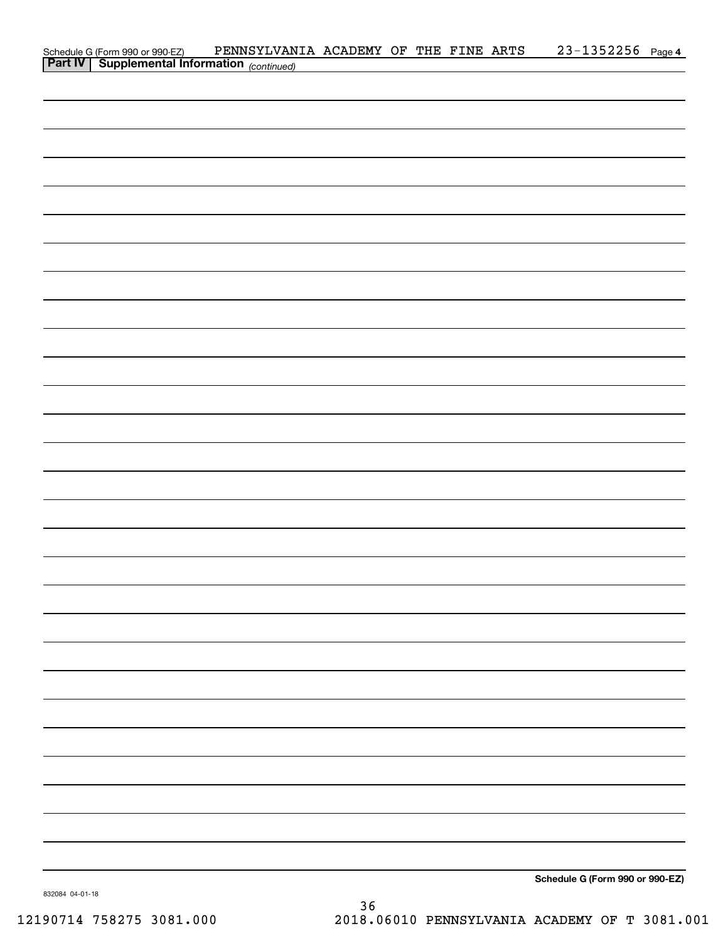|                                                                                            | PENNSYLVANIA ACADEMY OF THE FINE ARTS |  |  | $23 - 1352256$ Page 4           |  |
|--------------------------------------------------------------------------------------------|---------------------------------------|--|--|---------------------------------|--|
| Schedule G (Form 990 or 990-EZ) PENNSYLVAN<br>Part IV Supplemental Information (continued) |                                       |  |  |                                 |  |
|                                                                                            |                                       |  |  |                                 |  |
|                                                                                            |                                       |  |  |                                 |  |
|                                                                                            |                                       |  |  |                                 |  |
|                                                                                            |                                       |  |  |                                 |  |
|                                                                                            |                                       |  |  |                                 |  |
|                                                                                            |                                       |  |  |                                 |  |
|                                                                                            |                                       |  |  |                                 |  |
|                                                                                            |                                       |  |  |                                 |  |
|                                                                                            |                                       |  |  |                                 |  |
|                                                                                            |                                       |  |  |                                 |  |
|                                                                                            |                                       |  |  |                                 |  |
|                                                                                            |                                       |  |  |                                 |  |
|                                                                                            |                                       |  |  |                                 |  |
|                                                                                            |                                       |  |  |                                 |  |
|                                                                                            |                                       |  |  |                                 |  |
|                                                                                            |                                       |  |  |                                 |  |
|                                                                                            |                                       |  |  |                                 |  |
|                                                                                            |                                       |  |  |                                 |  |
|                                                                                            |                                       |  |  |                                 |  |
|                                                                                            |                                       |  |  |                                 |  |
|                                                                                            |                                       |  |  |                                 |  |
|                                                                                            |                                       |  |  |                                 |  |
|                                                                                            |                                       |  |  |                                 |  |
|                                                                                            |                                       |  |  |                                 |  |
|                                                                                            |                                       |  |  |                                 |  |
|                                                                                            |                                       |  |  |                                 |  |
|                                                                                            |                                       |  |  |                                 |  |
|                                                                                            |                                       |  |  |                                 |  |
|                                                                                            |                                       |  |  |                                 |  |
|                                                                                            |                                       |  |  |                                 |  |
|                                                                                            |                                       |  |  |                                 |  |
|                                                                                            |                                       |  |  |                                 |  |
|                                                                                            |                                       |  |  |                                 |  |
|                                                                                            |                                       |  |  |                                 |  |
|                                                                                            |                                       |  |  |                                 |  |
|                                                                                            |                                       |  |  |                                 |  |
|                                                                                            |                                       |  |  |                                 |  |
|                                                                                            |                                       |  |  |                                 |  |
|                                                                                            |                                       |  |  |                                 |  |
|                                                                                            |                                       |  |  |                                 |  |
|                                                                                            |                                       |  |  |                                 |  |
|                                                                                            |                                       |  |  |                                 |  |
|                                                                                            |                                       |  |  |                                 |  |
|                                                                                            |                                       |  |  |                                 |  |
|                                                                                            |                                       |  |  |                                 |  |
|                                                                                            |                                       |  |  |                                 |  |
|                                                                                            |                                       |  |  |                                 |  |
|                                                                                            |                                       |  |  |                                 |  |
|                                                                                            |                                       |  |  |                                 |  |
|                                                                                            |                                       |  |  |                                 |  |
|                                                                                            |                                       |  |  |                                 |  |
|                                                                                            |                                       |  |  |                                 |  |
|                                                                                            |                                       |  |  |                                 |  |
|                                                                                            |                                       |  |  |                                 |  |
|                                                                                            |                                       |  |  |                                 |  |
|                                                                                            |                                       |  |  |                                 |  |
|                                                                                            |                                       |  |  |                                 |  |
|                                                                                            |                                       |  |  |                                 |  |
|                                                                                            |                                       |  |  |                                 |  |
|                                                                                            |                                       |  |  |                                 |  |
|                                                                                            |                                       |  |  | Schedule G (Form 990 or 990-EZ) |  |

832084 04-01-18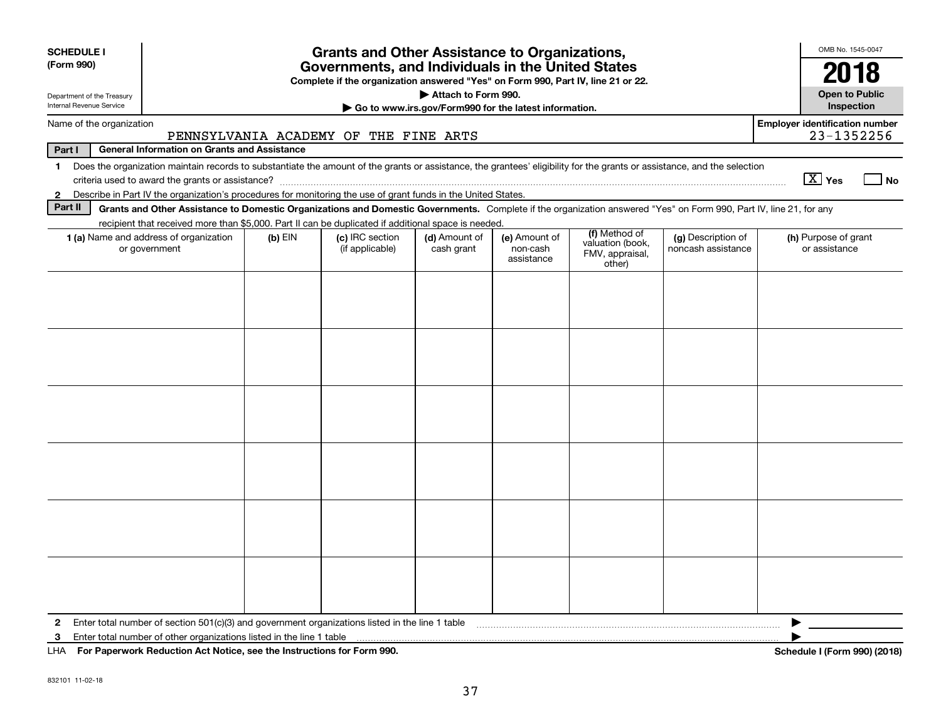| <b>SCHEDULE I</b><br>(Form 990)                                                                 |                                                                                                                                                                                                                                                                                     |         | <b>Grants and Other Assistance to Organizations,</b><br>Governments, and Individuals in the United States<br>Complete if the organization answered "Yes" on Form 990, Part IV, line 21 or 22. |                                                                              |                                         |                                                                |                                          | OMB No. 1545-0047<br>2018                           |
|-------------------------------------------------------------------------------------------------|-------------------------------------------------------------------------------------------------------------------------------------------------------------------------------------------------------------------------------------------------------------------------------------|---------|-----------------------------------------------------------------------------------------------------------------------------------------------------------------------------------------------|------------------------------------------------------------------------------|-----------------------------------------|----------------------------------------------------------------|------------------------------------------|-----------------------------------------------------|
| Department of the Treasury<br>Internal Revenue Service                                          |                                                                                                                                                                                                                                                                                     |         |                                                                                                                                                                                               | Attach to Form 990.<br>Go to www.irs.gov/Form990 for the latest information. |                                         |                                                                |                                          | <b>Open to Public</b><br>Inspection                 |
| Name of the organization                                                                        |                                                                                                                                                                                                                                                                                     |         | PENNSYLVANIA ACADEMY OF THE FINE ARTS                                                                                                                                                         |                                                                              |                                         |                                                                |                                          | <b>Employer identification number</b><br>23-1352256 |
| Part I                                                                                          | <b>General Information on Grants and Assistance</b>                                                                                                                                                                                                                                 |         |                                                                                                                                                                                               |                                                                              |                                         |                                                                |                                          |                                                     |
| $\mathbf 1$                                                                                     | Does the organization maintain records to substantiate the amount of the grants or assistance, the grantees' eligibility for the grants or assistance, and the selection                                                                                                            |         |                                                                                                                                                                                               |                                                                              |                                         |                                                                |                                          | $X$ Yes<br>l No                                     |
| $\mathbf{2}$<br>Part II                                                                         | Describe in Part IV the organization's procedures for monitoring the use of grant funds in the United States.<br>Grants and Other Assistance to Domestic Organizations and Domestic Governments. Complete if the organization answered "Yes" on Form 990, Part IV, line 21, for any |         |                                                                                                                                                                                               |                                                                              |                                         |                                                                |                                          |                                                     |
|                                                                                                 | recipient that received more than \$5,000. Part II can be duplicated if additional space is needed.                                                                                                                                                                                 |         |                                                                                                                                                                                               |                                                                              |                                         |                                                                |                                          |                                                     |
|                                                                                                 | 1 (a) Name and address of organization<br>or government                                                                                                                                                                                                                             | (b) EIN | (c) IRC section<br>(if applicable)                                                                                                                                                            | (d) Amount of<br>cash grant                                                  | (e) Amount of<br>non-cash<br>assistance | (f) Method of<br>valuation (book,<br>FMV, appraisal,<br>other) | (g) Description of<br>noncash assistance | (h) Purpose of grant<br>or assistance               |
|                                                                                                 |                                                                                                                                                                                                                                                                                     |         |                                                                                                                                                                                               |                                                                              |                                         |                                                                |                                          |                                                     |
|                                                                                                 |                                                                                                                                                                                                                                                                                     |         |                                                                                                                                                                                               |                                                                              |                                         |                                                                |                                          |                                                     |
|                                                                                                 |                                                                                                                                                                                                                                                                                     |         |                                                                                                                                                                                               |                                                                              |                                         |                                                                |                                          |                                                     |
|                                                                                                 |                                                                                                                                                                                                                                                                                     |         |                                                                                                                                                                                               |                                                                              |                                         |                                                                |                                          |                                                     |
|                                                                                                 |                                                                                                                                                                                                                                                                                     |         |                                                                                                                                                                                               |                                                                              |                                         |                                                                |                                          |                                                     |
|                                                                                                 |                                                                                                                                                                                                                                                                                     |         |                                                                                                                                                                                               |                                                                              |                                         |                                                                |                                          |                                                     |
| $\mathbf{2}$<br>3<br>LHA For Paperwork Reduction Act Notice, see the Instructions for Form 990. | Enter total number of section $501(c)(3)$ and government organizations listed in the line 1 table<br>Enter total number of other organizations listed in the line 1 table                                                                                                           |         |                                                                                                                                                                                               |                                                                              |                                         |                                                                |                                          | Schedule I (Form 990) (2018)                        |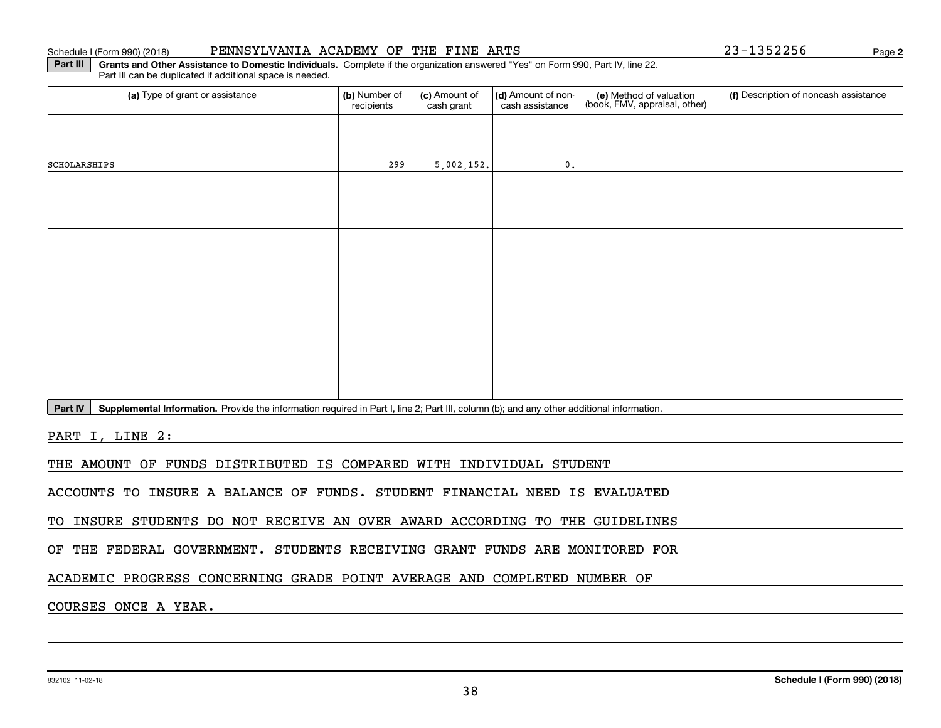### Schedule I (Form 990) (2018) Page PENNSYLVANIA ACADEMY OF THE FINE ARTS 23-1352256

**2**

**Part III | Grants and Other Assistance to Domestic Individuals. Complete if the organization answered "Yes" on Form 990, Part IV, line 22.** Part III can be duplicated if additional space is needed.

| (b) Number of<br>recipients | (c) Amount of<br>cash grant | cash assistance | (e) Method of valuation<br>(book, FMV, appraisal, other) | (f) Description of noncash assistance |
|-----------------------------|-----------------------------|-----------------|----------------------------------------------------------|---------------------------------------|
|                             |                             |                 |                                                          |                                       |
| 299                         |                             | 0.              |                                                          |                                       |
|                             |                             |                 |                                                          |                                       |
|                             |                             |                 |                                                          |                                       |
|                             |                             |                 |                                                          |                                       |
|                             |                             |                 |                                                          |                                       |
|                             |                             |                 |                                                          |                                       |
|                             |                             |                 |                                                          |                                       |
|                             |                             |                 |                                                          |                                       |
|                             |                             |                 |                                                          |                                       |
|                             |                             |                 | 5,002,152.                                               | (d) Amount of non-                    |

Part IV | Supplemental Information. Provide the information required in Part I, line 2; Part III, column (b); and any other additional information.

PART I, LINE 2:

THE AMOUNT OF FUNDS DISTRIBUTED IS COMPARED WITH INDIVIDUAL STUDENT

ACCOUNTS TO INSURE A BALANCE OF FUNDS. STUDENT FINANCIAL NEED IS EVALUATED

TO INSURE STUDENTS DO NOT RECEIVE AN OVER AWARD ACCORDING TO THE GUIDELINES

OF THE FEDERAL GOVERNMENT. STUDENTS RECEIVING GRANT FUNDS ARE MONITORED FOR

ACADEMIC PROGRESS CONCERNING GRADE POINT AVERAGE AND COMPLETED NUMBER OF

COURSES ONCE A YEAR.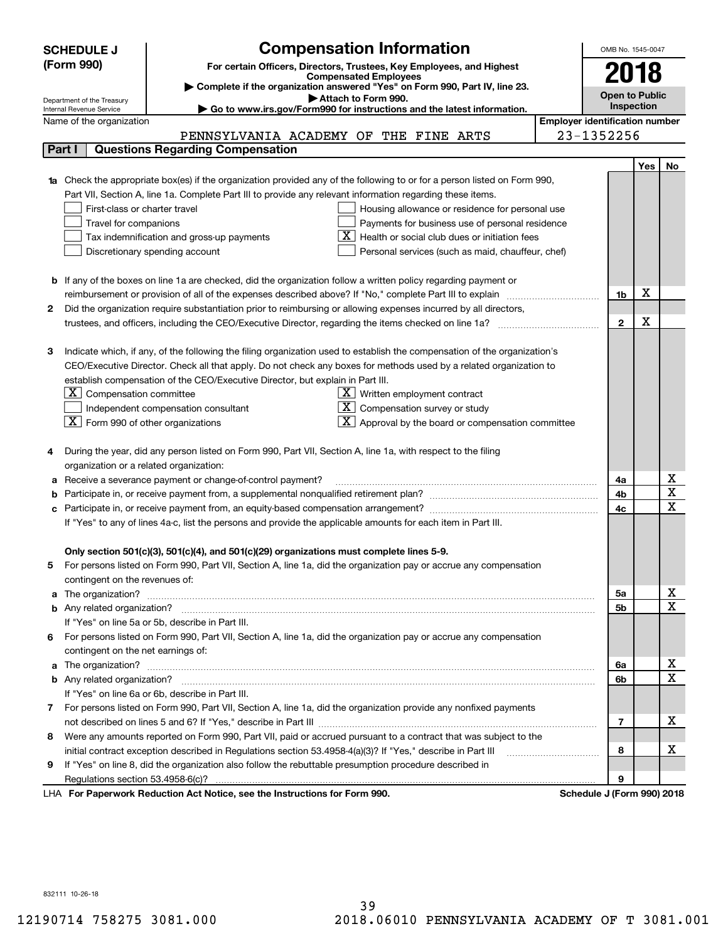|    | <b>SCHEDULE J</b>                                                                                                                                                                 | <b>Compensation Information</b>                                                                                                                                                                                                    |                                       | OMB No. 1545-0047     |            |                                     |  |  |
|----|-----------------------------------------------------------------------------------------------------------------------------------------------------------------------------------|------------------------------------------------------------------------------------------------------------------------------------------------------------------------------------------------------------------------------------|---------------------------------------|-----------------------|------------|-------------------------------------|--|--|
|    | (Form 990)                                                                                                                                                                        | For certain Officers, Directors, Trustees, Key Employees, and Highest                                                                                                                                                              |                                       |                       |            |                                     |  |  |
|    |                                                                                                                                                                                   | <b>Compensated Employees</b>                                                                                                                                                                                                       |                                       |                       | 2018       |                                     |  |  |
|    | Department of the Treasury                                                                                                                                                        | Complete if the organization answered "Yes" on Form 990, Part IV, line 23.<br>Attach to Form 990.                                                                                                                                  |                                       | <b>Open to Public</b> |            |                                     |  |  |
|    | Internal Revenue Service                                                                                                                                                          | Go to www.irs.gov/Form990 for instructions and the latest information.                                                                                                                                                             |                                       |                       | Inspection |                                     |  |  |
|    | Name of the organization                                                                                                                                                          |                                                                                                                                                                                                                                    | <b>Employer identification number</b> |                       |            |                                     |  |  |
|    |                                                                                                                                                                                   | PENNSYLVANIA ACADEMY OF THE FINE ARTS                                                                                                                                                                                              |                                       | 23-1352256            |            |                                     |  |  |
|    | Part I                                                                                                                                                                            | <b>Questions Regarding Compensation</b>                                                                                                                                                                                            |                                       |                       |            |                                     |  |  |
|    |                                                                                                                                                                                   |                                                                                                                                                                                                                                    |                                       |                       | <b>Yes</b> | No                                  |  |  |
|    |                                                                                                                                                                                   | <b>1a</b> Check the appropriate box(es) if the organization provided any of the following to or for a person listed on Form 990,                                                                                                   |                                       |                       |            |                                     |  |  |
|    |                                                                                                                                                                                   | Part VII, Section A, line 1a. Complete Part III to provide any relevant information regarding these items.                                                                                                                         |                                       |                       |            |                                     |  |  |
|    | First-class or charter travel                                                                                                                                                     | Housing allowance or residence for personal use                                                                                                                                                                                    |                                       |                       |            |                                     |  |  |
|    | Travel for companions                                                                                                                                                             | Payments for business use of personal residence                                                                                                                                                                                    |                                       |                       |            |                                     |  |  |
|    | Health or social club dues or initiation fees<br>Tax indemnification and gross-up payments<br>Discretionary spending account<br>Personal services (such as maid, chauffeur, chef) |                                                                                                                                                                                                                                    |                                       |                       |            |                                     |  |  |
|    |                                                                                                                                                                                   |                                                                                                                                                                                                                                    |                                       |                       |            |                                     |  |  |
|    |                                                                                                                                                                                   |                                                                                                                                                                                                                                    |                                       |                       |            |                                     |  |  |
|    |                                                                                                                                                                                   | <b>b</b> If any of the boxes on line 1a are checked, did the organization follow a written policy regarding payment or<br>reimbursement or provision of all of the expenses described above? If "No," complete Part III to explain |                                       | 1b                    | х          |                                     |  |  |
| 2  |                                                                                                                                                                                   | Did the organization require substantiation prior to reimbursing or allowing expenses incurred by all directors,                                                                                                                   |                                       |                       |            |                                     |  |  |
|    |                                                                                                                                                                                   |                                                                                                                                                                                                                                    |                                       | $\mathbf{2}$          | х          |                                     |  |  |
|    |                                                                                                                                                                                   |                                                                                                                                                                                                                                    |                                       |                       |            |                                     |  |  |
| з  |                                                                                                                                                                                   | Indicate which, if any, of the following the filing organization used to establish the compensation of the organization's                                                                                                          |                                       |                       |            |                                     |  |  |
|    |                                                                                                                                                                                   | CEO/Executive Director. Check all that apply. Do not check any boxes for methods used by a related organization to                                                                                                                 |                                       |                       |            |                                     |  |  |
|    |                                                                                                                                                                                   | establish compensation of the CEO/Executive Director, but explain in Part III.                                                                                                                                                     |                                       |                       |            |                                     |  |  |
|    | $ \mathbf{X} $ Compensation committee                                                                                                                                             | $X$ Written employment contract                                                                                                                                                                                                    |                                       |                       |            |                                     |  |  |
|    |                                                                                                                                                                                   | Compensation survey or study<br>Independent compensation consultant                                                                                                                                                                |                                       |                       |            |                                     |  |  |
|    | $\boxed{\textbf{X}}$ Form 990 of other organizations                                                                                                                              | Approval by the board or compensation committee                                                                                                                                                                                    |                                       |                       |            |                                     |  |  |
|    |                                                                                                                                                                                   |                                                                                                                                                                                                                                    |                                       |                       |            |                                     |  |  |
|    |                                                                                                                                                                                   | During the year, did any person listed on Form 990, Part VII, Section A, line 1a, with respect to the filing                                                                                                                       |                                       |                       |            |                                     |  |  |
|    | organization or a related organization:                                                                                                                                           |                                                                                                                                                                                                                                    |                                       |                       |            |                                     |  |  |
|    |                                                                                                                                                                                   | Receive a severance payment or change-of-control payment?                                                                                                                                                                          |                                       | 4a                    |            | x                                   |  |  |
|    |                                                                                                                                                                                   |                                                                                                                                                                                                                                    |                                       | 4b                    |            | $\overline{\text{x}}$               |  |  |
|    |                                                                                                                                                                                   |                                                                                                                                                                                                                                    |                                       | 4c                    |            | $\overline{\text{x}}$               |  |  |
|    |                                                                                                                                                                                   | If "Yes" to any of lines 4a-c, list the persons and provide the applicable amounts for each item in Part III.                                                                                                                      |                                       |                       |            |                                     |  |  |
|    |                                                                                                                                                                                   |                                                                                                                                                                                                                                    |                                       |                       |            |                                     |  |  |
|    |                                                                                                                                                                                   | Only section 501(c)(3), 501(c)(4), and 501(c)(29) organizations must complete lines 5-9.                                                                                                                                           |                                       |                       |            |                                     |  |  |
| 5. |                                                                                                                                                                                   | For persons listed on Form 990, Part VII, Section A, line 1a, did the organization pay or accrue any compensation                                                                                                                  |                                       |                       |            |                                     |  |  |
|    | contingent on the revenues of:                                                                                                                                                    |                                                                                                                                                                                                                                    |                                       |                       |            |                                     |  |  |
|    |                                                                                                                                                                                   | a The organization? <b>Manual Community Community</b> Community Community Community Community Community Community Community                                                                                                        |                                       | 5a                    |            | <u>x</u><br>$\overline{\mathbf{x}}$ |  |  |
|    |                                                                                                                                                                                   |                                                                                                                                                                                                                                    |                                       | 5b                    |            |                                     |  |  |
|    |                                                                                                                                                                                   | If "Yes" on line 5a or 5b, describe in Part III.<br>For persons listed on Form 990, Part VII, Section A, line 1a, did the organization pay or accrue any compensation                                                              |                                       |                       |            |                                     |  |  |
| 6. | contingent on the net earnings of:                                                                                                                                                |                                                                                                                                                                                                                                    |                                       |                       |            |                                     |  |  |
|    |                                                                                                                                                                                   |                                                                                                                                                                                                                                    |                                       | 6a                    |            | <u>x</u>                            |  |  |
|    |                                                                                                                                                                                   |                                                                                                                                                                                                                                    |                                       | 6b                    |            | $\overline{\mathbf{x}}$             |  |  |
|    |                                                                                                                                                                                   | If "Yes" on line 6a or 6b, describe in Part III.                                                                                                                                                                                   |                                       |                       |            |                                     |  |  |
|    |                                                                                                                                                                                   | 7 For persons listed on Form 990, Part VII, Section A, line 1a, did the organization provide any nonfixed payments                                                                                                                 |                                       |                       |            |                                     |  |  |
|    |                                                                                                                                                                                   |                                                                                                                                                                                                                                    |                                       | $\overline{7}$        |            | х                                   |  |  |
| 8  |                                                                                                                                                                                   | Were any amounts reported on Form 990, Part VII, paid or accrued pursuant to a contract that was subject to the                                                                                                                    |                                       |                       |            |                                     |  |  |
|    |                                                                                                                                                                                   |                                                                                                                                                                                                                                    |                                       | 8                     |            | х                                   |  |  |
| 9  |                                                                                                                                                                                   | If "Yes" on line 8, did the organization also follow the rebuttable presumption procedure described in                                                                                                                             |                                       |                       |            |                                     |  |  |
|    |                                                                                                                                                                                   |                                                                                                                                                                                                                                    |                                       | 9                     |            |                                     |  |  |
|    |                                                                                                                                                                                   | uli Dedication Ast Notice, and the Instructions for Form 000                                                                                                                                                                       |                                       | $\overline{10}$       |            |                                     |  |  |

LHA For Paperwork Reduction Act Notice, see the Instructions for Form 990. Schedule J (Form 990) 2018

832111 10-26-18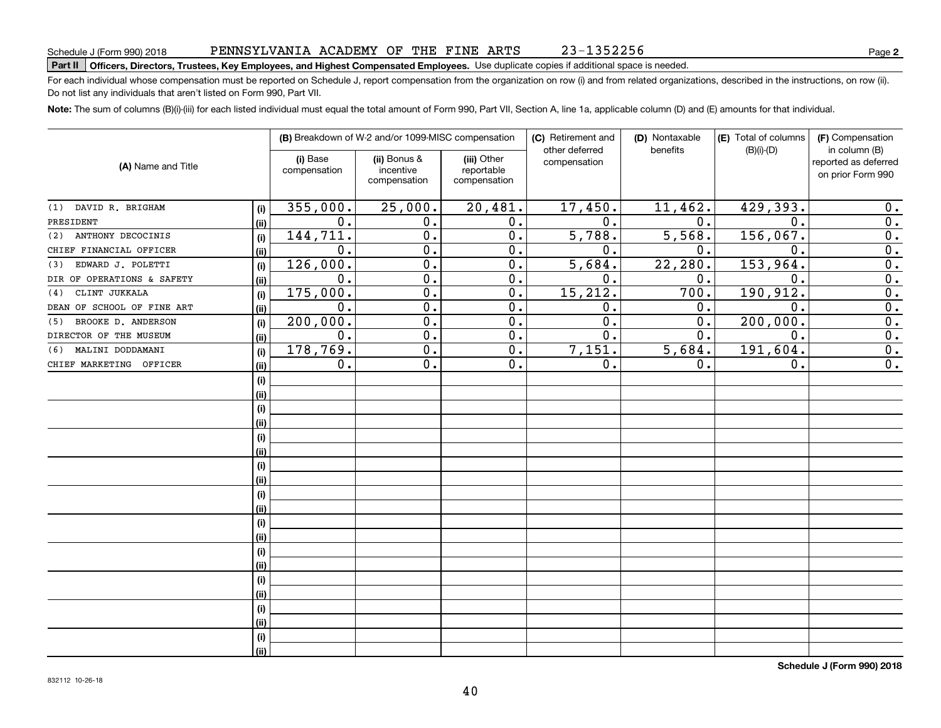#### PENNSYLVANIA ACADEMY OF THE FINE ARTS 23-1352256

# **Part II Officers, Directors, Trustees, Key Employees, and Highest Compensated Employees.**  Schedule J (Form 990) 2018 Page Use duplicate copies if additional space is needed.

For each individual whose compensation must be reported on Schedule J, report compensation from the organization on row (i) and from related organizations, described in the instructions, on row (ii). Do not list any individuals that aren't listed on Form 990, Part VII.

**Note:**  The sum of columns (B)(i)-(iii) for each listed individual must equal the total amount of Form 990, Part VII, Section A, line 1a, applicable column (D) and (E) amounts for that individual.

| (B) Breakdown of W-2 and/or 1099-MISC compensation |      |                          | (C) Retirement and<br>other deferred      | (D) Nontaxable<br>benefits                | (E) Total of columns | (F) Compensation<br>in column (B) |               |                                           |
|----------------------------------------------------|------|--------------------------|-------------------------------------------|-------------------------------------------|----------------------|-----------------------------------|---------------|-------------------------------------------|
| (A) Name and Title                                 |      | (i) Base<br>compensation | (ii) Bonus &<br>incentive<br>compensation | (iii) Other<br>reportable<br>compensation | compensation         |                                   | $(B)(i)-(D)$  | reported as deferred<br>on prior Form 990 |
| (1) DAVID R. BRIGHAM                               | (i)  | 355,000.                 | 25,000.                                   | 20,481.                                   | 17,450.              | 11,462.                           | 429,393.      | 0.                                        |
| PRESIDENT                                          | (ii) | 0.                       | 0.                                        | 0.                                        | 0.                   | 0.                                | $\mathbf 0$ . | $\overline{0}$ .                          |
| (2) ANTHONY DECOCINIS                              | (i)  | 144, 711.                | $\mathbf 0$ .                             | $\overline{0}$ .                          | 5,788.               | $\overline{5,568}$ .              | 156,067.      | 0.                                        |
| CHIEF FINANCIAL OFFICER                            | (ii) | 0.                       | 0.                                        | 0.                                        | 0.                   | 0.                                | 0.            | 0.                                        |
| EDWARD J. POLETTI<br>(3)                           | (i)  | 126,000.                 | 0.                                        | 0.                                        | 5,684.               | 22,280.                           | 153,964.      | 0.                                        |
| DIR OF OPERATIONS & SAFETY                         | (ii) | 0.                       | 0.                                        | 0.                                        | 0.                   | 0.                                | $\mathbf 0$ . | $\overline{0}$ .                          |
| CLINT JUKKALA<br>(4)                               | (i)  | 175,000.                 | 0.                                        | 0.                                        | 15, 212.             | 700                               | 190,912.      | $\mathbf 0$ .                             |
| DEAN OF SCHOOL OF FINE ART                         | (ii) | 0.                       | $\mathbf 0$ .                             | 0.                                        | 0.                   | 0.                                | 0.            | $\overline{0}$ .                          |
| BROOKE D. ANDERSON<br>(5)                          | (i)  | 200,000.                 | $\overline{0}$ .                          | $\overline{0}$ .                          | $\overline{0}$ .     | 0.                                | 200,000.      | 0.                                        |
| DIRECTOR OF THE MUSEUM                             | (ii) | 0.                       | $\overline{0}$ .                          | $\overline{0}$ .                          | $\overline{0}$ .     | 0.                                | 0.            | 0.                                        |
| MALINI DODDAMANI<br>(6)                            | (i)  | 178,769.                 | 0.                                        | 0.                                        | 7,151.               | 5,684.                            | 191,604.      | 0.                                        |
| CHIEF MARKETING OFFICER                            | (ii) | 0.                       | 0.                                        | 0.                                        | 0.                   | 0.                                | 0.            | 0.                                        |
|                                                    | (i)  |                          |                                           |                                           |                      |                                   |               |                                           |
|                                                    | (ii) |                          |                                           |                                           |                      |                                   |               |                                           |
|                                                    | (i)  |                          |                                           |                                           |                      |                                   |               |                                           |
|                                                    | (ii) |                          |                                           |                                           |                      |                                   |               |                                           |
|                                                    | (i)  |                          |                                           |                                           |                      |                                   |               |                                           |
|                                                    | (ii) |                          |                                           |                                           |                      |                                   |               |                                           |
|                                                    | (i)  |                          |                                           |                                           |                      |                                   |               |                                           |
|                                                    | (ii) |                          |                                           |                                           |                      |                                   |               |                                           |
|                                                    | (i)  |                          |                                           |                                           |                      |                                   |               |                                           |
|                                                    | (ii) |                          |                                           |                                           |                      |                                   |               |                                           |
|                                                    | (i)  |                          |                                           |                                           |                      |                                   |               |                                           |
|                                                    | (ii) |                          |                                           |                                           |                      |                                   |               |                                           |
|                                                    | (i)  |                          |                                           |                                           |                      |                                   |               |                                           |
|                                                    | (ii) |                          |                                           |                                           |                      |                                   |               |                                           |
|                                                    | (i)  |                          |                                           |                                           |                      |                                   |               |                                           |
|                                                    | (ii) |                          |                                           |                                           |                      |                                   |               |                                           |
|                                                    | (i)  |                          |                                           |                                           |                      |                                   |               |                                           |
|                                                    | (ii) |                          |                                           |                                           |                      |                                   |               |                                           |
|                                                    | (i)  |                          |                                           |                                           |                      |                                   |               |                                           |
|                                                    | (ii) |                          |                                           |                                           |                      |                                   |               |                                           |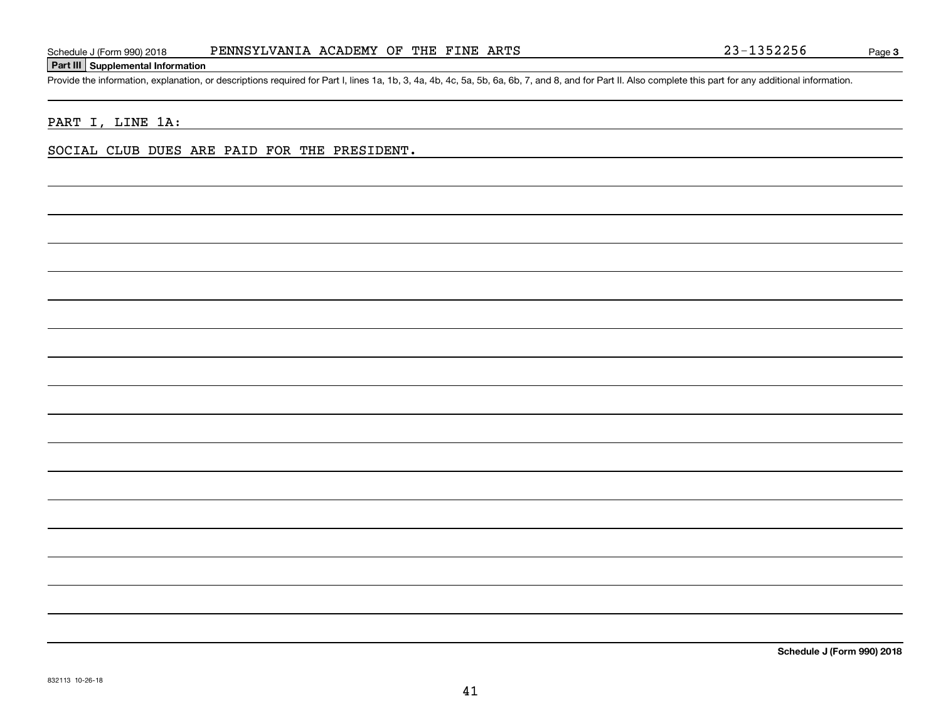### **Part III Supplemental Information**

Schedule J (Form 990) 2018 PENNSYLVANIA ACADEMY OF THE FINE ARTS 23-1352256<br>Part III Supplemental Information<br>Provide the information, explanation, or descriptions required for Part I, lines 1a, 1b, 3, 4a, 4b, 4c, 5a, 5b,

PART I, LINE 1A:

SOCIAL CLUB DUES ARE PAID FOR THE PRESIDENT.

**Schedule J (Form 990) 2018**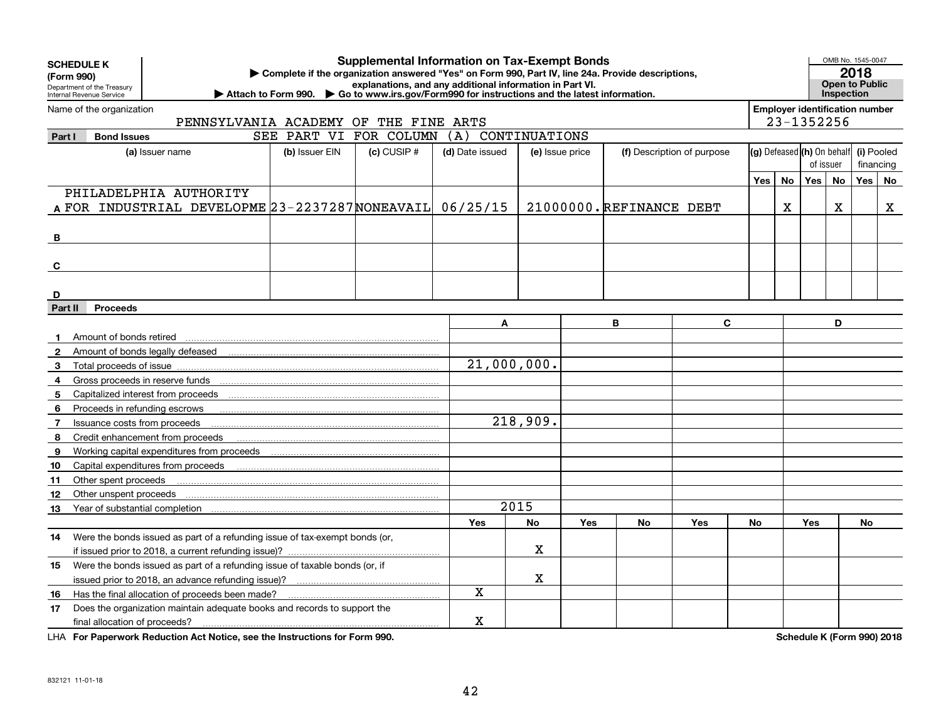|         | <b>Supplemental Information on Tax-Exempt Bonds</b><br><b>SCHEDULE K</b><br>Complete if the organization answered "Yes" on Form 990, Part IV, line 24a. Provide descriptions,<br>(Form 990) |                                                                                                             |                                                          |                 |                 |            |                            |              |     |             |                                                     | OMB No. 1545-0047                   | 2018       |         |
|---------|---------------------------------------------------------------------------------------------------------------------------------------------------------------------------------------------|-------------------------------------------------------------------------------------------------------------|----------------------------------------------------------|-----------------|-----------------|------------|----------------------------|--------------|-----|-------------|-----------------------------------------------------|-------------------------------------|------------|---------|
|         | Department of the Treasury<br>Internal Revenue Service                                                                                                                                      | Attach to Form 990. $\triangleright$ Go to www.irs.gov/Form990 for instructions and the latest information. | explanations, and any additional information in Part VI. |                 |                 |            |                            |              |     |             |                                                     | Open to Public<br><b>Inspection</b> |            |         |
|         | Name of the organization                                                                                                                                                                    | PENNSYLVANIA ACADEMY OF THE FINE ARTS                                                                       |                                                          |                 |                 |            |                            |              |     |             | <b>Employer identification number</b><br>23-1352256 |                                     |            |         |
| Part I  | <b>Bond Issues</b>                                                                                                                                                                          | SEE PART VI                                                                                                 | FOR COLUMN                                               | (A)             | CONTINUATIONS   |            |                            |              |     |             |                                                     |                                     |            |         |
|         | (a) Issuer name                                                                                                                                                                             | (b) Issuer EIN                                                                                              | $(c)$ CUSIP $#$                                          | (d) Date issued | (e) Issue price |            | (f) Description of purpose |              |     |             | (g) Defeased (h) On behalf                          |                                     | (i) Pooled |         |
|         |                                                                                                                                                                                             |                                                                                                             |                                                          |                 |                 |            |                            |              |     |             | of issuer                                           |                                     | financing  |         |
|         |                                                                                                                                                                                             |                                                                                                             |                                                          |                 |                 |            |                            |              | Yes | No          | Yes                                                 | <b>No</b>                           | Yes        | $N_{0}$ |
|         | PHILADELPHIA AUTHORITY                                                                                                                                                                      |                                                                                                             |                                                          |                 |                 |            |                            |              |     |             |                                                     |                                     |            |         |
|         | A FOR INDUSTRIAL DEVELOPME 23-2237287 NONEAVAIL 06/25/15                                                                                                                                    |                                                                                                             |                                                          |                 |                 |            | 21000000. REFINANCE DEBT   |              |     | $\mathbf X$ |                                                     | X                                   |            | X       |
|         |                                                                                                                                                                                             |                                                                                                             |                                                          |                 |                 |            |                            |              |     |             |                                                     |                                     |            |         |
| В       |                                                                                                                                                                                             |                                                                                                             |                                                          |                 |                 |            |                            |              |     |             |                                                     |                                     |            |         |
|         |                                                                                                                                                                                             |                                                                                                             |                                                          |                 |                 |            |                            |              |     |             |                                                     |                                     |            |         |
| C       |                                                                                                                                                                                             |                                                                                                             |                                                          |                 |                 |            |                            |              |     |             |                                                     |                                     |            |         |
|         |                                                                                                                                                                                             |                                                                                                             |                                                          |                 |                 |            |                            |              |     |             |                                                     |                                     |            |         |
| D       |                                                                                                                                                                                             |                                                                                                             |                                                          |                 |                 |            |                            |              |     |             |                                                     |                                     |            |         |
| Part II | <b>Proceeds</b>                                                                                                                                                                             |                                                                                                             |                                                          |                 |                 |            |                            |              |     |             |                                                     |                                     |            |         |
|         |                                                                                                                                                                                             |                                                                                                             |                                                          | A               |                 |            | B                          | $\mathbf{C}$ |     |             |                                                     | D                                   |            |         |
|         | Amount of bonds retired                                                                                                                                                                     |                                                                                                             |                                                          |                 |                 |            |                            |              |     |             |                                                     |                                     |            |         |
| 2       |                                                                                                                                                                                             |                                                                                                             |                                                          |                 |                 |            |                            |              |     |             |                                                     |                                     |            |         |
| 3       |                                                                                                                                                                                             |                                                                                                             |                                                          |                 | 21,000,000.     |            |                            |              |     |             |                                                     |                                     |            |         |
| 4       | Gross proceeds in reserve funds                                                                                                                                                             |                                                                                                             |                                                          |                 |                 |            |                            |              |     |             |                                                     |                                     |            |         |
| 5       |                                                                                                                                                                                             |                                                                                                             |                                                          |                 |                 |            |                            |              |     |             |                                                     |                                     |            |         |
| 6       | Proceeds in refunding escrows                                                                                                                                                               |                                                                                                             |                                                          |                 |                 |            |                            |              |     |             |                                                     |                                     |            |         |
| 7       | Issuance costs from proceeds                                                                                                                                                                |                                                                                                             |                                                          |                 | 218,909.        |            |                            |              |     |             |                                                     |                                     |            |         |
| 8       | Credit enhancement from proceeds                                                                                                                                                            |                                                                                                             |                                                          |                 |                 |            |                            |              |     |             |                                                     |                                     |            |         |
| 9       |                                                                                                                                                                                             |                                                                                                             |                                                          |                 |                 |            |                            |              |     |             |                                                     |                                     |            |         |
| 10      |                                                                                                                                                                                             |                                                                                                             |                                                          |                 |                 |            |                            |              |     |             |                                                     |                                     |            |         |
| 11      | Other spent proceeds                                                                                                                                                                        |                                                                                                             |                                                          |                 |                 |            |                            |              |     |             |                                                     |                                     |            |         |
| 12      | Other unspent proceeds                                                                                                                                                                      |                                                                                                             |                                                          |                 |                 |            |                            |              |     |             |                                                     |                                     |            |         |
| 13      |                                                                                                                                                                                             |                                                                                                             |                                                          |                 | 2015            |            |                            |              |     |             |                                                     |                                     |            |         |
|         |                                                                                                                                                                                             |                                                                                                             |                                                          | <b>Yes</b>      | No              | <b>Yes</b> | No                         | Yes          | No  |             | <b>Yes</b>                                          |                                     | No         |         |
| 14      | Were the bonds issued as part of a refunding issue of tax-exempt bonds (or,                                                                                                                 |                                                                                                             |                                                          |                 | x               |            |                            |              |     |             |                                                     |                                     |            |         |
|         | if issued prior to 2018, a current refunding issue)?                                                                                                                                        |                                                                                                             |                                                          |                 |                 |            |                            |              |     |             |                                                     |                                     |            |         |
| 15      | Were the bonds issued as part of a refunding issue of taxable bonds (or, if                                                                                                                 |                                                                                                             |                                                          |                 | x               |            |                            |              |     |             |                                                     |                                     |            |         |
|         | Has the final allocation of proceeds been made?                                                                                                                                             |                                                                                                             |                                                          | X               |                 |            |                            |              |     |             |                                                     |                                     |            |         |
| 16      |                                                                                                                                                                                             |                                                                                                             |                                                          |                 |                 |            |                            |              |     |             |                                                     |                                     |            |         |
| 17      | Does the organization maintain adequate books and records to support the<br>final allocation of proceeds?                                                                                   |                                                                                                             |                                                          | $\mathbf X$     |                 |            |                            |              |     |             |                                                     |                                     |            |         |
|         |                                                                                                                                                                                             |                                                                                                             |                                                          |                 |                 |            |                            |              |     |             |                                                     |                                     |            |         |

**For Paperwork Reduction Act Notice, see the Instructions for Form 990. Schedule K (Form 990) 2018** LHA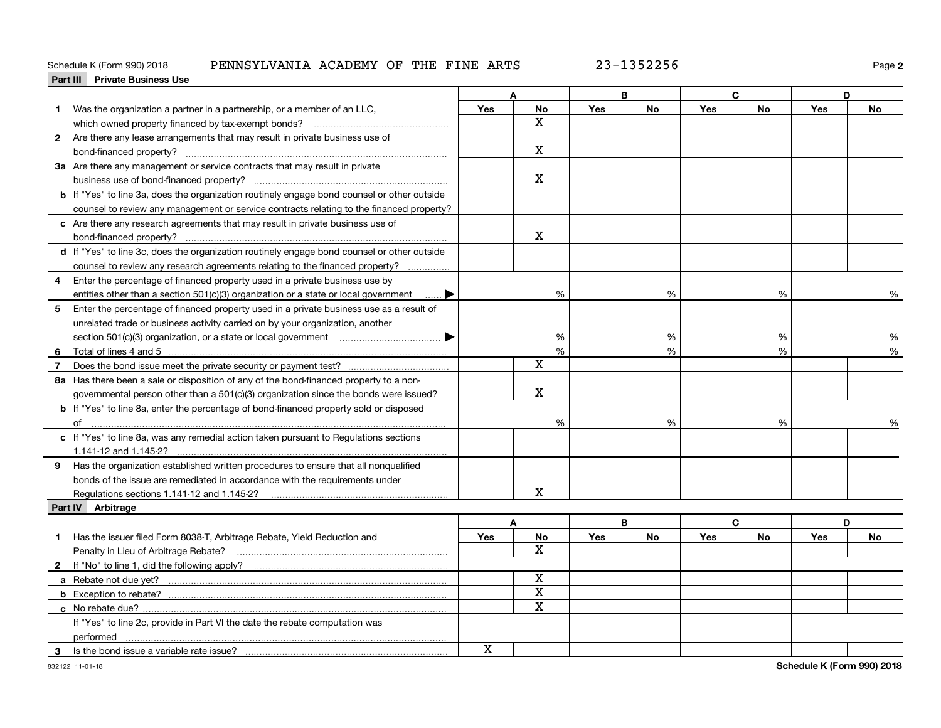### Schedule K (Form 990) 2018 Page PENNSYLVANIA ACADEMY OF THE FINE ARTS 23-1352256

**2**

|   | Part III Private Business Use                                                                      |        |              |            |           |            |             |            |           |
|---|----------------------------------------------------------------------------------------------------|--------|--------------|------------|-----------|------------|-------------|------------|-----------|
|   |                                                                                                    |        |              |            | B         |            | $\mathbf c$ |            | D         |
| 1 | Was the organization a partner in a partnership, or a member of an LLC,                            | Yes    | <b>No</b>    | Yes        | <b>No</b> | Yes        | <b>No</b>   | <b>Yes</b> | <b>No</b> |
|   | which owned property financed by tax-exempt bonds?                                                 |        | $\mathbf X$  |            |           |            |             |            |           |
|   | 2 Are there any lease arrangements that may result in private business use of                      |        |              |            |           |            |             |            |           |
|   |                                                                                                    |        | $\mathbf X$  |            |           |            |             |            |           |
|   | 3a Are there any management or service contracts that may result in private                        |        |              |            |           |            |             |            |           |
|   |                                                                                                    |        | X            |            |           |            |             |            |           |
|   | <b>b</b> If "Yes" to line 3a, does the organization routinely engage bond counsel or other outside |        |              |            |           |            |             |            |           |
|   | counsel to review any management or service contracts relating to the financed property?           |        |              |            |           |            |             |            |           |
|   | c Are there any research agreements that may result in private business use of                     |        |              |            |           |            |             |            |           |
|   |                                                                                                    |        | X            |            |           |            |             |            |           |
|   | d If "Yes" to line 3c, does the organization routinely engage bond counsel or other outside        |        |              |            |           |            |             |            |           |
|   | counsel to review any research agreements relating to the financed property?                       |        |              |            |           |            |             |            |           |
| 4 | Enter the percentage of financed property used in a private business use by                        |        |              |            |           |            |             |            |           |
|   | entities other than a section 501(c)(3) organization or a state or local government<br>▶           |        | %            |            | %         |            | %           |            | %         |
| 5 | Enter the percentage of financed property used in a private business use as a result of            |        |              |            |           |            |             |            |           |
|   | unrelated trade or business activity carried on by your organization, another                      |        |              |            |           |            |             |            |           |
|   | ▶                                                                                                  |        | %            |            | %         |            | %           |            | %         |
| 6 | Total of lines 4 and 5                                                                             | %<br>% |              | %          |           |            | %           |            |           |
| 7 |                                                                                                    |        | $\mathbf X$  |            |           |            |             |            |           |
|   | 8a Has there been a sale or disposition of any of the bond-financed property to a non-             |        |              |            |           |            |             |            |           |
|   | governmental person other than a 501(c)(3) organization since the bonds were issued?               |        | х            |            |           |            |             |            |           |
|   | <b>b</b> If "Yes" to line 8a, enter the percentage of bond-financed property sold or disposed      |        |              |            |           |            |             |            |           |
|   |                                                                                                    |        | %            |            | %         |            | %           |            | %         |
|   | c If "Yes" to line 8a, was any remedial action taken pursuant to Regulations sections              |        |              |            |           |            |             |            |           |
|   | 1.141-12 and 1.145-2?                                                                              |        |              |            |           |            |             |            |           |
|   |                                                                                                    |        |              |            |           |            |             |            |           |
|   | 9 Has the organization established written procedures to ensure that all nonqualified              |        |              |            |           |            |             |            |           |
|   | bonds of the issue are remediated in accordance with the requirements under                        |        | $\mathbf X$  |            |           |            |             |            |           |
|   | Regulations sections 1.141-12 and 1.145-2?                                                         |        |              |            |           |            |             |            |           |
|   | Part IV Arbitrage                                                                                  |        |              |            |           |            |             |            |           |
|   |                                                                                                    |        | A            | <b>Yes</b> | B         |            | C           |            | D         |
| 1 | Has the issuer filed Form 8038-T, Arbitrage Rebate, Yield Reduction and                            | Yes    | No<br>X      |            | No        | <b>Yes</b> | No          | <b>Yes</b> | No        |
|   | Penalty in Lieu of Arbitrage Rebate?                                                               |        |              |            |           |            |             |            |           |
|   |                                                                                                    |        | $\mathbf x$  |            |           |            |             |            |           |
|   |                                                                                                    |        | $\mathbf X$  |            |           |            |             |            |           |
|   |                                                                                                    |        | $\mathbf{x}$ |            |           |            |             |            |           |
|   | c No rebate due?                                                                                   |        |              |            |           |            |             |            |           |
|   | If "Yes" to line 2c, provide in Part VI the date the rebate computation was                        |        |              |            |           |            |             |            |           |
|   |                                                                                                    |        |              |            |           |            |             |            |           |
| 3 | Is the bond issue a variable rate issue?                                                           | X      |              |            |           |            |             |            |           |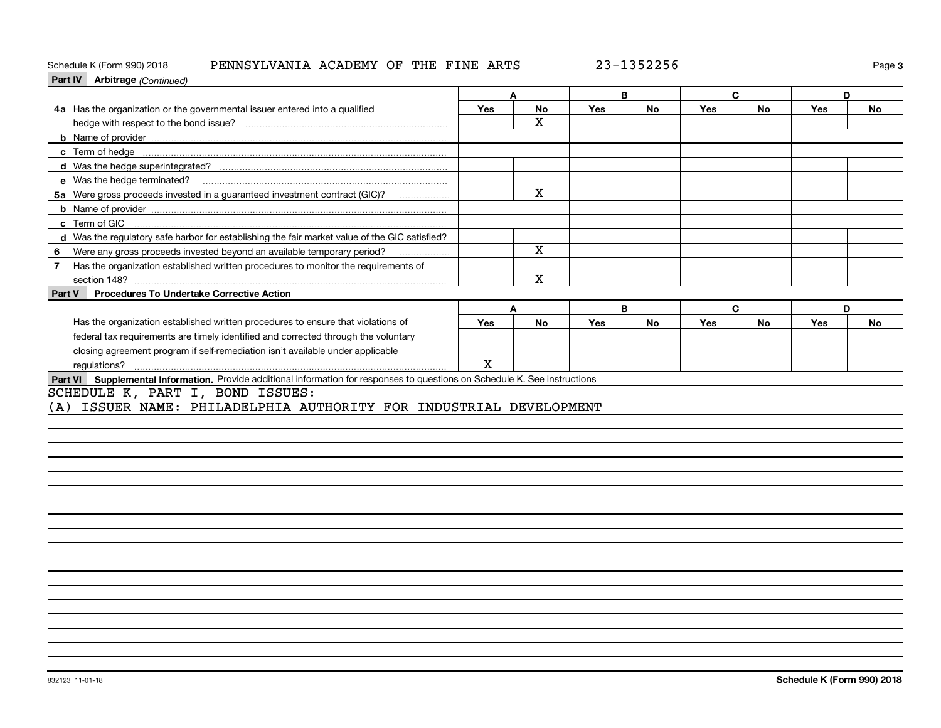### Schedule K (Form 990) 2018 Page PENNSYLVANIA ACADEMY OF THE FINE ARTS 23-1352256

**3**

| Part IV Arbitrage (Continued)                                                                                               |            |             |            |        |            |           |            |    |
|-----------------------------------------------------------------------------------------------------------------------------|------------|-------------|------------|--------|------------|-----------|------------|----|
|                                                                                                                             |            | A           |            | B      |            | C         | D          |    |
| 4a Has the organization or the governmental issuer entered into a qualified                                                 | Yes        | <b>No</b>   | Yes        | No     | <b>Yes</b> | <b>No</b> | Yes        | No |
|                                                                                                                             |            | X           |            |        |            |           |            |    |
|                                                                                                                             |            |             |            |        |            |           |            |    |
| c Term of hedge                                                                                                             |            |             |            |        |            |           |            |    |
|                                                                                                                             |            |             |            |        |            |           |            |    |
| e Was the hedge terminated?                                                                                                 |            |             |            |        |            |           |            |    |
| 5a Were gross proceeds invested in a guaranteed investment contract (GIC)?                                                  |            | X           |            |        |            |           |            |    |
|                                                                                                                             |            |             |            |        |            |           |            |    |
|                                                                                                                             |            |             |            |        |            |           |            |    |
| d Was the regulatory safe harbor for establishing the fair market value of the GIC satisfied?                               |            |             |            |        |            |           |            |    |
| 6 Were any gross proceeds invested beyond an available temporary period?                                                    |            | $\mathbf X$ |            |        |            |           |            |    |
| Has the organization established written procedures to monitor the requirements of<br>$7^{\circ}$                           |            |             |            |        |            |           |            |    |
| section 148?                                                                                                                |            | X           |            |        |            |           |            |    |
| Part V Procedures To Undertake Corrective Action                                                                            |            |             |            |        |            |           |            |    |
|                                                                                                                             |            | A           |            | B<br>C |            |           | D          |    |
| Has the organization established written procedures to ensure that violations of                                            | <b>Yes</b> | No          | <b>Yes</b> | No     | Yes        | <b>No</b> | <b>Yes</b> | No |
| federal tax requirements are timely identified and corrected through the voluntary                                          |            |             |            |        |            |           |            |    |
| closing agreement program if self-remediation isn't available under applicable                                              |            |             |            |        |            |           |            |    |
| regulations?                                                                                                                | X          |             |            |        |            |           |            |    |
| Part VI Supplemental Information. Provide additional information for responses to questions on Schedule K. See instructions |            |             |            |        |            |           |            |    |
| SCHEDULE K, PART I, BOND ISSUES:                                                                                            |            |             |            |        |            |           |            |    |
| ISSUER NAME: PHILADELPHIA AUTHORITY FOR INDUSTRIAL DEVELOPMENT                                                              |            |             |            |        |            |           |            |    |
|                                                                                                                             |            |             |            |        |            |           |            |    |
|                                                                                                                             |            |             |            |        |            |           |            |    |
|                                                                                                                             |            |             |            |        |            |           |            |    |
|                                                                                                                             |            |             |            |        |            |           |            |    |
|                                                                                                                             |            |             |            |        |            |           |            |    |
|                                                                                                                             |            |             |            |        |            |           |            |    |
|                                                                                                                             |            |             |            |        |            |           |            |    |
|                                                                                                                             |            |             |            |        |            |           |            |    |
|                                                                                                                             |            |             |            |        |            |           |            |    |
|                                                                                                                             |            |             |            |        |            |           |            |    |
|                                                                                                                             |            |             |            |        |            |           |            |    |
|                                                                                                                             |            |             |            |        |            |           |            |    |
|                                                                                                                             |            |             |            |        |            |           |            |    |
|                                                                                                                             |            |             |            |        |            |           |            |    |
|                                                                                                                             |            |             |            |        |            |           |            |    |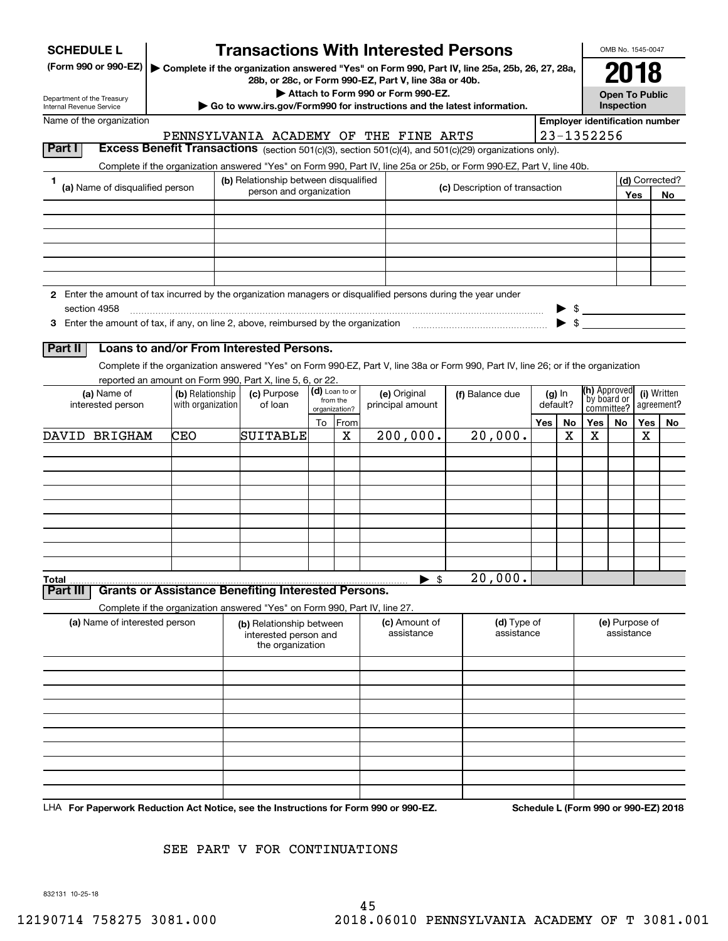| <b>SCHEDULE L</b><br>(Form 990 or 990-EZ)<br>Department of the Treasury<br>Internal Revenue Service                           |                                       | <b>Transactions With Interested Persons</b><br>Complete if the organization answered "Yes" on Form 990, Part IV, line 25a, 25b, 26, 27, 28a,<br>28b, or 28c, or Form 990-EZ, Part V, line 38a or 40b.<br>$\blacktriangleright$ Go to www.irs.gov/Form990 for instructions and the latest information. |    |                                             | Attach to Form 990 or Form 990-EZ. |  |                                |  |                      |                                                   | OMB No. 1545-0047<br>2018<br><b>Open To Public</b><br>Inspection |                           |                                      |   |          |
|-------------------------------------------------------------------------------------------------------------------------------|---------------------------------------|-------------------------------------------------------------------------------------------------------------------------------------------------------------------------------------------------------------------------------------------------------------------------------------------------------|----|---------------------------------------------|------------------------------------|--|--------------------------------|--|----------------------|---------------------------------------------------|------------------------------------------------------------------|---------------------------|--------------------------------------|---|----------|
| Name of the organization                                                                                                      |                                       |                                                                                                                                                                                                                                                                                                       |    |                                             |                                    |  |                                |  |                      | <b>Employer identification number</b>             |                                                                  |                           |                                      |   |          |
| Part I                                                                                                                        |                                       | PENNSYLVANIA ACADEMY OF THE FINE ARTS<br>Excess Benefit Transactions (section 501(c)(3), section 501(c)(4), and 501(c)(29) organizations only).                                                                                                                                                       |    |                                             |                                    |  |                                |  |                      | 23-1352256                                        |                                                                  |                           |                                      |   |          |
|                                                                                                                               |                                       | Complete if the organization answered "Yes" on Form 990, Part IV, line 25a or 25b, or Form 990-EZ, Part V, line 40b.                                                                                                                                                                                  |    |                                             |                                    |  |                                |  |                      |                                                   |                                                                  |                           |                                      |   |          |
| 1.<br>(a) Name of disqualified person                                                                                         |                                       | (b) Relationship between disqualified<br>person and organization                                                                                                                                                                                                                                      |    |                                             |                                    |  | (c) Description of transaction |  |                      |                                                   |                                                                  | Yes                       | (d) Corrected?<br>No                 |   |          |
|                                                                                                                               |                                       |                                                                                                                                                                                                                                                                                                       |    |                                             |                                    |  |                                |  |                      |                                                   |                                                                  |                           |                                      |   |          |
|                                                                                                                               |                                       |                                                                                                                                                                                                                                                                                                       |    |                                             |                                    |  |                                |  |                      |                                                   |                                                                  |                           |                                      |   |          |
|                                                                                                                               |                                       |                                                                                                                                                                                                                                                                                                       |    |                                             |                                    |  |                                |  |                      |                                                   |                                                                  |                           |                                      |   |          |
|                                                                                                                               |                                       |                                                                                                                                                                                                                                                                                                       |    |                                             |                                    |  |                                |  |                      |                                                   |                                                                  |                           |                                      |   |          |
| 2 Enter the amount of tax incurred by the organization managers or disqualified persons during the year under<br>section 4958 |                                       |                                                                                                                                                                                                                                                                                                       |    |                                             |                                    |  |                                |  |                      |                                                   |                                                                  |                           |                                      |   |          |
| 3 Enter the amount of tax, if any, on line 2, above, reimbursed by the organization <i>manumenon communicanous</i>            |                                       |                                                                                                                                                                                                                                                                                                       |    |                                             |                                    |  |                                |  |                      |                                                   |                                                                  |                           |                                      |   |          |
| Part II                                                                                                                       |                                       | Loans to and/or From Interested Persons.                                                                                                                                                                                                                                                              |    |                                             |                                    |  |                                |  |                      |                                                   |                                                                  |                           |                                      |   |          |
|                                                                                                                               |                                       | Complete if the organization answered "Yes" on Form 990-EZ, Part V, line 38a or Form 990, Part IV, line 26; or if the organization                                                                                                                                                                    |    |                                             |                                    |  |                                |  |                      |                                                   |                                                                  |                           |                                      |   |          |
|                                                                                                                               |                                       | reported an amount on Form 990, Part X, line 5, 6, or 22.                                                                                                                                                                                                                                             |    |                                             |                                    |  |                                |  |                      |                                                   |                                                                  |                           |                                      |   |          |
| (a) Name of<br>interested person                                                                                              | (b) Relationship<br>with organization | (c) Purpose<br>of loan                                                                                                                                                                                                                                                                                |    | (d) Loan to or<br>from the<br>organization? | (e) Original<br>principal amount   |  | (f) Balance due                |  | $(g)$ In<br>default? | <b>(h)</b> Approved<br>`by board or<br>committee? |                                                                  | (i) Written<br>agreement? |                                      |   |          |
| DAVID BRIGHAM                                                                                                                 | CEO                                   | SUITABLE                                                                                                                                                                                                                                                                                              | To | From<br>x                                   | 200,000.                           |  | Yes                            |  | 20,000.              |                                                   | No<br>х                                                          | Yes<br>X                  | No                                   | X | Yes   No |
|                                                                                                                               |                                       |                                                                                                                                                                                                                                                                                                       |    |                                             |                                    |  |                                |  |                      |                                                   |                                                                  |                           |                                      |   |          |
|                                                                                                                               |                                       |                                                                                                                                                                                                                                                                                                       |    |                                             |                                    |  |                                |  |                      |                                                   |                                                                  |                           |                                      |   |          |
|                                                                                                                               |                                       |                                                                                                                                                                                                                                                                                                       |    |                                             |                                    |  |                                |  |                      |                                                   |                                                                  |                           |                                      |   |          |
|                                                                                                                               |                                       |                                                                                                                                                                                                                                                                                                       |    |                                             |                                    |  |                                |  |                      |                                                   |                                                                  |                           |                                      |   |          |
|                                                                                                                               |                                       |                                                                                                                                                                                                                                                                                                       |    |                                             |                                    |  |                                |  |                      |                                                   |                                                                  |                           |                                      |   |          |
|                                                                                                                               |                                       |                                                                                                                                                                                                                                                                                                       |    |                                             |                                    |  |                                |  |                      |                                                   |                                                                  |                           |                                      |   |          |
|                                                                                                                               |                                       |                                                                                                                                                                                                                                                                                                       |    |                                             |                                    |  |                                |  |                      |                                                   |                                                                  |                           |                                      |   |          |
| Total                                                                                                                         |                                       |                                                                                                                                                                                                                                                                                                       |    |                                             | - \$                               |  | 20,000.                        |  |                      |                                                   |                                                                  |                           |                                      |   |          |
| Part II                                                                                                                       |                                       | <b>Grants or Assistance Benefiting Interested Persons.</b>                                                                                                                                                                                                                                            |    |                                             |                                    |  |                                |  |                      |                                                   |                                                                  |                           |                                      |   |          |
| (a) Name of interested person                                                                                                 |                                       | Complete if the organization answered "Yes" on Form 990, Part IV, line 27.<br>(b) Relationship between<br>interested person and<br>the organization                                                                                                                                                   |    |                                             | (c) Amount of<br>assistance        |  | (d) Type of<br>assistance      |  |                      |                                                   | (e) Purpose of<br>assistance                                     |                           |                                      |   |          |
|                                                                                                                               |                                       |                                                                                                                                                                                                                                                                                                       |    |                                             |                                    |  |                                |  |                      |                                                   |                                                                  |                           |                                      |   |          |
|                                                                                                                               |                                       |                                                                                                                                                                                                                                                                                                       |    |                                             |                                    |  |                                |  |                      |                                                   |                                                                  |                           |                                      |   |          |
|                                                                                                                               |                                       |                                                                                                                                                                                                                                                                                                       |    |                                             |                                    |  |                                |  |                      |                                                   |                                                                  |                           |                                      |   |          |
|                                                                                                                               |                                       |                                                                                                                                                                                                                                                                                                       |    |                                             |                                    |  |                                |  |                      |                                                   |                                                                  |                           |                                      |   |          |
|                                                                                                                               |                                       |                                                                                                                                                                                                                                                                                                       |    |                                             |                                    |  |                                |  |                      |                                                   |                                                                  |                           |                                      |   |          |
|                                                                                                                               |                                       |                                                                                                                                                                                                                                                                                                       |    |                                             |                                    |  |                                |  |                      |                                                   |                                                                  |                           |                                      |   |          |
|                                                                                                                               |                                       |                                                                                                                                                                                                                                                                                                       |    |                                             |                                    |  |                                |  |                      |                                                   |                                                                  |                           |                                      |   |          |
|                                                                                                                               |                                       |                                                                                                                                                                                                                                                                                                       |    |                                             |                                    |  |                                |  |                      |                                                   |                                                                  |                           |                                      |   |          |
| LHA For Paperwork Reduction Act Notice, see the Instructions for Form 990 or 990-EZ.                                          |                                       |                                                                                                                                                                                                                                                                                                       |    |                                             |                                    |  |                                |  |                      |                                                   |                                                                  |                           | Schedule L (Form 990 or 990-EZ) 2018 |   |          |

SEE PART V FOR CONTINUATIONS

832131 10-25-18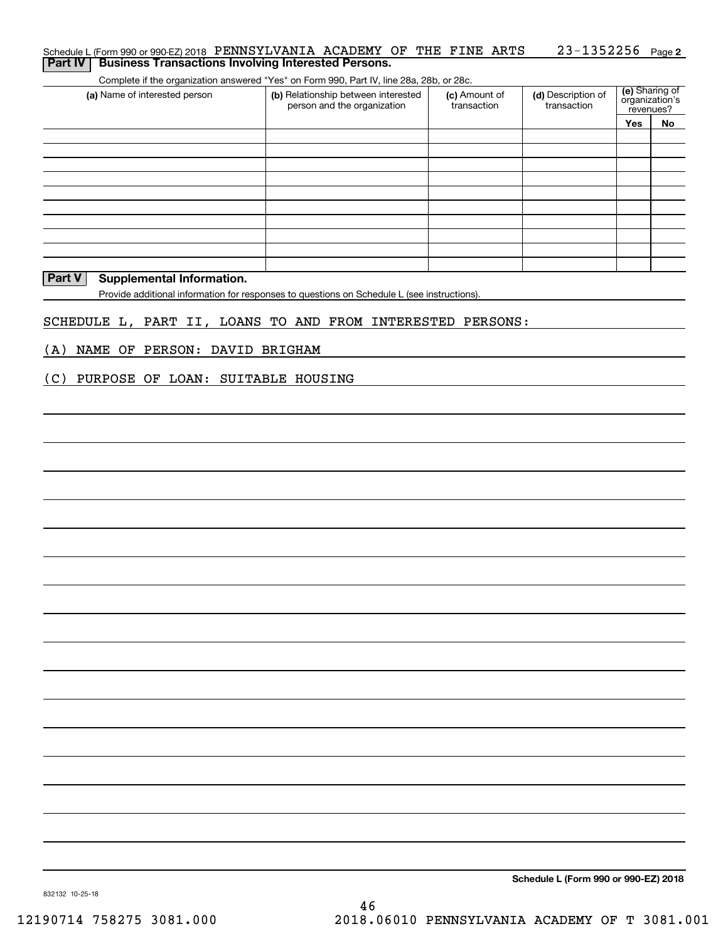| Schedule L (Form 990 or 990-EZ) 2018 PENNSYLVANIA ACADEMY OF THE FINE ARTS               |  |  |  | $23 - 1352256$ Page 2 |  |
|------------------------------------------------------------------------------------------|--|--|--|-----------------------|--|
| <b>Part IV   Business Transactions Involving Interested Persons.</b>                     |  |  |  |                       |  |
| Complete if the organization answered "Yes" on Form 990, Part IV, line 28a, 28b, or 28c. |  |  |  |                       |  |

|                               |                                                                    | OUTIPICIO II GIO ORGANIZACIONI GIBRICICO - TOS - UN FONTI SOO, FIGILI IX, INTO ZOG, ZOD, OF ZOO. |                                                                     |     |    |  |  |  |  |  |
|-------------------------------|--------------------------------------------------------------------|--------------------------------------------------------------------------------------------------|---------------------------------------------------------------------|-----|----|--|--|--|--|--|
| (a) Name of interested person | (b) Relationship between interested<br>person and the organization | (c) Amount of<br>transaction                                                                     | (e) Sharing of<br>organization's<br>(d) Description of<br>revenues? |     |    |  |  |  |  |  |
|                               |                                                                    |                                                                                                  |                                                                     | Yes | No |  |  |  |  |  |
|                               |                                                                    |                                                                                                  |                                                                     |     |    |  |  |  |  |  |
|                               |                                                                    |                                                                                                  |                                                                     |     |    |  |  |  |  |  |
|                               |                                                                    |                                                                                                  |                                                                     |     |    |  |  |  |  |  |
|                               |                                                                    |                                                                                                  |                                                                     |     |    |  |  |  |  |  |
|                               |                                                                    |                                                                                                  |                                                                     |     |    |  |  |  |  |  |
|                               |                                                                    |                                                                                                  |                                                                     |     |    |  |  |  |  |  |
|                               |                                                                    |                                                                                                  |                                                                     |     |    |  |  |  |  |  |
|                               |                                                                    |                                                                                                  |                                                                     |     |    |  |  |  |  |  |
|                               |                                                                    |                                                                                                  |                                                                     |     |    |  |  |  |  |  |
|                               |                                                                    |                                                                                                  |                                                                     |     |    |  |  |  |  |  |

**Part V Supplemental Information.**

Provide additional information for responses to questions on Schedule L (see instructions).

SCHEDULE L, PART II, LOANS TO AND FROM INTERESTED PERSONS:

(A) NAME OF PERSON: DAVID BRIGHAM

(C) PURPOSE OF LOAN: SUITABLE HOUSING

**Schedule L (Form 990 or 990-EZ) 2018**

832132 10-25-18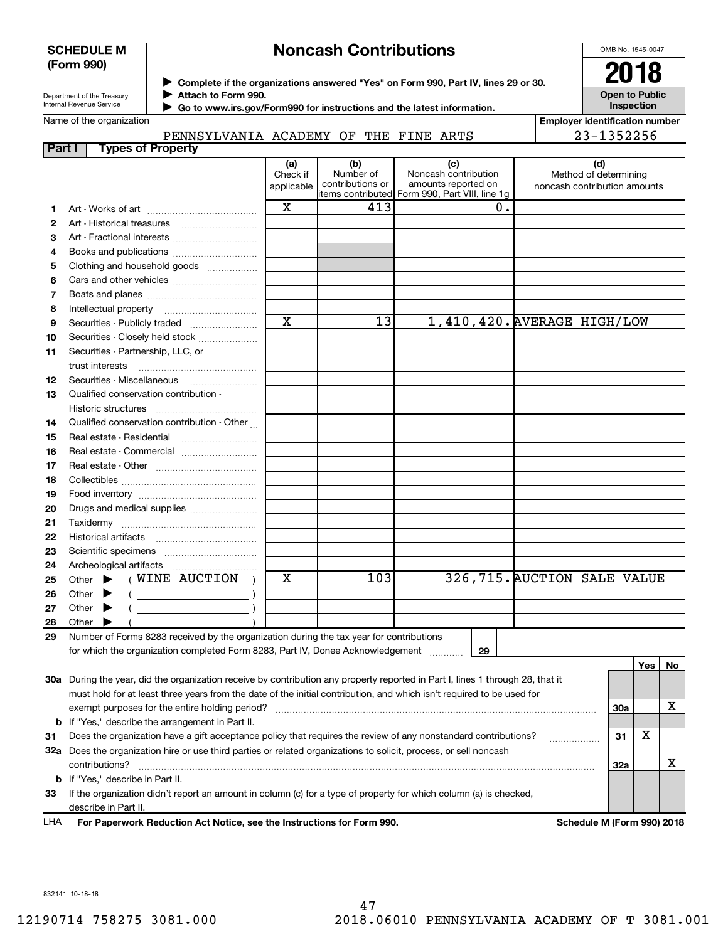### **SCHEDULE M (Form 990)**

## **Noncash Contributions**

OMB No. 1545-0047

| Department of the Treasury |
|----------------------------|
| Internal Revenue Service   |

**Complete if the organizations answered "Yes" on Form 990, Part IV, lines 29 or 30.** <sup>J</sup>**2018 Attach to Form 990.** J

**Open to Public Inspection**

**Employer identification number**

23-1352256

|  | Name of the organization |  |
|--|--------------------------|--|

 **Go to www.irs.gov/Form990 for instructions and the latest information.** J

## PENNSYLVANIA ACADEMY OF THE FINE ARTS

| Part I | <b>Types of Property</b>                                                                                                       |                               |                                      |                                                                                                      |                              |                                                              |     |    |
|--------|--------------------------------------------------------------------------------------------------------------------------------|-------------------------------|--------------------------------------|------------------------------------------------------------------------------------------------------|------------------------------|--------------------------------------------------------------|-----|----|
|        |                                                                                                                                | (a)<br>Check if<br>applicable | (b)<br>Number of<br>contributions or | (c)<br>Noncash contribution<br>amounts reported on<br>items contributed Form 990, Part VIII, line 1g |                              | (d)<br>Method of determining<br>noncash contribution amounts |     |    |
| 1.     |                                                                                                                                | X                             | 413                                  | 0.                                                                                                   |                              |                                                              |     |    |
| 2      |                                                                                                                                |                               |                                      |                                                                                                      |                              |                                                              |     |    |
| З      | Art - Fractional interests                                                                                                     |                               |                                      |                                                                                                      |                              |                                                              |     |    |
| 4      | Books and publications                                                                                                         |                               |                                      |                                                                                                      |                              |                                                              |     |    |
| 5      | Clothing and household goods                                                                                                   |                               |                                      |                                                                                                      |                              |                                                              |     |    |
| 6      |                                                                                                                                |                               |                                      |                                                                                                      |                              |                                                              |     |    |
| 7      |                                                                                                                                |                               |                                      |                                                                                                      |                              |                                                              |     |    |
| 8      | Intellectual property                                                                                                          |                               |                                      |                                                                                                      |                              |                                                              |     |    |
| 9      | Securities - Publicly traded                                                                                                   | $\mathbf x$                   | 13                                   | 1,410,420. AVERAGE HIGH/LOW                                                                          |                              |                                                              |     |    |
| 10     | Securities - Closely held stock                                                                                                |                               |                                      |                                                                                                      |                              |                                                              |     |    |
| 11     | Securities - Partnership, LLC, or                                                                                              |                               |                                      |                                                                                                      |                              |                                                              |     |    |
|        | trust interests                                                                                                                |                               |                                      |                                                                                                      |                              |                                                              |     |    |
| 12     |                                                                                                                                |                               |                                      |                                                                                                      |                              |                                                              |     |    |
| 13     | Qualified conservation contribution -                                                                                          |                               |                                      |                                                                                                      |                              |                                                              |     |    |
|        | Historic structures                                                                                                            |                               |                                      |                                                                                                      |                              |                                                              |     |    |
| 14     | Qualified conservation contribution - Other                                                                                    |                               |                                      |                                                                                                      |                              |                                                              |     |    |
| 15     | Real estate - Residential                                                                                                      |                               |                                      |                                                                                                      |                              |                                                              |     |    |
| 16     | Real estate - Commercial                                                                                                       |                               |                                      |                                                                                                      |                              |                                                              |     |    |
| 17     |                                                                                                                                |                               |                                      |                                                                                                      |                              |                                                              |     |    |
| 18     |                                                                                                                                |                               |                                      |                                                                                                      |                              |                                                              |     |    |
| 19     |                                                                                                                                |                               |                                      |                                                                                                      |                              |                                                              |     |    |
| 20     | Drugs and medical supplies                                                                                                     |                               |                                      |                                                                                                      |                              |                                                              |     |    |
| 21     |                                                                                                                                |                               |                                      |                                                                                                      |                              |                                                              |     |    |
| 22     |                                                                                                                                |                               |                                      |                                                                                                      |                              |                                                              |     |    |
| 23     |                                                                                                                                |                               |                                      |                                                                                                      |                              |                                                              |     |    |
| 24     |                                                                                                                                |                               |                                      |                                                                                                      |                              |                                                              |     |    |
| 25     | ( WINE AUCTION<br>Other $\blacktriangleright$                                                                                  | х                             | 103                                  |                                                                                                      | 326, 715. AUCTION SALE VALUE |                                                              |     |    |
| 26     | Other                                                                                                                          |                               |                                      |                                                                                                      |                              |                                                              |     |    |
| 27     | Other                                                                                                                          |                               |                                      |                                                                                                      |                              |                                                              |     |    |
| 28     | Other                                                                                                                          |                               |                                      |                                                                                                      |                              |                                                              |     |    |
| 29     | Number of Forms 8283 received by the organization during the tax year for contributions                                        |                               |                                      |                                                                                                      |                              |                                                              |     |    |
|        | for which the organization completed Form 8283, Part IV, Donee Acknowledgement                                                 |                               |                                      | 29                                                                                                   |                              |                                                              |     |    |
|        |                                                                                                                                |                               |                                      |                                                                                                      |                              |                                                              | Yes | No |
|        | 30a During the year, did the organization receive by contribution any property reported in Part I, lines 1 through 28, that it |                               |                                      |                                                                                                      |                              |                                                              |     |    |
|        | must hold for at least three years from the date of the initial contribution, and which isn't required to be used for          |                               |                                      |                                                                                                      |                              |                                                              |     |    |
|        | exempt purposes for the entire holding period?                                                                                 |                               |                                      |                                                                                                      |                              | 30a                                                          |     | х  |
|        | <b>b</b> If "Yes," describe the arrangement in Part II.                                                                        |                               |                                      |                                                                                                      |                              |                                                              |     |    |
| 31     | Does the organization have a gift acceptance policy that requires the review of any nonstandard contributions?                 |                               |                                      |                                                                                                      |                              | 31                                                           | X   |    |
|        | 32a Does the organization hire or use third parties or related organizations to solicit, process, or sell noncash              |                               |                                      |                                                                                                      |                              |                                                              |     |    |
|        | contributions?                                                                                                                 |                               |                                      |                                                                                                      |                              | 32a                                                          |     | X  |
|        | <b>b</b> If "Yes," describe in Part II.                                                                                        |                               |                                      |                                                                                                      |                              |                                                              |     |    |

**33**If the organization didn't report an amount in column (c) for a type of property for which column (a) is checked, describe in Part II.

**For Paperwork Reduction Act Notice, see the Instructions for Form 990. Schedule M (Form 990) 2018** LHA

832141 10-18-18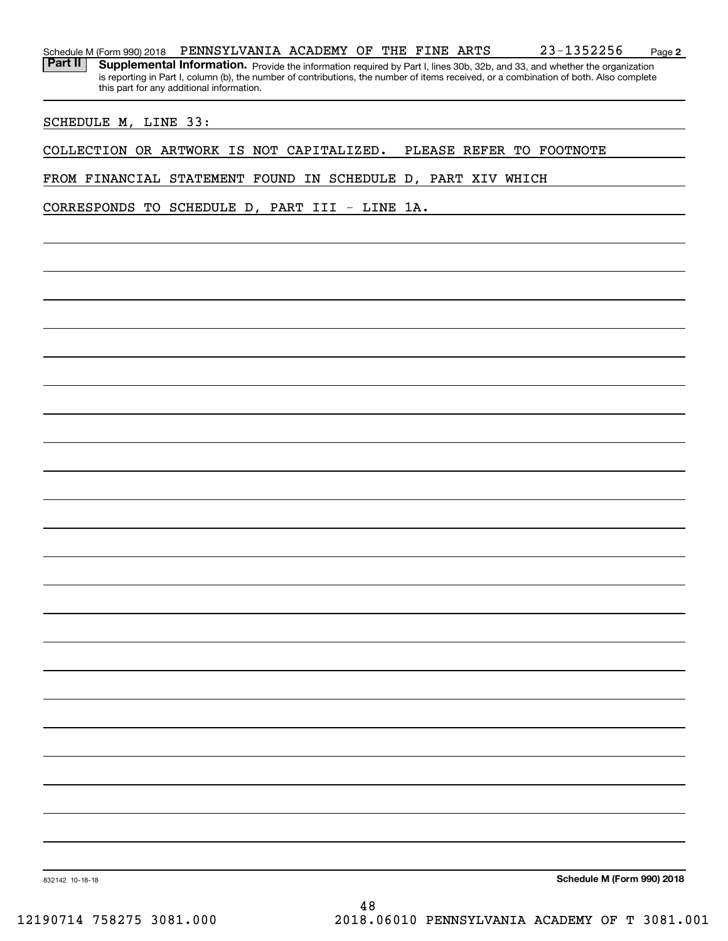| Part II |  | this part for any additional information.      |  |  |                                                              |  | Supplemental Information. Provide the information required by Part I, lines 30b, 32b, and 33, and whether the organization<br>is reporting in Part I, column (b), the number of contributions, the number of items received, or a combination of both. Also complete |  |
|---------|--|------------------------------------------------|--|--|--------------------------------------------------------------|--|----------------------------------------------------------------------------------------------------------------------------------------------------------------------------------------------------------------------------------------------------------------------|--|
|         |  | SCHEDULE M, LINE 33:                           |  |  |                                                              |  |                                                                                                                                                                                                                                                                      |  |
|         |  | COLLECTION OR ARTWORK IS NOT CAPITALIZED.      |  |  | PLEASE REFER TO FOOTNOTE                                     |  |                                                                                                                                                                                                                                                                      |  |
|         |  |                                                |  |  | FROM FINANCIAL STATEMENT FOUND IN SCHEDULE D, PART XIV WHICH |  |                                                                                                                                                                                                                                                                      |  |
|         |  | CORRESPONDS TO SCHEDULE D, PART III - LINE 1A. |  |  |                                                              |  |                                                                                                                                                                                                                                                                      |  |
|         |  |                                                |  |  |                                                              |  |                                                                                                                                                                                                                                                                      |  |
|         |  |                                                |  |  |                                                              |  |                                                                                                                                                                                                                                                                      |  |
|         |  |                                                |  |  |                                                              |  |                                                                                                                                                                                                                                                                      |  |
|         |  |                                                |  |  |                                                              |  |                                                                                                                                                                                                                                                                      |  |
|         |  |                                                |  |  |                                                              |  |                                                                                                                                                                                                                                                                      |  |
|         |  |                                                |  |  |                                                              |  |                                                                                                                                                                                                                                                                      |  |
|         |  |                                                |  |  |                                                              |  |                                                                                                                                                                                                                                                                      |  |
|         |  |                                                |  |  |                                                              |  |                                                                                                                                                                                                                                                                      |  |
|         |  |                                                |  |  |                                                              |  |                                                                                                                                                                                                                                                                      |  |
|         |  |                                                |  |  |                                                              |  |                                                                                                                                                                                                                                                                      |  |
|         |  |                                                |  |  |                                                              |  |                                                                                                                                                                                                                                                                      |  |
|         |  |                                                |  |  |                                                              |  |                                                                                                                                                                                                                                                                      |  |
|         |  |                                                |  |  |                                                              |  |                                                                                                                                                                                                                                                                      |  |
|         |  |                                                |  |  |                                                              |  |                                                                                                                                                                                                                                                                      |  |
|         |  |                                                |  |  |                                                              |  |                                                                                                                                                                                                                                                                      |  |
|         |  |                                                |  |  |                                                              |  |                                                                                                                                                                                                                                                                      |  |
|         |  |                                                |  |  |                                                              |  |                                                                                                                                                                                                                                                                      |  |
|         |  |                                                |  |  |                                                              |  |                                                                                                                                                                                                                                                                      |  |
|         |  |                                                |  |  |                                                              |  |                                                                                                                                                                                                                                                                      |  |
|         |  |                                                |  |  |                                                              |  |                                                                                                                                                                                                                                                                      |  |
|         |  |                                                |  |  |                                                              |  |                                                                                                                                                                                                                                                                      |  |
|         |  |                                                |  |  |                                                              |  |                                                                                                                                                                                                                                                                      |  |
|         |  |                                                |  |  |                                                              |  |                                                                                                                                                                                                                                                                      |  |

Schedule M (Form 990) 2018 PENNSYLVANIA ACADEMY OF THE FINE ARTS 2 3-I 352 2 5 6 Page

PENNSYLVANIA ACADEMY OF THE FINE ARTS 23-1352256

**Schedule M (Form 990) 2018**

**2**

832142 10-18-18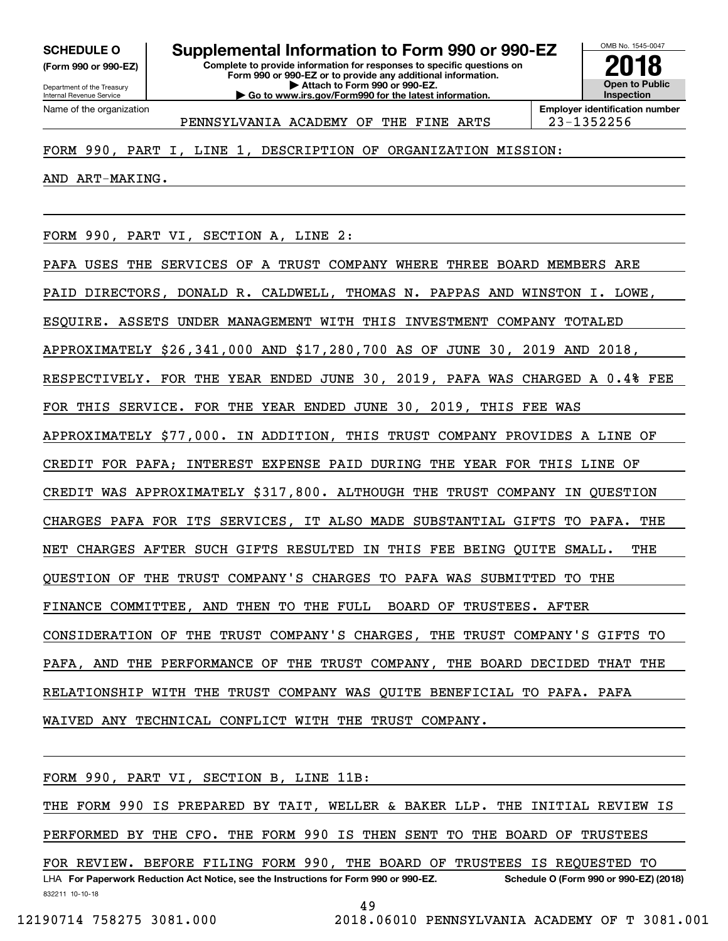**(Form 990 or 990-EZ)**

Department of the Treasury Internal Revenue Service Name of the organization

**Complete to provide information for responses to specific questions on Form 990 or 990-EZ or to provide any additional information. | Attach to Form 990 or 990-EZ. | Go to www.irs.gov/Form990 for the latest information. SCHEDULE O Supplemental Information to Form 990 or 990-EZ**



PENNSYLVANIA ACADEMY OF THE FINE ARTS | 23-1352256

### FORM 990, PART I, LINE 1, DESCRIPTION OF ORGANIZATION MISSION:

AND ART-MAKING.

FORM 990, PART VI, SECTION A, LINE 2:

PAFA USES THE SERVICES OF A TRUST COMPANY WHERE THREE BOARD MEMBERS ARE PAID DIRECTORS, DONALD R. CALDWELL, THOMAS N. PAPPAS AND WINSTON I. LOWE, ESQUIRE. ASSETS UNDER MANAGEMENT WITH THIS INVESTMENT COMPANY TOTALED APPROXIMATELY \$26,341,000 AND \$17,280,700 AS OF JUNE 30, 2019 AND 2018, RESPECTIVELY. FOR THE YEAR ENDED JUNE 30, 2019, PAFA WAS CHARGED A 0.4% FEE FOR THIS SERVICE. FOR THE YEAR ENDED JUNE 30, 2019, THIS FEE WAS APPROXIMATELY \$77,000. IN ADDITION, THIS TRUST COMPANY PROVIDES A LINE OF CREDIT FOR PAFA; INTEREST EXPENSE PAID DURING THE YEAR FOR THIS LINE OF CREDIT WAS APPROXIMATELY \$317,800. ALTHOUGH THE TRUST COMPANY IN QUESTION CHARGES PAFA FOR ITS SERVICES, IT ALSO MADE SUBSTANTIAL GIFTS TO PAFA. THE NET CHARGES AFTER SUCH GIFTS RESULTED IN THIS FEE BEING QUITE SMALL. THE QUESTION OF THE TRUST COMPANY'S CHARGES TO PAFA WAS SUBMITTED TO THE FINANCE COMMITTEE, AND THEN TO THE FULL BOARD OF TRUSTEES. AFTER CONSIDERATION OF THE TRUST COMPANY'S CHARGES, THE TRUST COMPANY'S GIFTS TO PAFA, AND THE PERFORMANCE OF THE TRUST COMPANY, THE BOARD DECIDED THAT THE RELATIONSHIP WITH THE TRUST COMPANY WAS QUITE BENEFICIAL TO PAFA. PAFA WAIVED ANY TECHNICAL CONFLICT WITH THE TRUST COMPANY.

832211 10-10-18 LHA For Paperwork Reduction Act Notice, see the Instructions for Form 990 or 990-EZ. Schedule O (Form 990 or 990-EZ) (2018) FORM 990, PART VI, SECTION B, LINE 11B: THE FORM 990 IS PREPARED BY TAIT, WELLER & BAKER LLP. THE INITIAL REVIEW IS PERFORMED BY THE CFO. THE FORM 990 IS THEN SENT TO THE BOARD OF TRUSTEES FOR REVIEW. BEFORE FILING FORM 990, THE BOARD OF TRUSTEES IS REQUESTED TO

49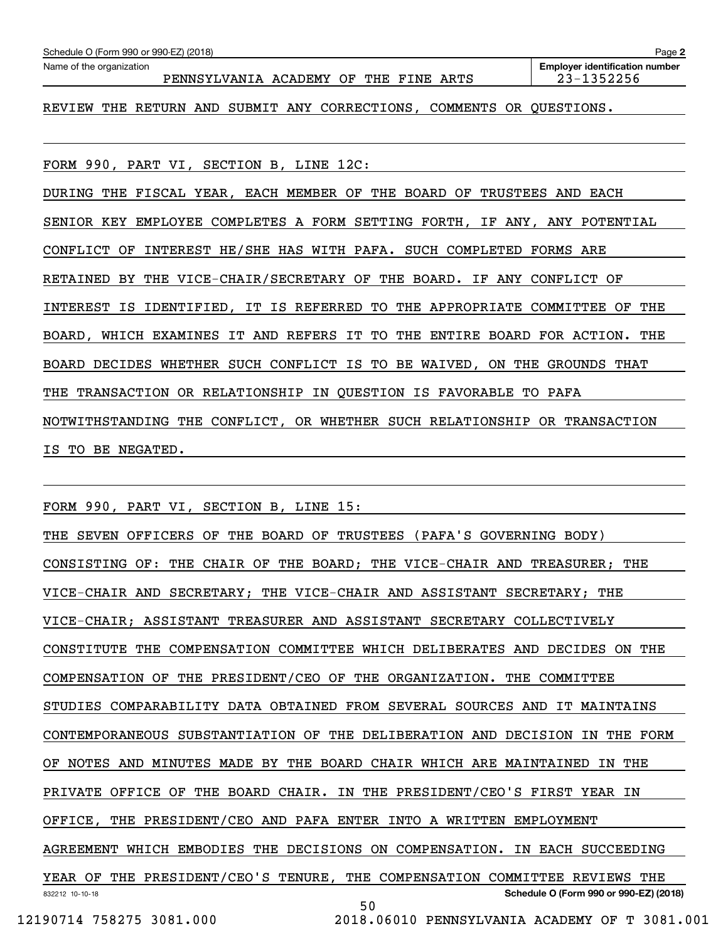| Schedule O (Form 990 or 990-EZ) (2018)                                     | Page 2                                              |
|----------------------------------------------------------------------------|-----------------------------------------------------|
| Name of the organization<br>PENNSYLVANIA ACADEMY OF THE FINE ARTS          | <b>Employer identification number</b><br>23-1352256 |
| RETURN AND SUBMIT ANY CORRECTIONS, COMMENTS<br>REVIEW<br>THE               | OR OUESTIONS.                                       |
| FORM 990, PART VI, SECTION B, LINE 12C:                                    |                                                     |
| DURING THE FISCAL YEAR, EACH MEMBER OF THE BOARD OF TRUSTEES AND EACH      |                                                     |
| SENIOR KEY EMPLOYEE COMPLETES A FORM SETTING FORTH, IF ANY, ANY POTENTIAL  |                                                     |
| CONFLICT OF INTEREST HE/SHE HAS WITH PAFA. SUCH COMPLETED FORMS ARE        |                                                     |
| RETAINED BY THE VICE-CHAIR/SECRETARY OF THE BOARD.                         | IF ANY CONFLICT OF                                  |
| INTEREST IS IDENTIFIED, IT IS REFERRED TO THE APPROPRIATE COMMITTEE        | OF<br>THE                                           |
| BOARD, WHICH EXAMINES IT AND REFERS IT TO THE ENTIRE BOARD FOR ACTION. THE |                                                     |
| BOARD DECIDES WHETHER SUCH CONFLICT IS TO BE WAIVED, ON THE GROUNDS THAT   |                                                     |
| THE TRANSACTION OR RELATIONSHIP IN QUESTION IS FAVORABLE                   | TO PAFA                                             |

NOTWITHSTANDING THE CONFLICT, OR WHETHER SUCH RELATIONSHIP OR TRANSACTION IS TO BE NEGATED.

FORM 990, PART VI, SECTION B, LINE 15:

832212 10-10-18 **Schedule O (Form 990 or 990-EZ) (2018)** THE SEVEN OFFICERS OF THE BOARD OF TRUSTEES (PAFA'S GOVERNING BODY) CONSISTING OF: THE CHAIR OF THE BOARD; THE VICE-CHAIR AND TREASURER; THE VICE-CHAIR AND SECRETARY; THE VICE-CHAIR AND ASSISTANT SECRETARY; THE VICE-CHAIR; ASSISTANT TREASURER AND ASSISTANT SECRETARY COLLECTIVELY CONSTITUTE THE COMPENSATION COMMITTEE WHICH DELIBERATES AND DECIDES ON THE COMPENSATION OF THE PRESIDENT/CEO OF THE ORGANIZATION. THE COMMITTEE STUDIES COMPARABILITY DATA OBTAINED FROM SEVERAL SOURCES AND IT MAINTAINS CONTEMPORANEOUS SUBSTANTIATION OF THE DELIBERATION AND DECISION IN THE FORM OF NOTES AND MINUTES MADE BY THE BOARD CHAIR WHICH ARE MAINTAINED IN THE PRIVATE OFFICE OF THE BOARD CHAIR. IN THE PRESIDENT/CEO'S FIRST YEAR IN OFFICE, THE PRESIDENT/CEO AND PAFA ENTER INTO A WRITTEN EMPLOYMENT AGREEMENT WHICH EMBODIES THE DECISIONS ON COMPENSATION. IN EACH SUCCEEDING YEAR OF THE PRESIDENT/CEO'S TENURE, THE COMPENSATION COMMITTEE REVIEWS THE 50

12190714 758275 3081.000 2018.06010 PENNSYLVANIA ACADEMY OF T 3081.001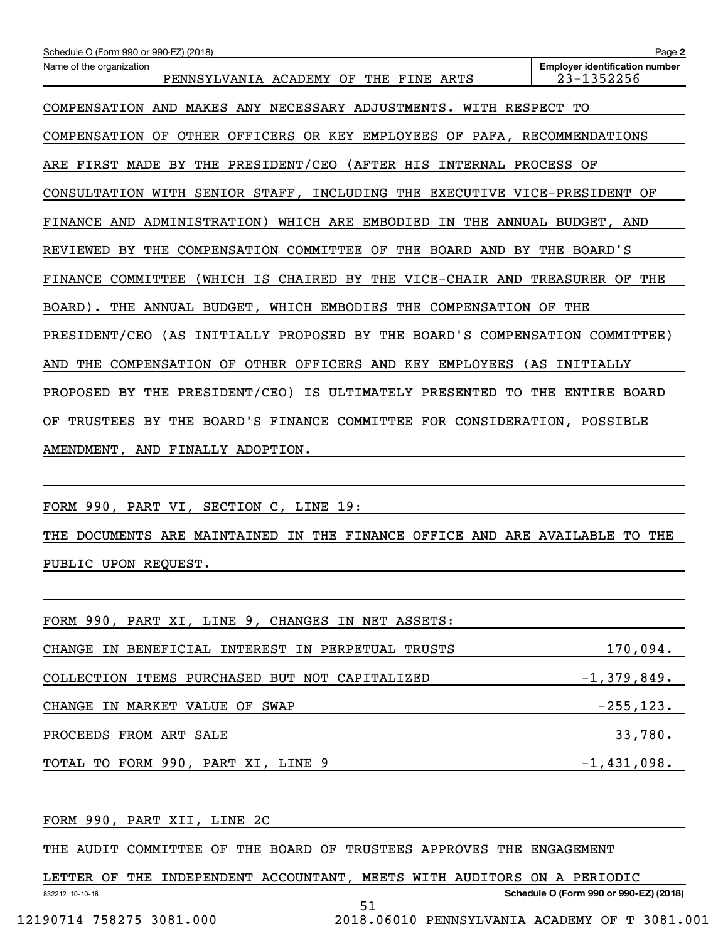| Schedule O (Form 990 or 990-EZ) (2018)                                                   | Page 2                                              |  |  |  |  |  |  |  |
|------------------------------------------------------------------------------------------|-----------------------------------------------------|--|--|--|--|--|--|--|
| Name of the organization<br>PENNSYLVANIA ACADEMY OF<br>THE FINE ARTS                     | <b>Employer identification number</b><br>23-1352256 |  |  |  |  |  |  |  |
| COMPENSATION AND MAKES ANY NECESSARY ADJUSTMENTS. WITH RESPECT TO                        |                                                     |  |  |  |  |  |  |  |
| COMPENSATION OF<br>OTHER OFFICERS OR KEY EMPLOYEES OF PAFA, RECOMMENDATIONS              |                                                     |  |  |  |  |  |  |  |
| FIRST MADE BY THE PRESIDENT/CEO (AFTER HIS<br>INTERNAL PROCESS OF<br>ARE                 |                                                     |  |  |  |  |  |  |  |
| CONSULTATION WITH SENIOR STAFF, INCLUDING THE                                            | EXECUTIVE VICE-PRESIDENT OF                         |  |  |  |  |  |  |  |
| FINANCE AND ADMINISTRATION) WHICH ARE EMBODIED                                           | IN THE ANNUAL BUDGET, AND                           |  |  |  |  |  |  |  |
| THE BOARD<br><b>REVIEWED</b><br>BY.<br>THE<br>COMPENSATION COMMITTEE<br>ΟF<br>AND        | BY THE BOARD'S                                      |  |  |  |  |  |  |  |
| (WHICH IS<br>CHAIRED BY<br>THE VICE-CHAIR AND<br>FINANCE<br>COMMITTEE                    | THE<br>TREASURER<br>OF                              |  |  |  |  |  |  |  |
| THE ANNUAL BUDGET, WHICH EMBODIES THE<br>COMPENSATION<br>BOARD).                         | THE<br>OF                                           |  |  |  |  |  |  |  |
| PRESIDENT/CEO<br>(AS<br>INITIALLY PROPOSED BY THE                                        | BOARD'S COMPENSATION COMMITTEE)                     |  |  |  |  |  |  |  |
| OTHER OFFICERS AND<br>KEY<br><b>EMPLOYEES</b><br>AND<br>THE<br>COMPENSATION OF           | (AS<br>INITIALLY                                    |  |  |  |  |  |  |  |
| BY THE PRESIDENT/CEO) IS<br>ULTIMATELY PRESENTED<br>TО<br>PROPOSED                       | THE<br>ENTIRE BOARD                                 |  |  |  |  |  |  |  |
| THE BOARD'S FINANCE COMMITTEE FOR CONSIDERATION, POSSIBLE<br><b>TRUSTEES</b><br>BY<br>OF |                                                     |  |  |  |  |  |  |  |
| FINALLY ADOPTION.<br>AMENDMENT, AND                                                      |                                                     |  |  |  |  |  |  |  |

FORM 990, PART VI, SECTION C, LINE 19:

THE DOCUMENTS ARE MAINTAINED IN THE FINANCE OFFICE AND ARE AVAILABLE TO THE PUBLIC UPON REQUEST.

| FORM 990, PART XI, LINE 9, CHANGES IN NET ASSETS: |               |
|---------------------------------------------------|---------------|
| CHANGE IN BENEFICIAL INTEREST IN PERPETUAL TRUSTS | 170,094.      |
| COLLECTION ITEMS PURCHASED BUT NOT CAPITALIZED    | $-1,379,849.$ |
| CHANGE IN MARKET VALUE OF SWAP                    | $-255, 123.$  |
| PROCEEDS FROM ART SALE                            | 33,780.       |
| TOTAL TO FORM 990, PART XI, LINE 9                | $-1,431,098.$ |

FORM 990, PART XII, LINE 2C

THE AUDIT COMMITTEE OF THE BOARD OF TRUSTEES APPROVES THE ENGAGEMENT

| LETTER          | OF | THE | INDEPENDENT ACCOUNTANT |  | MEETS WITH AUDITORS ON A PERIODIC |  |                                        |  |
|-----------------|----|-----|------------------------|--|-----------------------------------|--|----------------------------------------|--|
| 832212 10-10-18 |    |     |                        |  |                                   |  | Schedule O (Form 990 or 990-EZ) (2018) |  |
|                 |    |     |                        |  |                                   |  |                                        |  |

12190714 758275 3081.000 2018.06010 PENNSYLVANIA ACADEMY OF T 3081.001